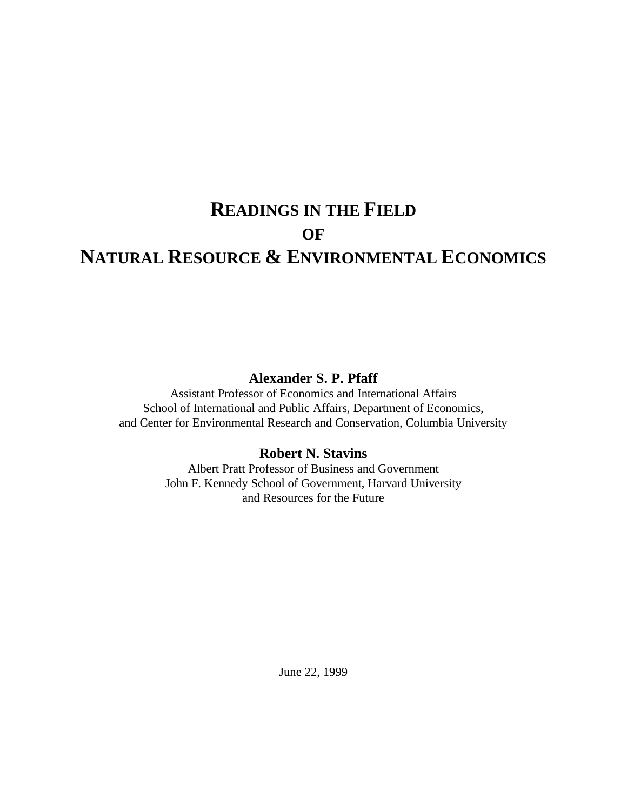# **READINGS IN THE FIELD OF NATURAL RESOURCE & ENVIRONMENTAL ECONOMICS**

# **Alexander S. P. Pfaff**

Assistant Professor of Economics and International Affairs School of International and Public Affairs, Department of Economics, and Center for Environmental Research and Conservation, Columbia University

# **Robert N. Stavins**

Albert Pratt Professor of Business and Government John F. Kennedy School of Government, Harvard University and Resources for the Future

June 22, 1999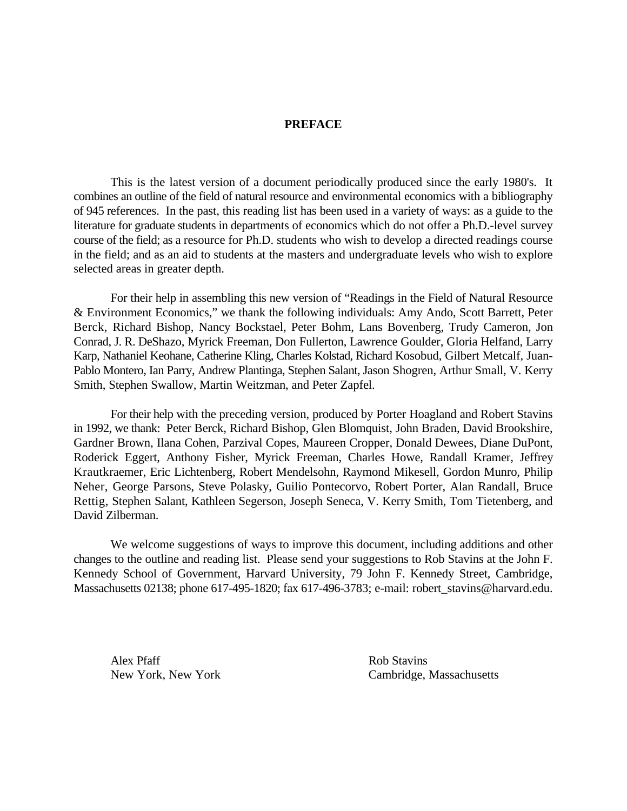### **PREFACE**

This is the latest version of a document periodically produced since the early 1980's. It combines an outline of the field of natural resource and environmental economics with a bibliography of 945 references. In the past, this reading list has been used in a variety of ways: as a guide to the literature for graduate students in departments of economics which do not offer a Ph.D.-level survey course of the field; as a resource for Ph.D. students who wish to develop a directed readings course in the field; and as an aid to students at the masters and undergraduate levels who wish to explore selected areas in greater depth.

For their help in assembling this new version of "Readings in the Field of Natural Resource & Environment Economics," we thank the following individuals: Amy Ando, Scott Barrett, Peter Berck, Richard Bishop, Nancy Bockstael, Peter Bohm, Lans Bovenberg, Trudy Cameron, Jon Conrad, J. R. DeShazo, Myrick Freeman, Don Fullerton, Lawrence Goulder, Gloria Helfand, Larry Karp, Nathaniel Keohane, Catherine Kling, Charles Kolstad, Richard Kosobud, Gilbert Metcalf, Juan-Pablo Montero, Ian Parry, Andrew Plantinga, Stephen Salant, Jason Shogren, Arthur Small, V. Kerry Smith, Stephen Swallow, Martin Weitzman, and Peter Zapfel.

For their help with the preceding version, produced by Porter Hoagland and Robert Stavins in 1992, we thank: Peter Berck, Richard Bishop, Glen Blomquist, John Braden, David Brookshire, Gardner Brown, Ilana Cohen, Parzival Copes, Maureen Cropper, Donald Dewees, Diane DuPont, Roderick Eggert, Anthony Fisher, Myrick Freeman, Charles Howe, Randall Kramer, Jeffrey Krautkraemer, Eric Lichtenberg, Robert Mendelsohn, Raymond Mikesell, Gordon Munro, Philip Neher, George Parsons, Steve Polasky, Guilio Pontecorvo, Robert Porter, Alan Randall, Bruce Rettig, Stephen Salant, Kathleen Segerson, Joseph Seneca, V. Kerry Smith, Tom Tietenberg, and David Zilberman.

We welcome suggestions of ways to improve this document, including additions and other changes to the outline and reading list. Please send your suggestions to Rob Stavins at the John F. Kennedy School of Government, Harvard University, 79 John F. Kennedy Street, Cambridge, Massachusetts 02138; phone 617-495-1820; fax 617-496-3783; e-mail: robert\_stavins@harvard.edu.

Alex Pfaff Rob Stavins

New York, New York Cambridge, Massachusetts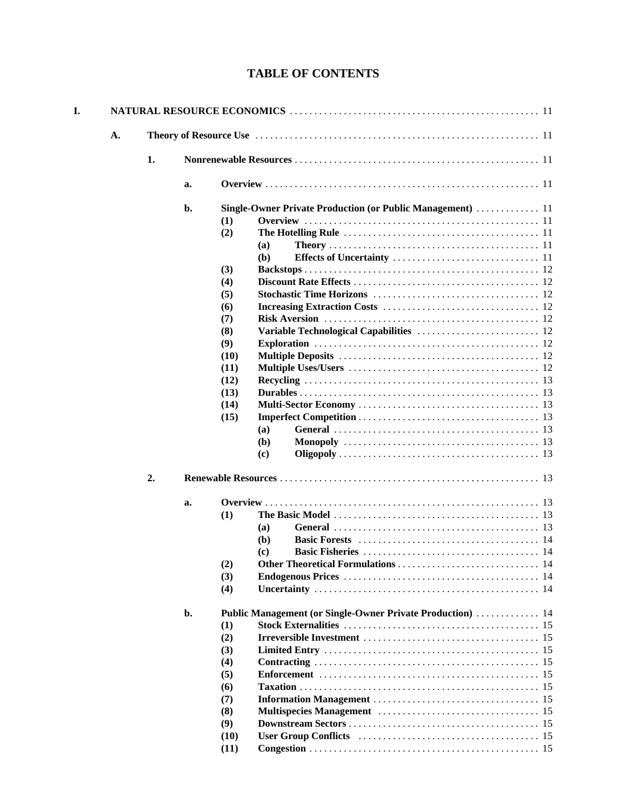# **TABLE OF CONTENTS**

| 1.<br>a.<br>b.<br>Single-Owner Private Production (or Public Management)  11<br>(1)<br>(2)<br>(a)<br><b>(b)</b><br>(3)<br>(4)<br>(5)<br>(6)<br>(7)<br>(8)<br>Variable Technological Capabilities  12<br>(9)<br>(10)<br>(11)<br>(12)<br>(13)<br>(14)<br>(15)<br>(a)<br>( <b>b</b> )<br>(c)<br>2.<br>a.<br>(1)<br><b>(a)</b><br>(b)<br>(c)<br>(2)<br>(3)<br>(4)<br>b.<br>Public Management (or Single-Owner Private Production)  14<br>(1)<br>(2)<br>(3)<br>(4)<br>(5)<br>(6)<br>(7)<br>(8)<br>(9) | A. |  |      |                                                                                                      |
|--------------------------------------------------------------------------------------------------------------------------------------------------------------------------------------------------------------------------------------------------------------------------------------------------------------------------------------------------------------------------------------------------------------------------------------------------------------------------------------------------|----|--|------|------------------------------------------------------------------------------------------------------|
|                                                                                                                                                                                                                                                                                                                                                                                                                                                                                                  |    |  |      |                                                                                                      |
|                                                                                                                                                                                                                                                                                                                                                                                                                                                                                                  |    |  |      |                                                                                                      |
|                                                                                                                                                                                                                                                                                                                                                                                                                                                                                                  |    |  |      |                                                                                                      |
|                                                                                                                                                                                                                                                                                                                                                                                                                                                                                                  |    |  |      |                                                                                                      |
|                                                                                                                                                                                                                                                                                                                                                                                                                                                                                                  |    |  |      |                                                                                                      |
|                                                                                                                                                                                                                                                                                                                                                                                                                                                                                                  |    |  |      |                                                                                                      |
|                                                                                                                                                                                                                                                                                                                                                                                                                                                                                                  |    |  |      |                                                                                                      |
|                                                                                                                                                                                                                                                                                                                                                                                                                                                                                                  |    |  |      |                                                                                                      |
|                                                                                                                                                                                                                                                                                                                                                                                                                                                                                                  |    |  |      |                                                                                                      |
|                                                                                                                                                                                                                                                                                                                                                                                                                                                                                                  |    |  |      |                                                                                                      |
|                                                                                                                                                                                                                                                                                                                                                                                                                                                                                                  |    |  |      |                                                                                                      |
|                                                                                                                                                                                                                                                                                                                                                                                                                                                                                                  |    |  |      |                                                                                                      |
|                                                                                                                                                                                                                                                                                                                                                                                                                                                                                                  |    |  |      |                                                                                                      |
|                                                                                                                                                                                                                                                                                                                                                                                                                                                                                                  |    |  |      |                                                                                                      |
|                                                                                                                                                                                                                                                                                                                                                                                                                                                                                                  |    |  |      |                                                                                                      |
|                                                                                                                                                                                                                                                                                                                                                                                                                                                                                                  |    |  |      |                                                                                                      |
|                                                                                                                                                                                                                                                                                                                                                                                                                                                                                                  |    |  |      |                                                                                                      |
|                                                                                                                                                                                                                                                                                                                                                                                                                                                                                                  |    |  |      |                                                                                                      |
|                                                                                                                                                                                                                                                                                                                                                                                                                                                                                                  |    |  |      |                                                                                                      |
|                                                                                                                                                                                                                                                                                                                                                                                                                                                                                                  |    |  |      |                                                                                                      |
|                                                                                                                                                                                                                                                                                                                                                                                                                                                                                                  |    |  |      |                                                                                                      |
|                                                                                                                                                                                                                                                                                                                                                                                                                                                                                                  |    |  |      |                                                                                                      |
|                                                                                                                                                                                                                                                                                                                                                                                                                                                                                                  |    |  |      |                                                                                                      |
|                                                                                                                                                                                                                                                                                                                                                                                                                                                                                                  |    |  |      |                                                                                                      |
|                                                                                                                                                                                                                                                                                                                                                                                                                                                                                                  |    |  |      |                                                                                                      |
|                                                                                                                                                                                                                                                                                                                                                                                                                                                                                                  |    |  |      | General $\ldots \ldots \ldots \ldots \ldots \ldots \ldots \ldots \ldots \ldots \ldots \ldots \ldots$ |
|                                                                                                                                                                                                                                                                                                                                                                                                                                                                                                  |    |  |      |                                                                                                      |
|                                                                                                                                                                                                                                                                                                                                                                                                                                                                                                  |    |  |      |                                                                                                      |
|                                                                                                                                                                                                                                                                                                                                                                                                                                                                                                  |    |  |      |                                                                                                      |
|                                                                                                                                                                                                                                                                                                                                                                                                                                                                                                  |    |  |      |                                                                                                      |
|                                                                                                                                                                                                                                                                                                                                                                                                                                                                                                  |    |  |      |                                                                                                      |
|                                                                                                                                                                                                                                                                                                                                                                                                                                                                                                  |    |  |      |                                                                                                      |
|                                                                                                                                                                                                                                                                                                                                                                                                                                                                                                  |    |  |      |                                                                                                      |
|                                                                                                                                                                                                                                                                                                                                                                                                                                                                                                  |    |  |      |                                                                                                      |
|                                                                                                                                                                                                                                                                                                                                                                                                                                                                                                  |    |  |      |                                                                                                      |
|                                                                                                                                                                                                                                                                                                                                                                                                                                                                                                  |    |  |      |                                                                                                      |
|                                                                                                                                                                                                                                                                                                                                                                                                                                                                                                  |    |  |      |                                                                                                      |
|                                                                                                                                                                                                                                                                                                                                                                                                                                                                                                  |    |  |      |                                                                                                      |
|                                                                                                                                                                                                                                                                                                                                                                                                                                                                                                  |    |  |      |                                                                                                      |
|                                                                                                                                                                                                                                                                                                                                                                                                                                                                                                  |    |  |      |                                                                                                      |
|                                                                                                                                                                                                                                                                                                                                                                                                                                                                                                  |    |  |      |                                                                                                      |
| (11)                                                                                                                                                                                                                                                                                                                                                                                                                                                                                             |    |  | (10) |                                                                                                      |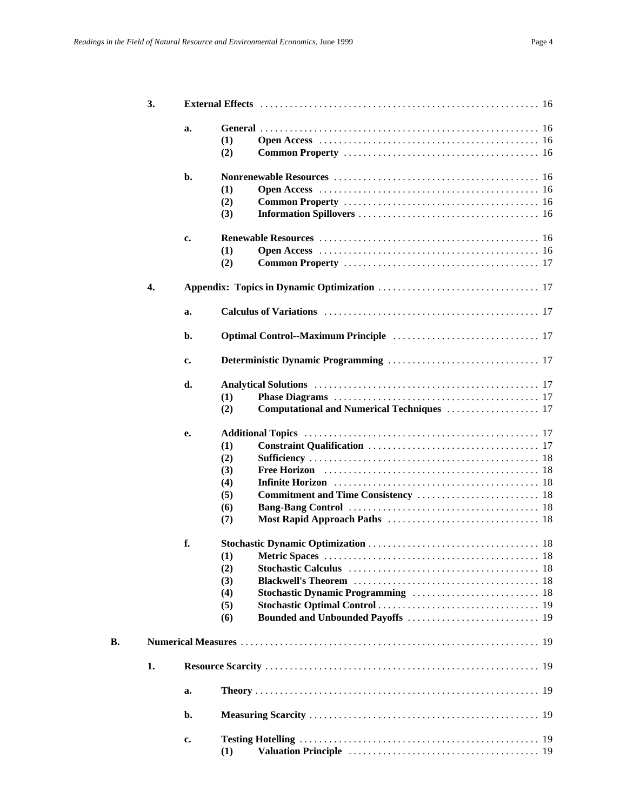|    | 3. |    |     |                                                                                                                 |  |  |  |  |  |
|----|----|----|-----|-----------------------------------------------------------------------------------------------------------------|--|--|--|--|--|
|    |    | a. |     |                                                                                                                 |  |  |  |  |  |
|    |    |    | (1) |                                                                                                                 |  |  |  |  |  |
|    |    |    | (2) |                                                                                                                 |  |  |  |  |  |
|    |    |    |     |                                                                                                                 |  |  |  |  |  |
|    |    | b. |     |                                                                                                                 |  |  |  |  |  |
|    |    |    | (1) |                                                                                                                 |  |  |  |  |  |
|    |    |    | (2) |                                                                                                                 |  |  |  |  |  |
|    |    |    | (3) |                                                                                                                 |  |  |  |  |  |
|    |    |    |     |                                                                                                                 |  |  |  |  |  |
|    |    | c. |     |                                                                                                                 |  |  |  |  |  |
|    |    |    | (1) |                                                                                                                 |  |  |  |  |  |
|    |    |    | (2) |                                                                                                                 |  |  |  |  |  |
|    | 4. |    |     |                                                                                                                 |  |  |  |  |  |
|    |    | a. |     | Calculus of Variations entertainment calculations of Variations of Variations of Variations entertainment and t |  |  |  |  |  |
|    |    |    |     |                                                                                                                 |  |  |  |  |  |
|    |    | b. |     |                                                                                                                 |  |  |  |  |  |
|    |    | c. |     |                                                                                                                 |  |  |  |  |  |
|    |    | d. |     |                                                                                                                 |  |  |  |  |  |
|    |    |    | (1) |                                                                                                                 |  |  |  |  |  |
|    |    |    |     | Computational and Numerical Techniques  17                                                                      |  |  |  |  |  |
|    |    |    | (2) |                                                                                                                 |  |  |  |  |  |
|    |    | e. |     |                                                                                                                 |  |  |  |  |  |
|    |    |    | (1) |                                                                                                                 |  |  |  |  |  |
|    |    |    | (2) |                                                                                                                 |  |  |  |  |  |
|    |    |    | (3) |                                                                                                                 |  |  |  |  |  |
|    |    |    | (4) |                                                                                                                 |  |  |  |  |  |
|    |    |    | (5) |                                                                                                                 |  |  |  |  |  |
|    |    |    | (6) |                                                                                                                 |  |  |  |  |  |
|    |    |    | (7) |                                                                                                                 |  |  |  |  |  |
|    |    |    |     |                                                                                                                 |  |  |  |  |  |
|    |    | f. |     |                                                                                                                 |  |  |  |  |  |
|    |    |    | (1) |                                                                                                                 |  |  |  |  |  |
|    |    |    | (2) |                                                                                                                 |  |  |  |  |  |
|    |    |    | (3) |                                                                                                                 |  |  |  |  |  |
|    |    |    | (4) |                                                                                                                 |  |  |  |  |  |
|    |    |    | (5) |                                                                                                                 |  |  |  |  |  |
|    |    |    | (6) |                                                                                                                 |  |  |  |  |  |
| В. |    |    |     |                                                                                                                 |  |  |  |  |  |
|    |    |    |     |                                                                                                                 |  |  |  |  |  |
|    | 1. |    |     |                                                                                                                 |  |  |  |  |  |
|    |    | a. |     |                                                                                                                 |  |  |  |  |  |
|    |    | b. |     |                                                                                                                 |  |  |  |  |  |
|    |    | c. |     |                                                                                                                 |  |  |  |  |  |
|    |    |    | (1) |                                                                                                                 |  |  |  |  |  |
|    |    |    |     |                                                                                                                 |  |  |  |  |  |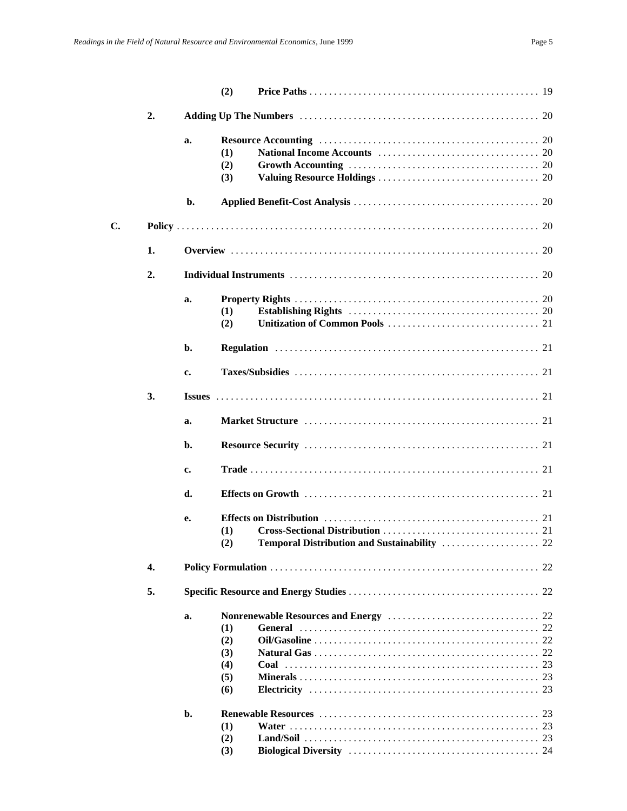|    |    |    | (2)                                    |  |  |  |  |
|----|----|----|----------------------------------------|--|--|--|--|
|    | 2. |    |                                        |  |  |  |  |
|    |    | a. | (1)<br>(2)<br>(3)                      |  |  |  |  |
|    |    | b. |                                        |  |  |  |  |
| C. |    |    |                                        |  |  |  |  |
|    | 1. |    |                                        |  |  |  |  |
|    | 2. |    |                                        |  |  |  |  |
|    |    | a. | (1)<br>(2)                             |  |  |  |  |
|    |    | b. |                                        |  |  |  |  |
|    |    | c. |                                        |  |  |  |  |
|    | 3. |    |                                        |  |  |  |  |
|    |    | a. |                                        |  |  |  |  |
|    |    | b. |                                        |  |  |  |  |
|    |    | c. |                                        |  |  |  |  |
|    |    | d. |                                        |  |  |  |  |
|    |    | e. | (1)<br>(2)                             |  |  |  |  |
|    | 4. |    |                                        |  |  |  |  |
|    | 5. |    |                                        |  |  |  |  |
|    |    | a. | (1)<br>(2)<br>(3)<br>(4)<br>(5)<br>(6) |  |  |  |  |
|    |    | b. | (1)<br>(2)<br>(3)                      |  |  |  |  |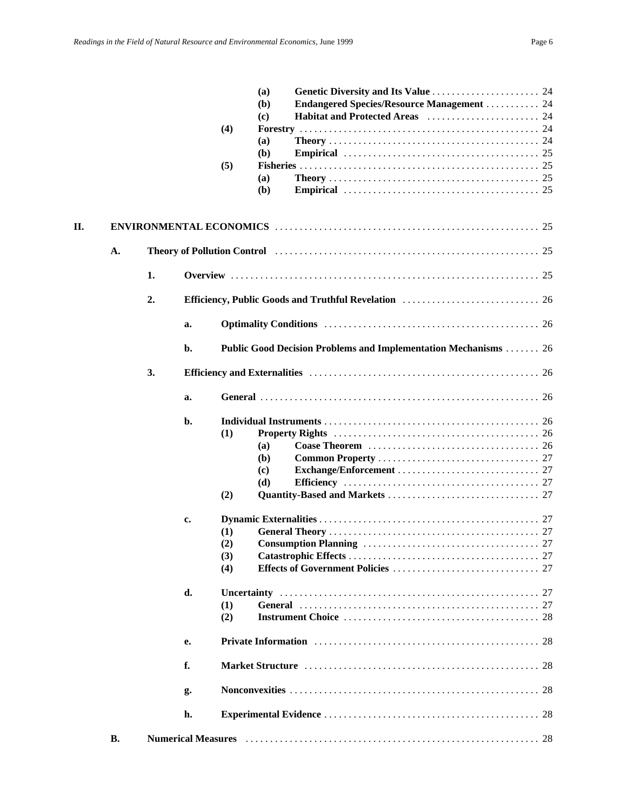|    |    |    |    |     | (a)          |                                                                                                                                                                                                                                |  |
|----|----|----|----|-----|--------------|--------------------------------------------------------------------------------------------------------------------------------------------------------------------------------------------------------------------------------|--|
|    |    |    |    |     | ( <b>b</b> ) | <b>Endangered Species/Resource Management  24</b>                                                                                                                                                                              |  |
|    |    |    |    |     | (c)          |                                                                                                                                                                                                                                |  |
|    |    |    |    | (4) |              |                                                                                                                                                                                                                                |  |
|    |    |    |    |     | (a)          |                                                                                                                                                                                                                                |  |
|    |    |    |    |     | (b)          |                                                                                                                                                                                                                                |  |
|    |    |    |    | (5) |              |                                                                                                                                                                                                                                |  |
|    |    |    |    |     | (a)<br>(b)   |                                                                                                                                                                                                                                |  |
|    |    |    |    |     |              |                                                                                                                                                                                                                                |  |
| П. |    |    |    |     |              |                                                                                                                                                                                                                                |  |
|    | A. |    |    |     |              | Theory of Pollution Control (and the control of the control of the control of the control of the control of the control of the control of the control of the control of the control of the control of the control of the contr |  |
|    |    | 1. |    |     |              |                                                                                                                                                                                                                                |  |
|    |    | 2. |    |     |              |                                                                                                                                                                                                                                |  |
|    |    |    | a. |     |              |                                                                                                                                                                                                                                |  |
|    |    |    | b. |     |              | <b>Public Good Decision Problems and Implementation Mechanisms  26</b>                                                                                                                                                         |  |
|    |    | 3. |    |     |              |                                                                                                                                                                                                                                |  |
|    |    |    | a. |     |              |                                                                                                                                                                                                                                |  |
|    |    |    | b. |     |              |                                                                                                                                                                                                                                |  |
|    |    |    |    | (1) |              |                                                                                                                                                                                                                                |  |
|    |    |    |    |     | (a)          |                                                                                                                                                                                                                                |  |
|    |    |    |    |     | (b)          |                                                                                                                                                                                                                                |  |
|    |    |    |    |     | (c)          |                                                                                                                                                                                                                                |  |
|    |    |    |    |     | (d)          |                                                                                                                                                                                                                                |  |
|    |    |    |    | (2) |              |                                                                                                                                                                                                                                |  |
|    |    |    | c. |     |              |                                                                                                                                                                                                                                |  |
|    |    |    |    | (1) |              |                                                                                                                                                                                                                                |  |
|    |    |    |    | (2) |              |                                                                                                                                                                                                                                |  |
|    |    |    |    | (3) |              |                                                                                                                                                                                                                                |  |
|    |    |    |    | (4) |              |                                                                                                                                                                                                                                |  |
|    |    |    | d. |     |              | 27                                                                                                                                                                                                                             |  |
|    |    |    |    | (1) |              | 27                                                                                                                                                                                                                             |  |
|    |    |    |    | (2) |              |                                                                                                                                                                                                                                |  |
|    |    |    | е. |     |              | 28                                                                                                                                                                                                                             |  |
|    |    |    | f. |     |              | 28                                                                                                                                                                                                                             |  |
|    |    |    | g. |     |              |                                                                                                                                                                                                                                |  |
|    |    |    | h. |     |              |                                                                                                                                                                                                                                |  |
|    | В. |    |    |     |              |                                                                                                                                                                                                                                |  |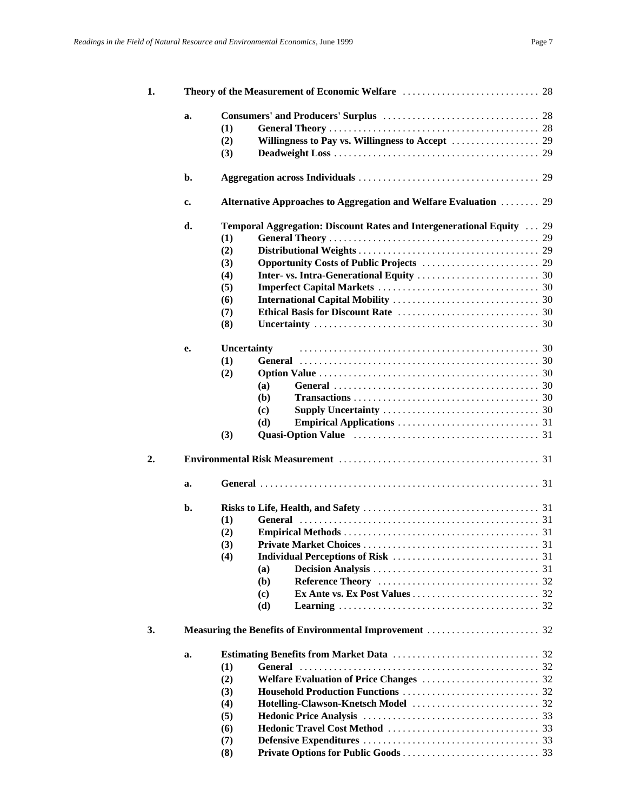| 1. |    |             |                |                                                                                                      |  |
|----|----|-------------|----------------|------------------------------------------------------------------------------------------------------|--|
|    | a. |             |                |                                                                                                      |  |
|    |    | (1)         |                |                                                                                                      |  |
|    |    | (2)         |                |                                                                                                      |  |
|    |    | (3)         |                |                                                                                                      |  |
|    | b. |             |                |                                                                                                      |  |
|    |    |             |                |                                                                                                      |  |
|    | c. |             |                | Alternative Approaches to Aggregation and Welfare Evaluation  29                                     |  |
|    | d. |             |                | <b>Temporal Aggregation: Discount Rates and Intergenerational Equity</b> 29                          |  |
|    |    | (1)         |                |                                                                                                      |  |
|    |    | (2)         |                |                                                                                                      |  |
|    |    | (3)         |                |                                                                                                      |  |
|    |    | (4)         |                |                                                                                                      |  |
|    |    | (5)         |                |                                                                                                      |  |
|    |    | (6)         |                |                                                                                                      |  |
|    |    | (7)         |                |                                                                                                      |  |
|    |    | (8)         |                |                                                                                                      |  |
|    | е. | Uncertainty |                |                                                                                                      |  |
|    |    | (1)         |                |                                                                                                      |  |
|    |    | (2)         |                |                                                                                                      |  |
|    |    |             | (a)            | General $\ldots \ldots \ldots \ldots \ldots \ldots \ldots \ldots \ldots \ldots \ldots \ldots \ldots$ |  |
|    |    |             | (b)            |                                                                                                      |  |
|    |    |             | (c)            |                                                                                                      |  |
|    |    |             | (d)            |                                                                                                      |  |
|    |    | (3)         |                |                                                                                                      |  |
| 2. |    |             |                |                                                                                                      |  |
|    | a. |             |                |                                                                                                      |  |
|    |    |             |                |                                                                                                      |  |
|    | b. |             |                |                                                                                                      |  |
|    |    | (1)         |                |                                                                                                      |  |
|    |    | (2)         |                |                                                                                                      |  |
|    |    | (3)         |                |                                                                                                      |  |
|    |    | (4)         |                |                                                                                                      |  |
|    |    |             | (a)            |                                                                                                      |  |
|    |    |             | (b)            |                                                                                                      |  |
|    |    |             | (c)            |                                                                                                      |  |
|    |    |             | (d)            |                                                                                                      |  |
| 3. |    |             |                |                                                                                                      |  |
|    | a. |             |                |                                                                                                      |  |
|    |    | (1)         | <b>General</b> |                                                                                                      |  |
|    |    | (2)         |                |                                                                                                      |  |
|    |    | (3)         |                |                                                                                                      |  |
|    |    | (4)         |                |                                                                                                      |  |
|    |    | (5)         |                |                                                                                                      |  |
|    |    | (6)         |                |                                                                                                      |  |
|    |    | (7)         |                |                                                                                                      |  |
|    |    | (8)         |                |                                                                                                      |  |
|    |    |             |                |                                                                                                      |  |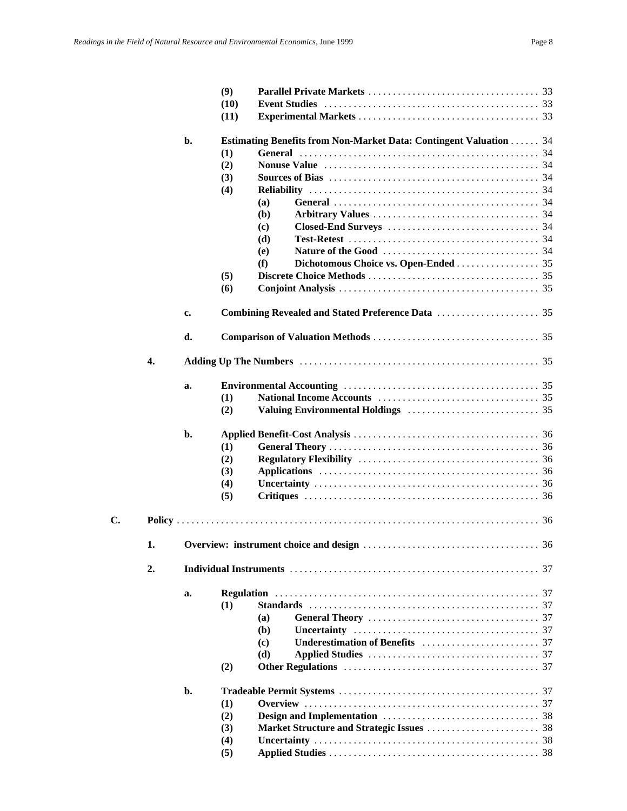|    |    |                | (9)  |                                                                           |
|----|----|----------------|------|---------------------------------------------------------------------------|
|    |    |                | (10) |                                                                           |
|    |    |                | (11) |                                                                           |
|    |    | b.             |      | <b>Estimating Benefits from Non-Market Data: Contingent Valuation  34</b> |
|    |    |                | (1)  |                                                                           |
|    |    |                | (2)  |                                                                           |
|    |    |                | (3)  |                                                                           |
|    |    |                | (4)  |                                                                           |
|    |    |                |      |                                                                           |
|    |    |                |      | (a)                                                                       |
|    |    |                |      | (b)                                                                       |
|    |    |                |      | (c)                                                                       |
|    |    |                |      | (d)                                                                       |
|    |    |                |      | (e)                                                                       |
|    |    |                |      | Dichotomous Choice vs. Open-Ended 35<br>(f)                               |
|    |    |                | (5)  |                                                                           |
|    |    |                | (6)  |                                                                           |
|    |    | c.             |      |                                                                           |
|    |    | d.             |      |                                                                           |
|    | 4. |                |      |                                                                           |
|    |    | a.             |      |                                                                           |
|    |    |                | (1)  |                                                                           |
|    |    |                | (2)  |                                                                           |
|    |    | b.             |      |                                                                           |
|    |    |                | (1)  |                                                                           |
|    |    |                | (2)  |                                                                           |
|    |    |                | (3)  |                                                                           |
|    |    |                |      |                                                                           |
|    |    |                | (4)  |                                                                           |
|    |    |                | (5)  |                                                                           |
| C. |    |                |      |                                                                           |
|    | 1. |                |      | 36                                                                        |
|    | 2. |                |      |                                                                           |
|    |    | a.             |      |                                                                           |
|    |    |                |      |                                                                           |
|    |    |                | (1)  |                                                                           |
|    |    |                |      | (a)                                                                       |
|    |    |                |      | ( <b>b</b> )                                                              |
|    |    |                |      | (c)                                                                       |
|    |    |                |      | (d)                                                                       |
|    |    |                | (2)  |                                                                           |
|    |    | $\mathbf{b}$ . |      |                                                                           |
|    |    |                | (1)  |                                                                           |
|    |    |                | (2)  |                                                                           |
|    |    |                | (3)  |                                                                           |
|    |    |                | (4)  |                                                                           |
|    |    |                | (5)  |                                                                           |
|    |    |                |      |                                                                           |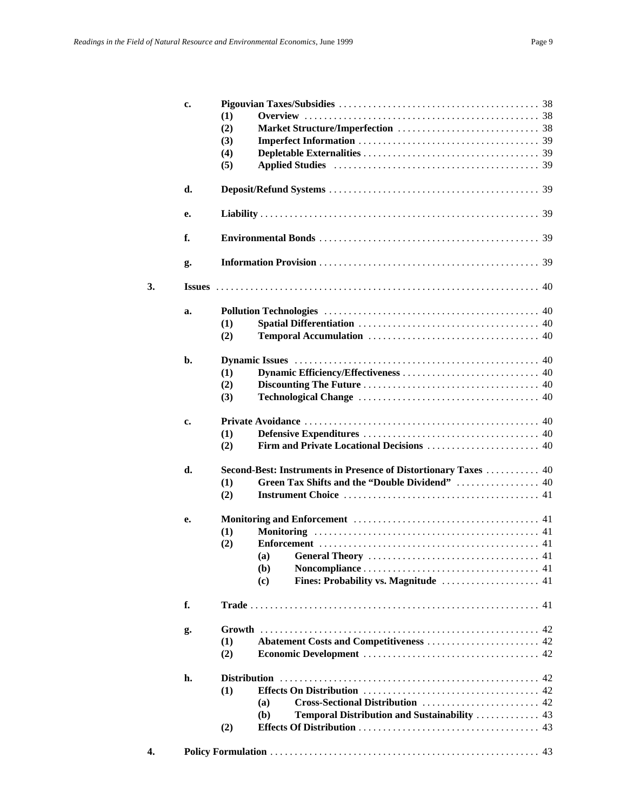|    | c.            |     |                                                                 |
|----|---------------|-----|-----------------------------------------------------------------|
|    |               | (1) |                                                                 |
|    |               | (2) |                                                                 |
|    |               | (3) |                                                                 |
|    |               | (4) |                                                                 |
|    |               | (5) |                                                                 |
|    | d.            |     |                                                                 |
|    | e.            |     |                                                                 |
|    | f.            |     |                                                                 |
|    | g.            |     |                                                                 |
| 3. | <b>Issues</b> |     |                                                                 |
|    | a.            |     |                                                                 |
|    |               | (1) |                                                                 |
|    |               | (2) |                                                                 |
|    | b.            |     |                                                                 |
|    |               | (1) |                                                                 |
|    |               | (2) |                                                                 |
|    |               | (3) |                                                                 |
|    | c.            |     |                                                                 |
|    |               | (1) |                                                                 |
|    |               | (2) |                                                                 |
|    | d.            |     | Second-Best: Instruments in Presence of Distortionary Taxes  40 |
|    |               | (1) | Green Tax Shifts and the "Double Dividend"  40                  |
|    |               | (2) |                                                                 |
|    | e.            |     |                                                                 |
|    |               | (1) |                                                                 |
|    |               | (2) |                                                                 |
|    |               |     | (a)                                                             |
|    |               |     | (b)                                                             |
|    |               |     | $\left( \mathbf{c} \right)$                                     |
|    | f.            |     |                                                                 |
|    | g.            |     |                                                                 |
|    |               | (1) |                                                                 |
|    |               | (2) |                                                                 |
|    | h.            |     |                                                                 |
|    |               | (1) |                                                                 |
|    |               |     | Cross-Sectional Distribution  42<br>(a)                         |
|    |               |     | (b)<br><b>Temporal Distribution and Sustainability  43</b>      |
|    |               | (2) |                                                                 |
| 4. |               |     |                                                                 |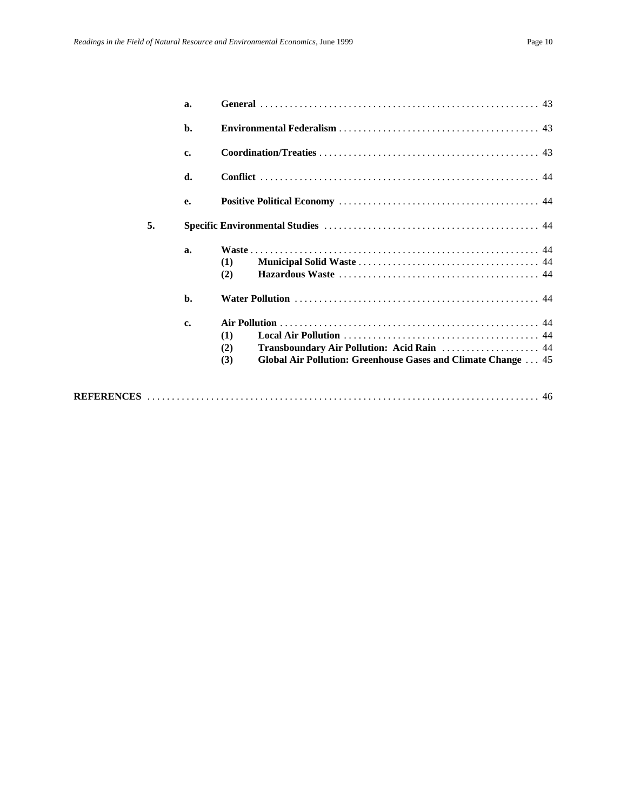|    | a. |                                                                                                                                  |
|----|----|----------------------------------------------------------------------------------------------------------------------------------|
|    | b. |                                                                                                                                  |
|    | c. |                                                                                                                                  |
|    | d. |                                                                                                                                  |
|    | e. |                                                                                                                                  |
| 5. |    |                                                                                                                                  |
|    | a. | (1)<br>(2)                                                                                                                       |
|    | b. |                                                                                                                                  |
|    | c. | (1)<br>Transboundary Air Pollution: Acid Rain  44<br>(2)<br>Global Air Pollution: Greenhouse Gases and Climate Change  45<br>(3) |
|    |    |                                                                                                                                  |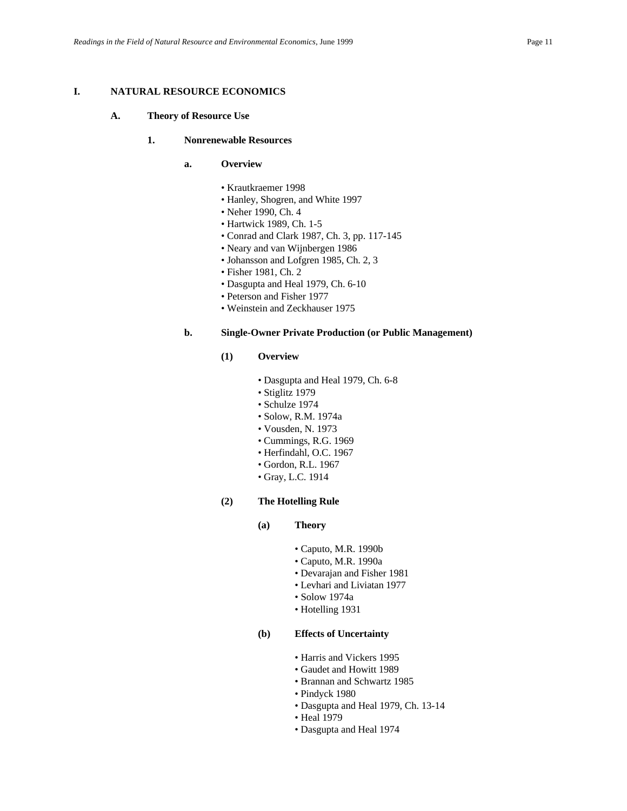### **I. NATURAL RESOURCE ECONOMICS**

#### **A. Theory of Resource Use**

#### **1. Nonrenewable Resources**

- **a. Overview**
	- Krautkraemer 1998
	- Hanley, Shogren, and White 1997
	- Neher 1990, Ch. 4
	- Hartwick 1989, Ch. 1-5
	- Conrad and Clark 1987, Ch. 3, pp. 117-145
	- Neary and van Wijnbergen 1986
	- Johansson and Lofgren 1985, Ch. 2, 3
	- Fisher 1981, Ch. 2
	- Dasgupta and Heal 1979, Ch. 6-10
	- Peterson and Fisher 1977
	- Weinstein and Zeckhauser 1975

### **b. Single-Owner Private Production (or Public Management)**

#### **(1) Overview**

- Dasgupta and Heal 1979, Ch. 6-8
- Stiglitz 1979
- Schulze 1974
- Solow, R.M. 1974a
- Vousden, N. 1973
- Cummings, R.G. 1969
- Herfindahl, O.C. 1967
- Gordon, R.L. 1967
- Gray, L.C. 1914

### **(2) The Hotelling Rule**

- **(a) Theory**
	- Caputo, M.R. 1990b
	- Caputo, M.R. 1990a
	- Devarajan and Fisher 1981
	- Levhari and Liviatan 1977
	- Solow 1974a
	- Hotelling 1931

### **(b) Effects of Uncertainty**

- Harris and Vickers 1995
- Gaudet and Howitt 1989
- Brannan and Schwartz 1985
- Pindyck 1980
- Dasgupta and Heal 1979, Ch. 13-14
- Heal 1979
- Dasgupta and Heal 1974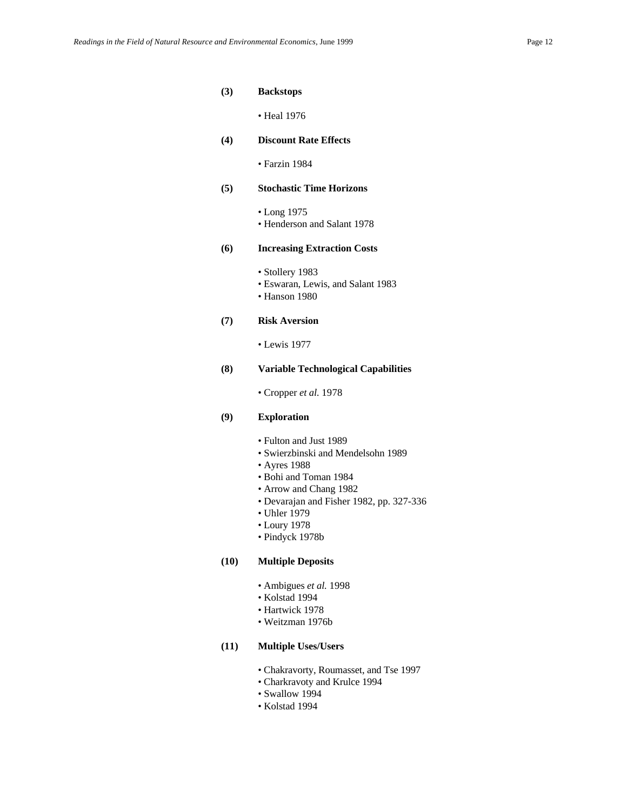- **(3) Backstops**
	- Heal 1976
- **(4) Discount Rate Effects**
	- Farzin 1984
- **(5) Stochastic Time Horizons**
	- Long 1975 • Henderson and Salant 1978
	-

### **(6) Increasing Extraction Costs**

- Stollery 1983
- Eswaran, Lewis, and Salant 1983
- Hanson 1980

### **(7) Risk Aversion**

• Lewis 1977

### **(8) Variable Technological Capabilities**

• Cropper *et al.* 1978

### **(9) Exploration**

- Fulton and Just 1989
- Swierzbinski and Mendelsohn 1989
- Ayres 1988
- Bohi and Toman 1984
- Arrow and Chang 1982
- Devarajan and Fisher 1982, pp. 327-336
- Uhler 1979
- Loury 1978
- Pindyck 1978b

#### **(10) Multiple Deposits**

- Ambigues *et al.* 1998
- Kolstad 1994
- Hartwick 1978
- Weitzman 1976b

#### **(11) Multiple Uses/Users**

- Chakravorty, Roumasset, and Tse 1997
- Charkravoty and Krulce 1994
- Swallow 1994
- Kolstad 1994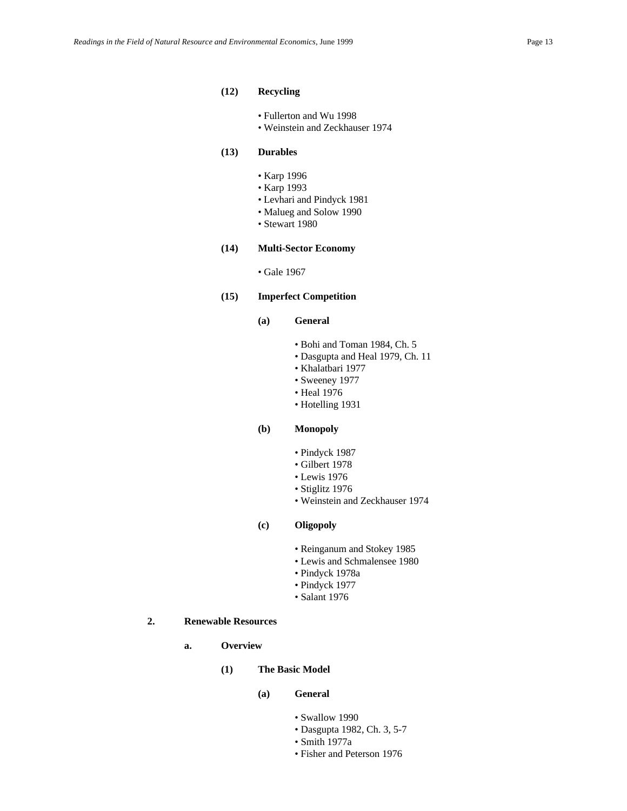#### **(12) Recycling**

- Fullerton and Wu 1998
- Weinstein and Zeckhauser 1974

### **(13) Durables**

- Karp 1996
- Karp 1993
- Levhari and Pindyck 1981
- Malueg and Solow 1990
- Stewart 1980

### **(14) Multi-Sector Economy**

• Gale 1967

### **(15) Imperfect Competition**

### **(a) General**

- Bohi and Toman 1984, Ch. 5
- Dasgupta and Heal 1979, Ch. 11
- Khalatbari 1977
- Sweeney 1977
- Heal 1976
- Hotelling 1931

### **(b) Monopoly**

- Pindyck 1987
- Gilbert 1978
- Lewis 1976
- Stiglitz 1976
- Weinstein and Zeckhauser 1974

### **(c) Oligopoly**

- Reinganum and Stokey 1985
- Lewis and Schmalensee 1980
- Pindyck 1978a
- Pindyck 1977
- Salant 1976

### **2. Renewable Resources**

- **a. Overview**
	- **(1) The Basic Model**
		- **(a) General**
			- Swallow 1990
			- Dasgupta 1982, Ch. 3, 5-7
			- Smith 1977a
			- Fisher and Peterson 1976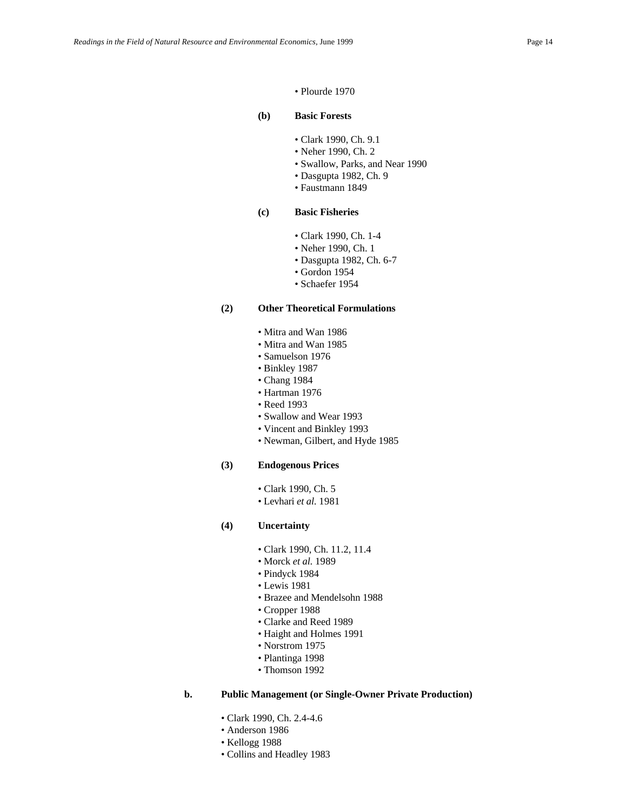#### • Plourde 1970

### **(b) Basic Forests**

- Clark 1990, Ch. 9.1
- Neher 1990, Ch. 2
- Swallow, Parks, and Near 1990
- Dasgupta 1982, Ch. 9
- Faustmann 1849

#### **(c) Basic Fisheries**

- Clark 1990, Ch. 1-4
- Neher 1990, Ch. 1
- Dasgupta 1982, Ch. 6-7
- Gordon 1954
- Schaefer 1954

#### **(2) Other Theoretical Formulations**

- Mitra and Wan 1986
- Mitra and Wan 1985
- Samuelson 1976
- Binkley 1987
- Chang 1984
- Hartman 1976
- Reed 1993
- Swallow and Wear 1993
- Vincent and Binkley 1993
- Newman, Gilbert, and Hyde 1985

#### **(3) Endogenous Prices**

- Clark 1990, Ch. 5
- Levhari *et al.* 1981
- **(4) Uncertainty**
	- Clark 1990, Ch. 11.2, 11.4
	- Morck *et al.* 1989
	- Pindyck 1984
	- Lewis 1981
	- Brazee and Mendelsohn 1988
	- Cropper 1988
	- Clarke and Reed 1989
	- Haight and Holmes 1991
	- Norstrom 1975
	- Plantinga 1998
	- Thomson 1992

#### **b. Public Management (or Single-Owner Private Production)**

- Clark 1990, Ch. 2.4-4.6
- Anderson 1986
- Kellogg 1988
- Collins and Headley 1983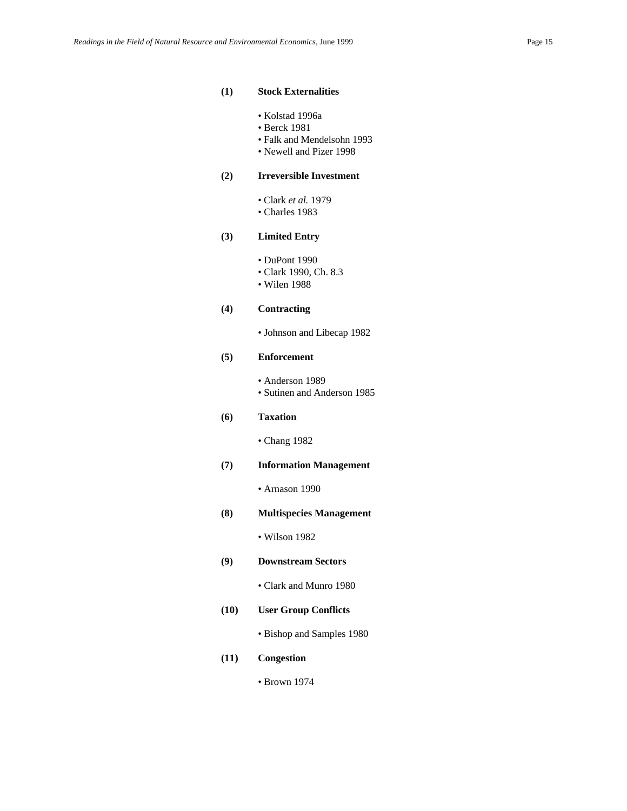#### **(1) Stock Externalities**

- Kolstad 1996a
- Berck 1981
- Falk and Mendelsohn 1993
- Newell and Pizer 1998

### **(2) Irreversible Investment**

- Clark *et al.* 1979
- Charles 1983

### **(3) Limited Entry**

- DuPont 1990
	- Clark 1990, Ch. 8.3
	- Wilen 1988

#### **(4) Contracting**

• Johnson and Libecap 1982

#### **(5) Enforcement**

• Anderson 1989 • Sutinen and Anderson 1985

### **(6) Taxation**

• Chang 1982

### **(7) Information Management**

• Arnason 1990

### **(8) Multispecies Management**

• Wilson 1982

- **(9) Downstream Sectors**
	- Clark and Munro 1980

### **(10) User Group Conflicts**

• Bishop and Samples 1980

### **(11) Congestion**

• Brown 1974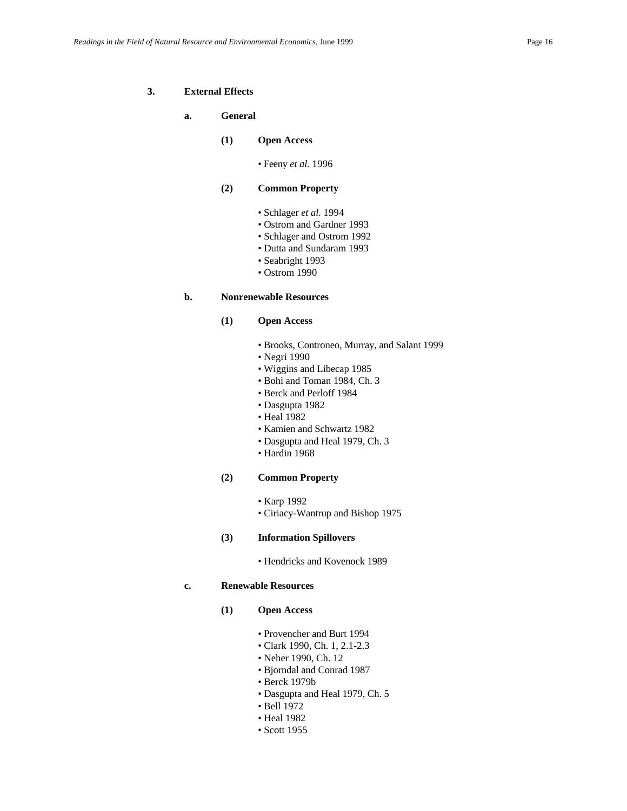#### **3. External Effects**

#### **a. General**

### **(1) Open Access**

• Feeny *et al.* 1996

#### **(2) Common Property**

- Schlager *et al.* 1994
- Ostrom and Gardner 1993
- Schlager and Ostrom 1992
- Dutta and Sundaram 1993
- Seabright 1993
- Ostrom 1990

#### **b. Nonrenewable Resources**

### **(1) Open Access**

- Brooks, Controneo, Murray, and Salant 1999
- Negri 1990
- Wiggins and Libecap 1985
- Bohi and Toman 1984, Ch. 3
- Berck and Perloff 1984
- Dasgupta 1982
- Heal 1982
- Kamien and Schwartz 1982
- Dasgupta and Heal 1979, Ch. 3
- Hardin 1968

#### **(2) Common Property**

- Karp 1992
- Ciriacy-Wantrup and Bishop 1975

#### **(3) Information Spillovers**

• Hendricks and Kovenock 1989

### **c. Renewable Resources**

- **(1) Open Access**
	- Provencher and Burt 1994
	- Clark 1990, Ch. 1, 2.1-2.3
	- Neher 1990, Ch. 12
	- Bjorndal and Conrad 1987
	- Berck 1979b
	- Dasgupta and Heal 1979, Ch. 5
	- Bell 1972
	- Heal 1982
	- Scott 1955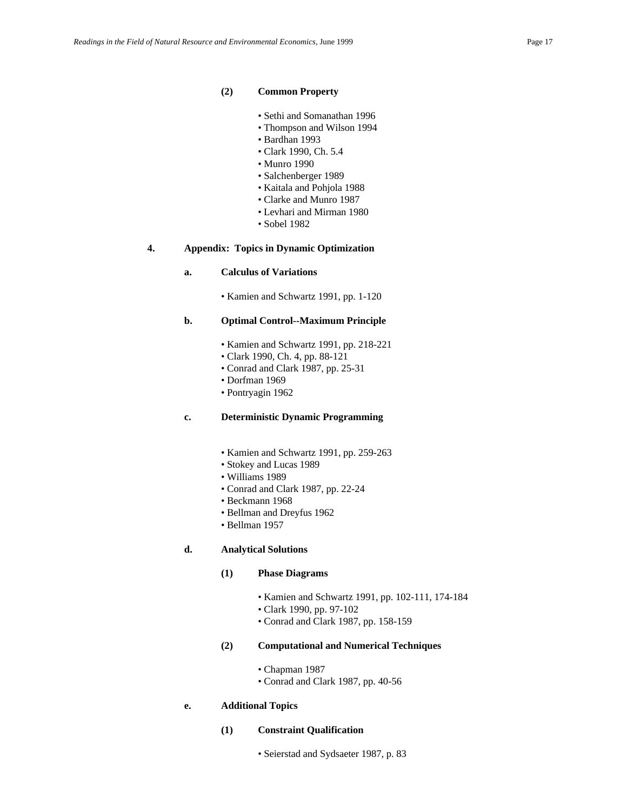#### **(2) Common Property**

- Sethi and Somanathan 1996
- Thompson and Wilson 1994
- Bardhan 1993
- Clark 1990, Ch. 5.4
- Munro 1990
- Salchenberger 1989
- Kaitala and Pohjola 1988
- Clarke and Munro 1987
- Levhari and Mirman 1980
- Sobel 1982

### **4. Appendix: Topics in Dynamic Optimization**

#### **a. Calculus of Variations**

• Kamien and Schwartz 1991, pp. 1-120

#### **b. Optimal Control--Maximum Principle**

- Kamien and Schwartz 1991, pp. 218-221
- Clark 1990, Ch. 4, pp. 88-121
- Conrad and Clark 1987, pp. 25-31
- Dorfman 1969
- Pontryagin 1962

### **c. Deterministic Dynamic Programming**

- Kamien and Schwartz 1991, pp. 259-263
- Stokey and Lucas 1989
- Williams 1989
- Conrad and Clark 1987, pp. 22-24
- Beckmann 1968
- Bellman and Dreyfus 1962
- Bellman 1957

#### **d. Analytical Solutions**

### **(1) Phase Diagrams**

- Kamien and Schwartz 1991, pp. 102-111, 174-184
- Clark 1990, pp. 97-102
- Conrad and Clark 1987, pp. 158-159
- **(2) Computational and Numerical Techniques**
	- Chapman 1987
	- Conrad and Clark 1987, pp. 40-56

#### **e. Additional Topics**

- **(1) Constraint Qualification**
	- Seierstad and Sydsaeter 1987, p. 83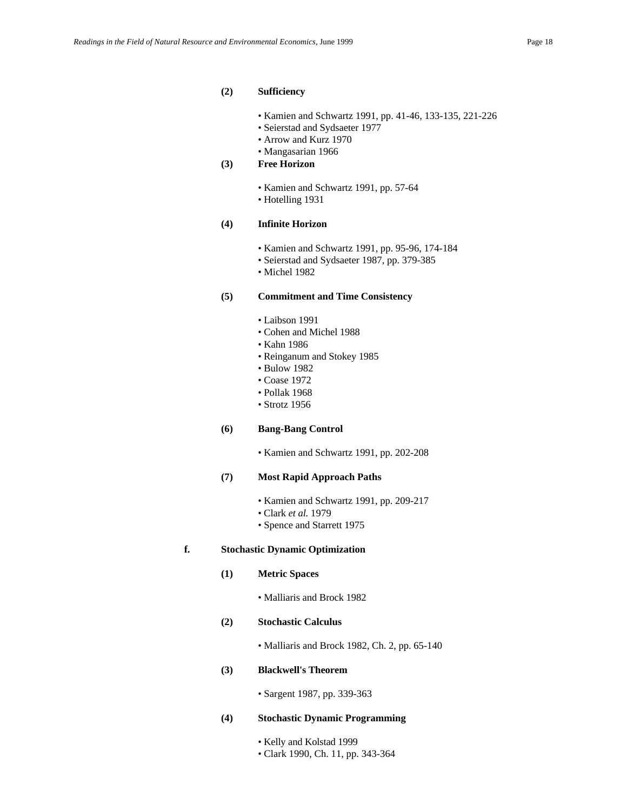#### **(2) Sufficiency**

- Kamien and Schwartz 1991, pp. 41-46, 133-135, 221-226
- Seierstad and Sydsaeter 1977
- Arrow and Kurz 1970
- Mangasarian 1966

### **(3) Free Horizon**

• Kamien and Schwartz 1991, pp. 57-64 • Hotelling 1931

### **(4) Infinite Horizon**

- Kamien and Schwartz 1991, pp. 95-96, 174-184
- Seierstad and Sydsaeter 1987, pp. 379-385
- Michel 1982

#### **(5) Commitment and Time Consistency**

- Laibson 1991
- Cohen and Michel 1988
- Kahn 1986
- Reinganum and Stokey 1985
- Bulow 1982
- Coase 1972
- Pollak 1968
- Strotz 1956

### **(6) Bang-Bang Control**

• Kamien and Schwartz 1991, pp. 202-208

### **(7) Most Rapid Approach Paths**

- Kamien and Schwartz 1991, pp. 209-217
- Clark *et al.* 1979
- Spence and Starrett 1975

### **f. Stochastic Dynamic Optimization**

**(1) Metric Spaces**

• Malliaris and Brock 1982

#### **(2) Stochastic Calculus**

• Malliaris and Brock 1982, Ch. 2, pp. 65-140

### **(3) Blackwell's Theorem**

• Sargent 1987, pp. 339-363

#### **(4) Stochastic Dynamic Programming**

- Kelly and Kolstad 1999
- Clark 1990, Ch. 11, pp. 343-364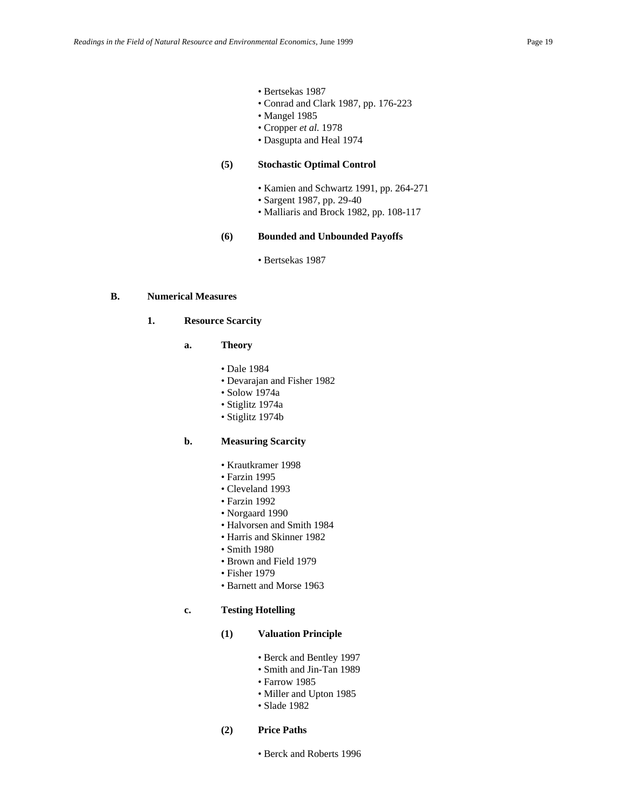- Bertsekas 1987
- Conrad and Clark 1987, pp. 176-223
- Mangel 1985
- Cropper *et al.* 1978
- Dasgupta and Heal 1974

### **(5) Stochastic Optimal Control**

- Kamien and Schwartz 1991, pp. 264-271
- Sargent 1987, pp. 29-40
- Malliaris and Brock 1982, pp. 108-117

### **(6) Bounded and Unbounded Payoffs**

• Bertsekas 1987

### **B. Numerical Measures**

#### **1. Resource Scarcity**

- **a. Theory**
	- Dale 1984
	- Devarajan and Fisher 1982
	- Solow 1974a
	- Stiglitz 1974a
	- Stiglitz 1974b

### **b. Measuring Scarcity**

- Krautkramer 1998
- Farzin 1995
- Cleveland 1993
- Farzin 1992
- Norgaard 1990
- Halvorsen and Smith 1984
- Harris and Skinner 1982
- Smith 1980
- Brown and Field 1979
- Fisher 1979
- Barnett and Morse 1963

### **c. Testing Hotelling**

### **(1) Valuation Principle**

- Berck and Bentley 1997
- Smith and Jin-Tan 1989
- Farrow 1985
- Miller and Upton 1985
- Slade 1982
- **(2) Price Paths**
	- Berck and Roberts 1996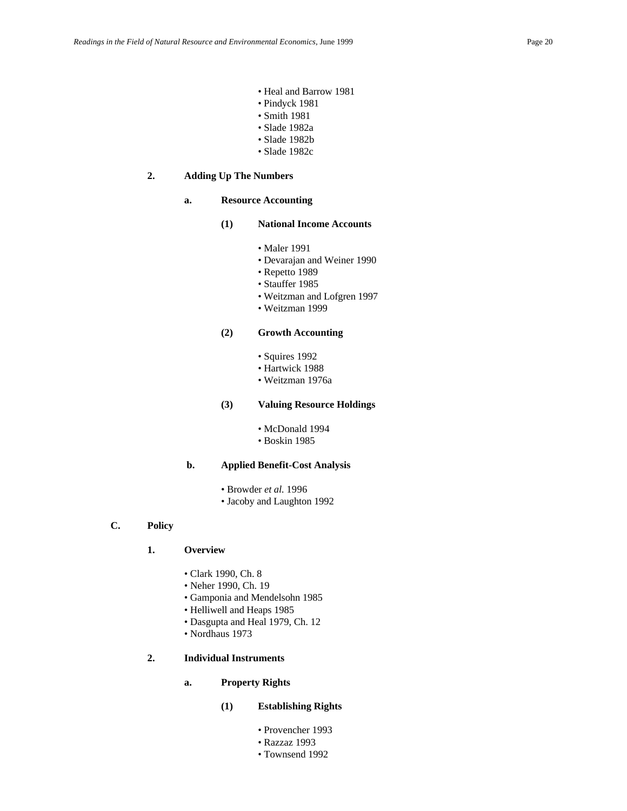- Heal and Barrow 1981
- Pindyck 1981
- Smith 1981
- Slade 1982a
- Slade 1982b
- Slade 1982c

### **2. Adding Up The Numbers**

#### **a. Resource Accounting**

- **(1) National Income Accounts**
	- Maler 1991
	- Devarajan and Weiner 1990
	- Repetto 1989
	- Stauffer 1985
	- Weitzman and Lofgren 1997
	- Weitzman 1999

### **(2) Growth Accounting**

- Squires 1992
- Hartwick 1988
- Weitzman 1976a

### **(3) Valuing Resource Holdings**

- McDonald 1994
- Boskin 1985

#### **b. Applied Benefit-Cost Analysis**

- Browder *et al.* 1996
- Jacoby and Laughton 1992
- **C. Policy**

#### **1. Overview**

- Clark 1990, Ch. 8
- Neher 1990, Ch. 19
- Gamponia and Mendelsohn 1985
- Helliwell and Heaps 1985
- Dasgupta and Heal 1979, Ch. 12
- Nordhaus 1973

### **2. Individual Instruments**

### **a. Property Rights**

### **(1) Establishing Rights**

- Provencher 1993
- Razzaz 1993
- Townsend 1992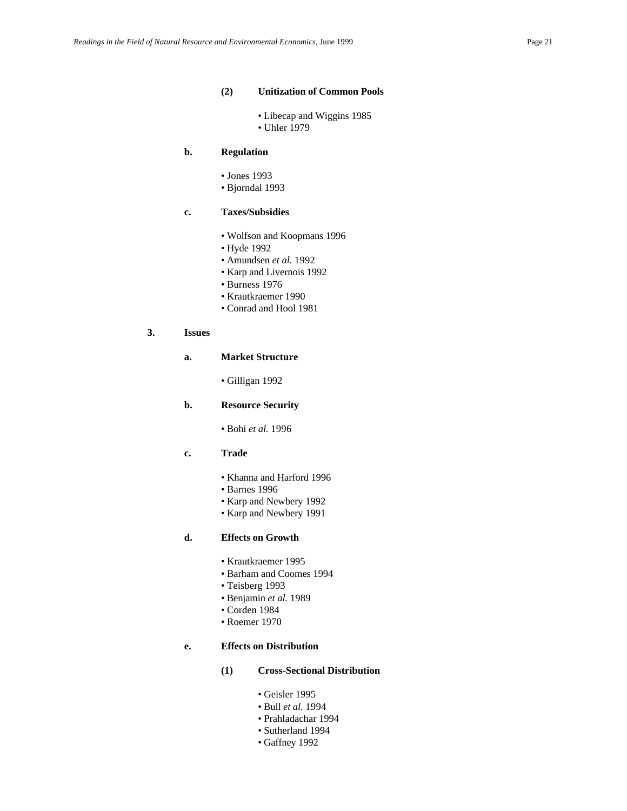#### **(2) Unitization of Common Pools**

• Libecap and Wiggins 1985 • Uhler 1979

### **b. Regulation**

- Jones 1993
- Bjorndal 1993

### **c. Taxes/Subsidies**

- Wolfson and Koopmans 1996
- Hyde 1992
- Amundsen *et al.* 1992
- Karp and Livernois 1992
- Burness 1976
- Krautkraemer 1990
- Conrad and Hool 1981

### **3. Issues**

#### **a. Market Structure**

• Gilligan 1992

### **b. Resource Security**

• Bohi *et al.* 1996

#### **c. Trade**

- Khanna and Harford 1996
- Barnes 1996
- Karp and Newbery 1992
- Karp and Newbery 1991

#### **d. Effects on Growth**

- Krautkraemer 1995
- Barham and Coomes 1994
- Teisberg 1993
- Benjamin *et al.* 1989
- Corden 1984
- Roemer 1970

#### **e. Effects on Distribution**

- **(1) Cross-Sectional Distribution**
	- Geisler 1995
	- Bull *et al.* 1994
	- Prahladachar 1994
	- Sutherland 1994
	- Gaffney 1992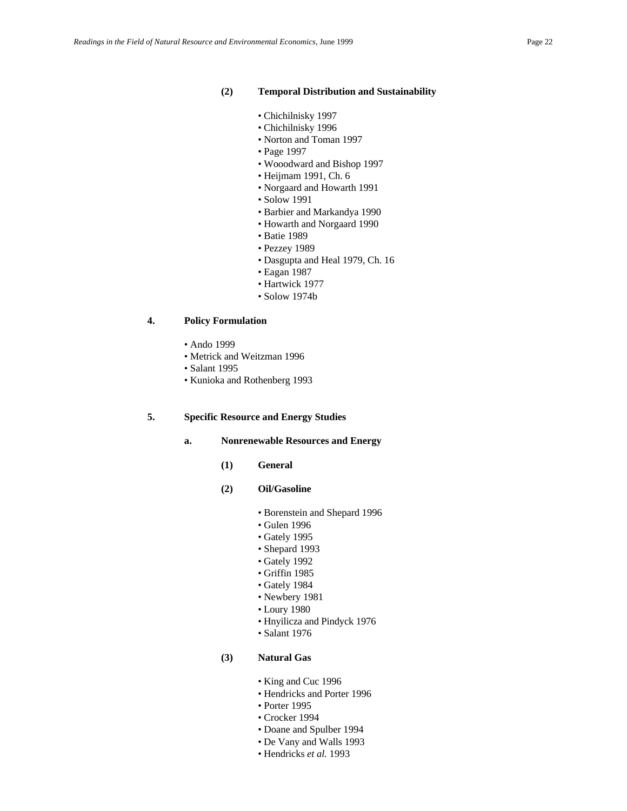#### **(2) Temporal Distribution and Sustainability**

- Chichilnisky 1997
- Chichilnisky 1996
- Norton and Toman 1997
- Page 1997
- Wooodward and Bishop 1997
- Heijmam 1991, Ch. 6
- Norgaard and Howarth 1991
- Solow 1991
- Barbier and Markandya 1990
- Howarth and Norgaard 1990
- Batie 1989
- Pezzey 1989
- Dasgupta and Heal 1979, Ch. 16
- Eagan 1987
- Hartwick 1977
- Solow 1974b

### **4. Policy Formulation**

- Ando 1999
- Metrick and Weitzman 1996
- Salant 1995
- Kunioka and Rothenberg 1993

### **5. Specific Resource and Energy Studies**

- **a. Nonrenewable Resources and Energy**
	- **(1) General**
	- **(2) Oil/Gasoline**
		- Borenstein and Shepard 1996
		- Gulen 1996
		- Gately 1995
		- Shepard 1993
		- Gately 1992
		- Griffin 1985
		- Gately 1984
		- Newbery 1981
		- Loury 1980
		- Hnyilicza and Pindyck 1976
		- Salant 1976

### **(3) Natural Gas**

- King and Cuc 1996
- Hendricks and Porter 1996
- Porter 1995
- Crocker 1994
- Doane and Spulber 1994
- De Vany and Walls 1993
- Hendricks *et al.* 1993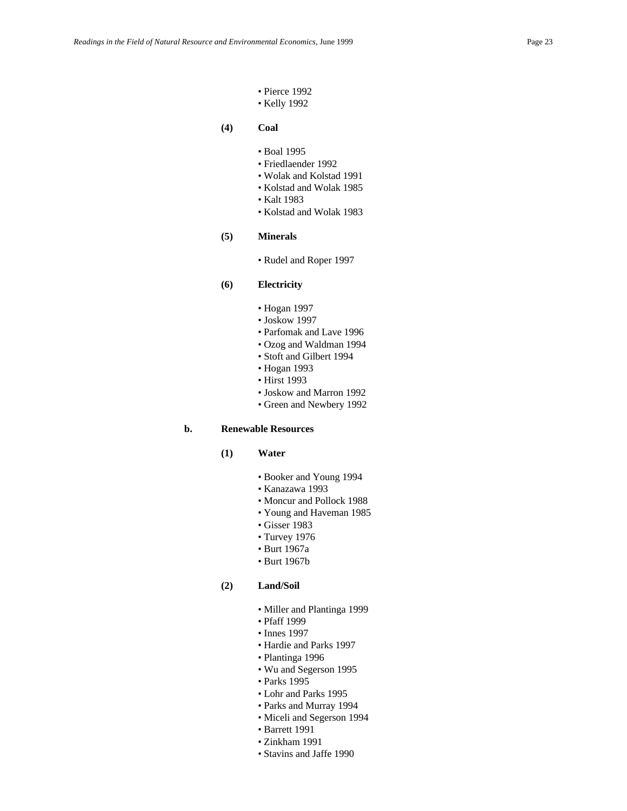- Pierce 1992
- Kelly 1992
- **(4) Coal**
	- Boal 1995
	- Friedlaender 1992
	- Wolak and Kolstad 1991
	- Kolstad and Wolak 1985
	- Kalt 1983
	- Kolstad and Wolak 1983
- **(5) Minerals**
	- Rudel and Roper 1997

### **(6) Electricity**

- Hogan 1997
- Joskow 1997
- Parfomak and Lave 1996
- Ozog and Waldman 1994
- Stoft and Gilbert 1994
- Hogan 1993
- Hirst 1993
- Joskow and Marron 1992
- Green and Newbery 1992

#### **b. Renewable Resources**

- **(1) Water**
	- Booker and Young 1994
	- Kanazawa 1993
	- Moncur and Pollock 1988
	- Young and Haveman 1985
	- Gisser 1983
	- Turvey 1976
	- Burt 1967a
	- Burt 1967b

### **(2) Land/Soil**

- Miller and Plantinga 1999
- Pfaff 1999
- Innes 1997
- Hardie and Parks 1997
- Plantinga 1996
- Wu and Segerson 1995
- Parks 1995
- Lohr and Parks 1995
- Parks and Murray 1994
- Miceli and Segerson 1994
- Barrett 1991
- Zinkham 1991
- Stavins and Jaffe 1990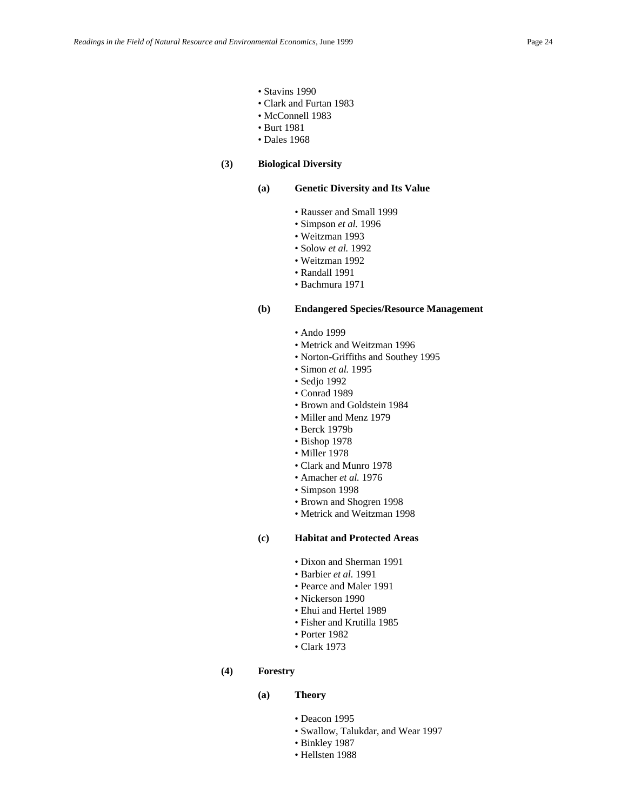- Stavins 1990
- Clark and Furtan 1983
- McConnell 1983
- Burt 1981
- Dales 1968

### **(3) Biological Diversity**

#### **(a) Genetic Diversity and Its Value**

- Rausser and Small 1999
- Simpson *et al.* 1996
- Weitzman 1993
- Solow *et al.* 1992
- Weitzman 1992
- Randall 1991
- Bachmura 1971

### **(b) Endangered Species/Resource Management**

- Ando 1999
- Metrick and Weitzman 1996
- Norton-Griffiths and Southey 1995
- Simon *et al.* 1995
- Sedjo 1992
- Conrad 1989
- Brown and Goldstein 1984
- Miller and Menz 1979
- Berck 1979b
- Bishop 1978
- Miller 1978
- Clark and Munro 1978
- Amacher *et al.* 1976
- Simpson 1998
- Brown and Shogren 1998
- Metrick and Weitzman 1998

#### **(c) Habitat and Protected Areas**

- Dixon and Sherman 1991
- Barbier *et al.* 1991
- Pearce and Maler 1991
- Nickerson 1990
- Ehui and Hertel 1989
- Fisher and Krutilla 1985
- Porter 1982
- Clark 1973
- **(4) Forestry**
	- **(a) Theory**
		- Deacon 1995
		- Swallow, Talukdar, and Wear 1997
		- Binkley 1987
		- Hellsten 1988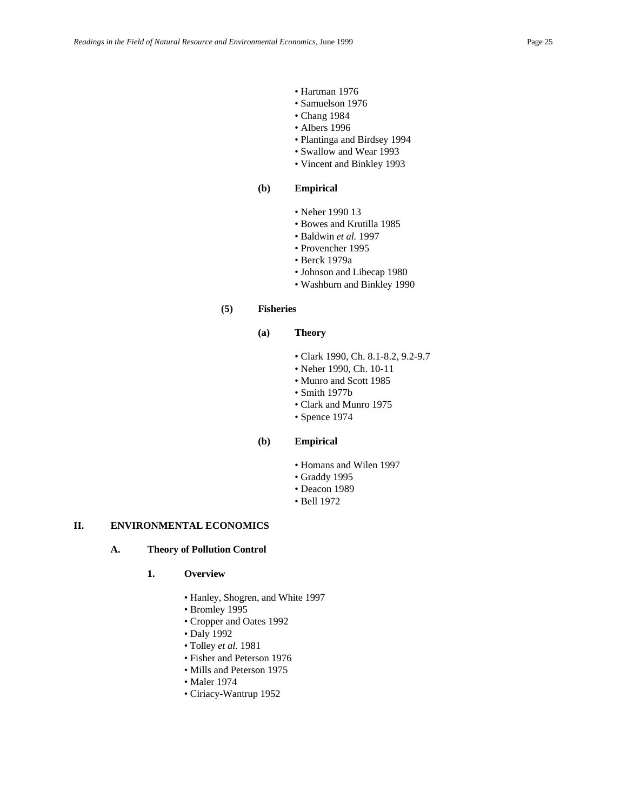- Hartman 1976
- Samuelson 1976
- Chang 1984
- Albers 1996
- Plantinga and Birdsey 1994
- Swallow and Wear 1993
- Vincent and Binkley 1993

### **(b) Empirical**

- Neher 1990 13
- Bowes and Krutilla 1985
- Baldwin *et al.* 1997
- Provencher 1995
- Berck 1979a
- Johnson and Libecap 1980
- Washburn and Binkley 1990

#### **(5) Fisheries**

### **(a) Theory**

- Clark 1990, Ch. 8.1-8.2, 9.2-9.7
- Neher 1990, Ch. 10-11
- Munro and Scott 1985
- Smith 1977b
- Clark and Munro 1975
- Spence 1974

### **(b) Empirical**

- Homans and Wilen 1997
- Graddy 1995
- Deacon 1989
- Bell 1972

### **II. ENVIRONMENTAL ECONOMICS**

### **A. Theory of Pollution Control**

### **1. Overview**

- Hanley, Shogren, and White 1997
- Bromley 1995
- Cropper and Oates 1992
- Daly 1992
- Tolley *et al.* 1981
- Fisher and Peterson 1976
- Mills and Peterson 1975
- Maler 1974
- Ciriacy-Wantrup 1952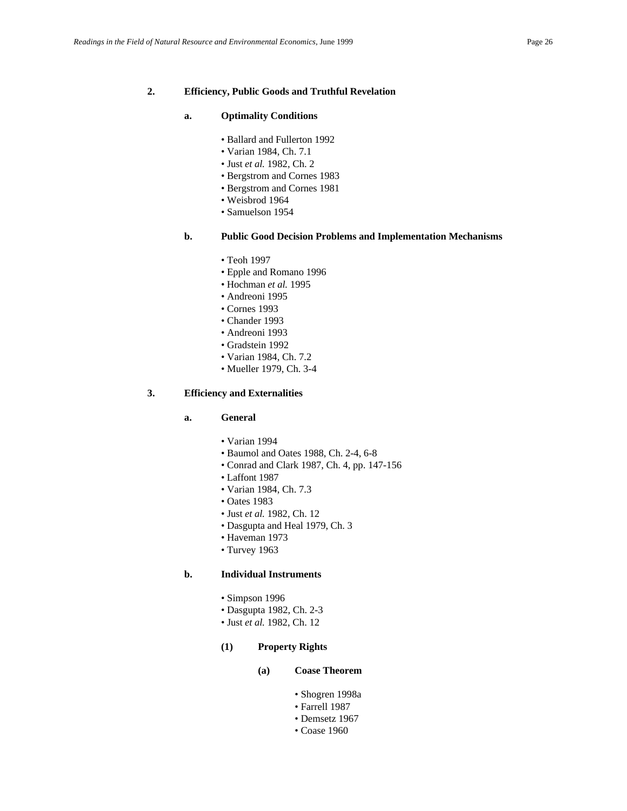#### **a. Optimality Conditions**

- Ballard and Fullerton 1992
- Varian 1984, Ch. 7.1
- Just *et al.* 1982, Ch. 2
- Bergstrom and Cornes 1983
- Bergstrom and Cornes 1981
- Weisbrod 1964
- Samuelson 1954

### **b. Public Good Decision Problems and Implementation Mechanisms**

- Teoh 1997
- Epple and Romano 1996
- Hochman *et al.* 1995
- Andreoni 1995
- Cornes 1993
- Chander 1993
- Andreoni 1993
- Gradstein 1992
- Varian 1984, Ch. 7.2
- Mueller 1979, Ch. 3-4

### **3. Efficiency and Externalities**

### **a. General**

- Varian 1994
- Baumol and Oates 1988, Ch. 2-4, 6-8
- Conrad and Clark 1987, Ch. 4, pp. 147-156
- Laffont 1987
- Varian 1984, Ch. 7.3
- Oates 1983
- Just *et al.* 1982, Ch. 12
- Dasgupta and Heal 1979, Ch. 3
- Haveman 1973
- Turvey 1963

### **b. Individual Instruments**

- Simpson 1996
- Dasgupta 1982, Ch. 2-3
- Just *et al.* 1982, Ch. 12

#### **(1) Property Rights**

### **(a) Coase Theorem**

- Shogren 1998a
- Farrell 1987
- Demsetz 1967
- Coase 1960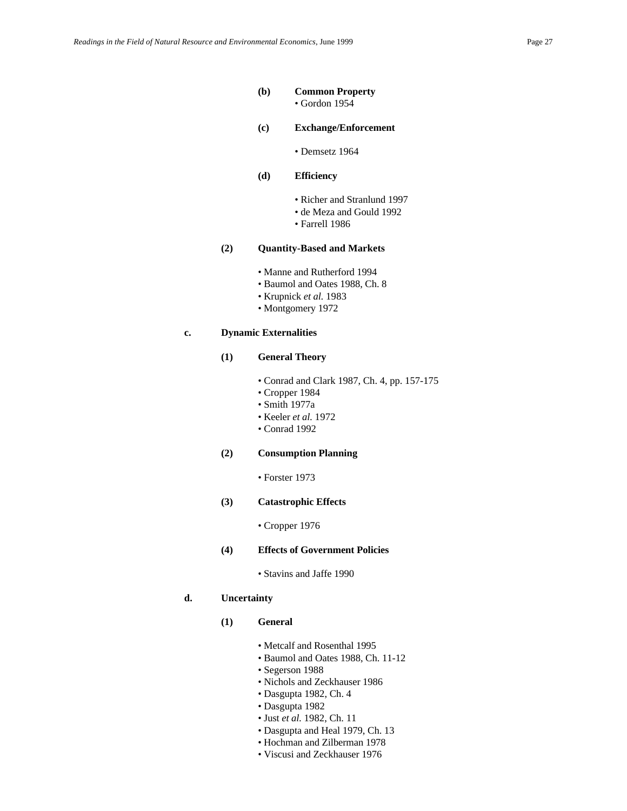#### **(b) Common Property**

• Gordon 1954

- **(c) Exchange/Enforcement**
	- Demsetz 1964
- **(d) Efficiency**
	- Richer and Stranlund 1997
	- de Meza and Gould 1992
	- Farrell 1986

### **(2) Quantity-Based and Markets**

- Manne and Rutherford 1994
- Baumol and Oates 1988, Ch. 8
- Krupnick *et al.* 1983
- Montgomery 1972

### **c. Dynamic Externalities**

#### **(1) General Theory**

- Conrad and Clark 1987, Ch. 4, pp. 157-175
- Cropper 1984
- Smith 1977a
- Keeler *et al.* 1972
- Conrad 1992

#### **(2) Consumption Planning**

• Forster 1973

### **(3) Catastrophic Effects**

• Cropper 1976

#### **(4) Effects of Government Policies**

• Stavins and Jaffe 1990

### **d. Uncertainty**

- **(1) General** 
	- Metcalf and Rosenthal 1995
	- Baumol and Oates 1988, Ch. 11-12
	- Segerson 1988
	- Nichols and Zeckhauser 1986
	- Dasgupta 1982, Ch. 4
	- Dasgupta 1982
	- Just *et al.* 1982, Ch. 11
	- Dasgupta and Heal 1979, Ch. 13
	- Hochman and Zilberman 1978
	- Viscusi and Zeckhauser 1976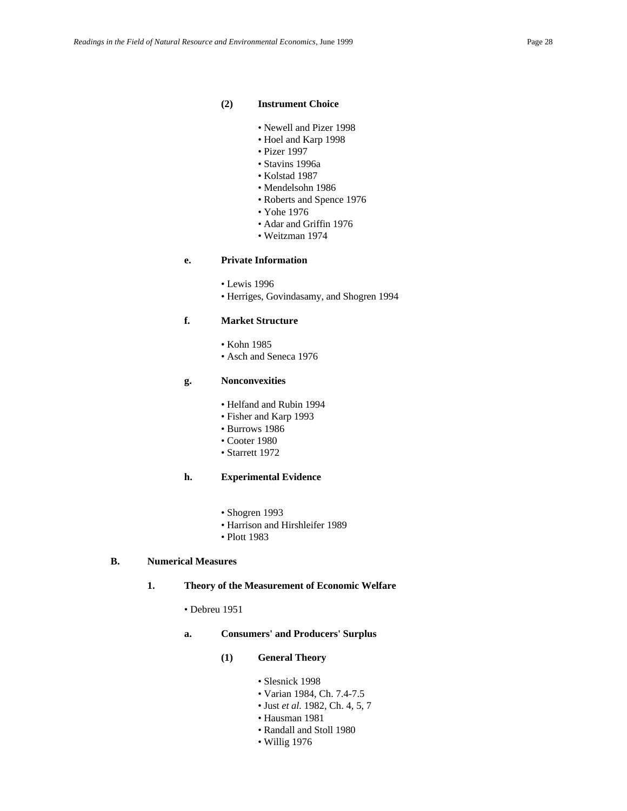#### **(2) Instrument Choice**

- Newell and Pizer 1998
- Hoel and Karp 1998
- Pizer 1997
- Stavins 1996a
- Kolstad 1987
- Mendelsohn 1986
- Roberts and Spence 1976
- Yohe 1976
- Adar and Griffin 1976
- Weitzman 1974

### **e. Private Information**

- Lewis 1996
- Herriges, Govindasamy, and Shogren 1994

### **f. Market Structure**

- Kohn 1985
- Asch and Seneca 1976

#### **g. Nonconvexities**

- Helfand and Rubin 1994
- Fisher and Karp 1993
- Burrows 1986
- Cooter 1980
- Starrett 1972

### **h. Experimental Evidence**

- Shogren 1993
- Harrison and Hirshleifer 1989
- Plott 1983

### **B. Numerical Measures**

### **1. Theory of the Measurement of Economic Welfare**

- Debreu 1951
- **a. Consumers' and Producers' Surplus**
	- **(1) General Theory**
		- Slesnick 1998
		- Varian 1984, Ch. 7.4-7.5
		- Just *et al.* 1982, Ch. 4, 5, 7
		- Hausman 1981
		- Randall and Stoll 1980
		- Willig 1976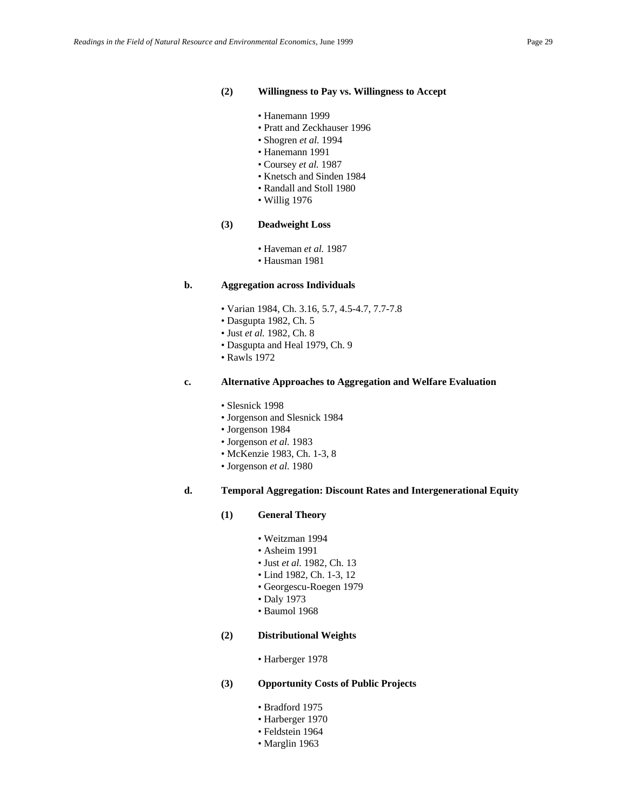#### **(2) Willingness to Pay vs. Willingness to Accept**

- Hanemann 1999
- Pratt and Zeckhauser 1996
- Shogren *et al.* 1994
- Hanemann 1991
- Coursey *et al.* 1987
- Knetsch and Sinden 1984
- Randall and Stoll 1980
- Willig 1976

#### **(3) Deadweight Loss**

- Haveman *et al.* 1987
- Hausman 1981

#### **b. Aggregation across Individuals**

- Varian 1984, Ch. 3.16, 5.7, 4.5-4.7, 7.7-7.8
- Dasgupta 1982, Ch. 5
- Just *et al.* 1982, Ch. 8
- Dasgupta and Heal 1979, Ch. 9
- Rawls 1972

#### **c. Alternative Approaches to Aggregation and Welfare Evaluation**

- Slesnick 1998
- Jorgenson and Slesnick 1984
- Jorgenson 1984
- Jorgenson *et al.* 1983
- McKenzie 1983, Ch. 1-3, 8
- Jorgenson *et al.* 1980

### **d. Temporal Aggregation: Discount Rates and Intergenerational Equity**

#### **(1) General Theory**

- Weitzman 1994
	- Asheim 1991
	- Just *et al.* 1982, Ch. 13
	- Lind 1982, Ch. 1-3, 12
	- Georgescu-Roegen 1979
	- Daly 1973
	- Baumol 1968

### **(2) Distributional Weights**

• Harberger 1978

#### **(3) Opportunity Costs of Public Projects**

- Bradford 1975
- Harberger 1970
- Feldstein 1964
- Marglin 1963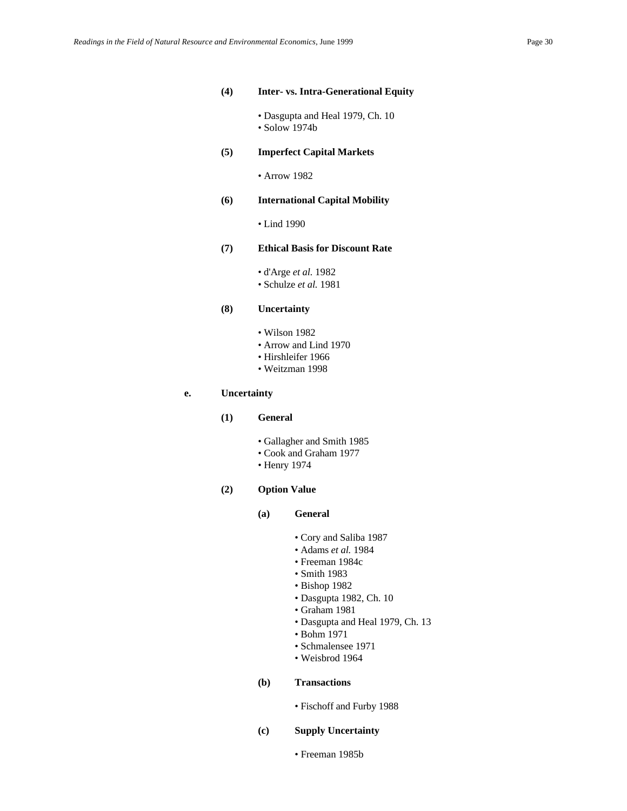#### **(4) Inter- vs. Intra-Generational Equity**

- Dasgupta and Heal 1979, Ch. 10 • Solow 1974b
- **(5) Imperfect Capital Markets**
	- Arrow 1982

#### **(6) International Capital Mobility**

• Lind 1990

#### **(7) Ethical Basis for Discount Rate**

- d'Arge *et al.* 1982
- Schulze *et al.* 1981

### **(8) Uncertainty**

- Wilson 1982
- Arrow and Lind 1970
- Hirshleifer 1966
- Weitzman 1998

### **e. Uncertainty**

- **(1) General** 
	- Gallagher and Smith 1985
	- Cook and Graham 1977
	- Henry 1974

### **(2) Option Value**

- **(a) General**
	- Cory and Saliba 1987
	- Adams *et al.* 1984
	- Freeman 1984c
	- Smith 1983
	- Bishop 1982
	- Dasgupta 1982, Ch. 10
	- Graham 1981
	- Dasgupta and Heal 1979, Ch. 13
	- Bohm 1971
	- Schmalensee 1971
	- Weisbrod 1964

### **(b) Transactions**

- Fischoff and Furby 1988
- **(c) Supply Uncertainty**
	- Freeman 1985b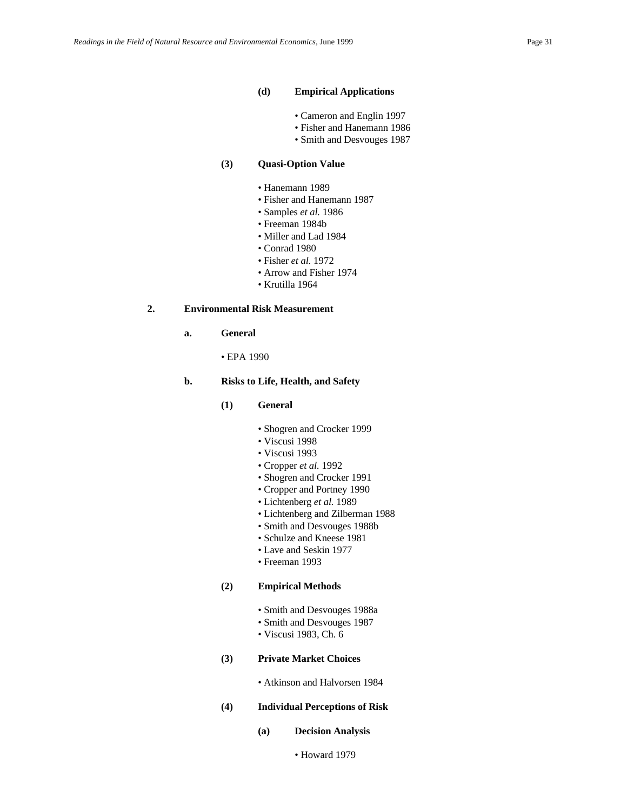#### **(d) Empirical Applications**

- Cameron and Englin 1997
- Fisher and Hanemann 1986
- Smith and Desvouges 1987

### **(3) Quasi-Option Value**

- Hanemann 1989
- Fisher and Hanemann 1987
- Samples *et al.* 1986
- Freeman 1984b
- Miller and Lad 1984
- Conrad 1980
- Fisher *et al.* 1972
- Arrow and Fisher 1974
- Krutilla 1964

### **2. Environmental Risk Measurement**

- **a. General**
	- EPA 1990

#### **b. Risks to Life, Health, and Safety**

- **(1) General**
	- Shogren and Crocker 1999
	- Viscusi 1998
	- Viscusi 1993
	- Cropper *et al.* 1992
	- Shogren and Crocker 1991
	- Cropper and Portney 1990
	- Lichtenberg *et al.* 1989
	- Lichtenberg and Zilberman 1988
	- Smith and Desvouges 1988b
	- Schulze and Kneese 1981
	- Lave and Seskin 1977
	- Freeman 1993

#### **(2) Empirical Methods**

- Smith and Desvouges 1988a
- Smith and Desvouges 1987
- Viscusi 1983, Ch. 6

### **(3) Private Market Choices**

• Atkinson and Halvorsen 1984

#### **(4) Individual Perceptions of Risk**

- **(a) Decision Analysis**
	- Howard 1979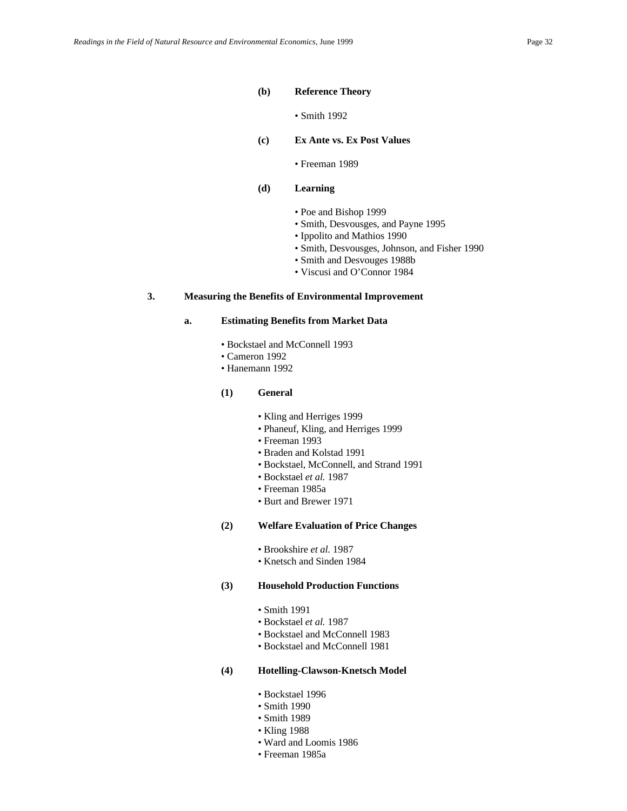#### **(b) Reference Theory**

- Smith 1992
- **(c) Ex Ante vs. Ex Post Values**
	- Freeman 1989

#### **(d) Learning**

- Poe and Bishop 1999
- Smith, Desvousges, and Payne 1995
- Ippolito and Mathios 1990
- Smith, Desvousges, Johnson, and Fisher 1990
- Smith and Desvouges 1988b
- Viscusi and O'Connor 1984

### **3. Measuring the Benefits of Environmental Improvement**

#### **a. Estimating Benefits from Market Data**

- Bockstael and McConnell 1993
- Cameron 1992
- Hanemann 1992

#### **(1) General**

- Kling and Herriges 1999
- Phaneuf, Kling, and Herriges 1999
- Freeman 1993
- Braden and Kolstad 1991
- Bockstael, McConnell, and Strand 1991
- Bockstael *et al.* 1987
- Freeman 1985a
- Burt and Brewer 1971
- **(2) Welfare Evaluation of Price Changes**
	- Brookshire *et al.* 1987
	- Knetsch and Sinden 1984

#### **(3) Household Production Functions**

- Smith 1991
- Bockstael *et al.* 1987
- Bockstael and McConnell 1983
- Bockstael and McConnell 1981

#### **(4) Hotelling-Clawson-Knetsch Model**

- Bockstael 1996
- Smith 1990
- Smith 1989
- Kling 1988
- Ward and Loomis 1986
- Freeman 1985a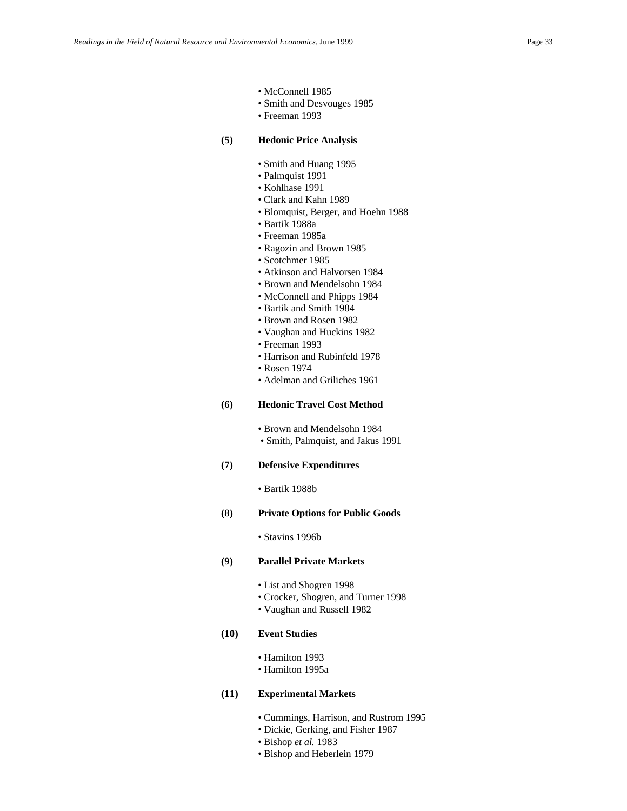- McConnell 1985
- Smith and Desvouges 1985
- Freeman 1993

#### **(5) Hedonic Price Analysis**

- Smith and Huang 1995
- Palmquist 1991
- Kohlhase 1991
- Clark and Kahn 1989
- Blomquist, Berger, and Hoehn 1988
- Bartik 1988a
- Freeman 1985a
- Ragozin and Brown 1985
- Scotchmer 1985
- Atkinson and Halvorsen 1984
- Brown and Mendelsohn 1984
- McConnell and Phipps 1984
- Bartik and Smith 1984
- Brown and Rosen 1982
- Vaughan and Huckins 1982
- Freeman 1993
- Harrison and Rubinfeld 1978
- Rosen 1974
- Adelman and Griliches 1961

### **(6) Hedonic Travel Cost Method**

• Brown and Mendelsohn 1984 • Smith, Palmquist, and Jakus 1991

#### **(7) Defensive Expenditures**

• Bartik 1988b

#### **(8) Private Options for Public Goods**

• Stavins 1996b

### **(9) Parallel Private Markets**

- List and Shogren 1998
- Crocker, Shogren, and Turner 1998
- Vaughan and Russell 1982

### **(10) Event Studies**

- Hamilton 1993
- Hamilton 1995a

### **(11) Experimental Markets**

- Cummings, Harrison, and Rustrom 1995
- Dickie, Gerking, and Fisher 1987
- Bishop *et al.* 1983
- Bishop and Heberlein 1979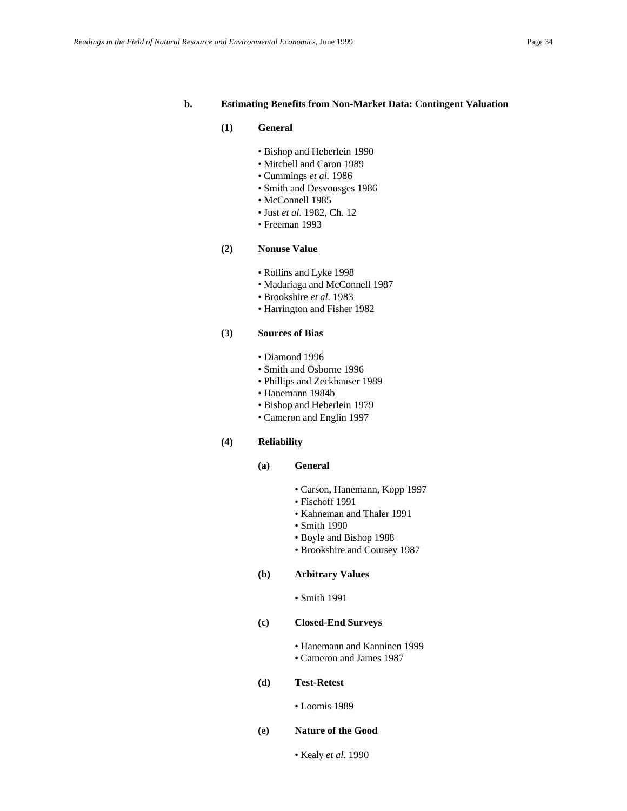#### **b. Estimating Benefits from Non-Market Data: Contingent Valuation**

#### **(1) General**

- Bishop and Heberlein 1990
- Mitchell and Caron 1989
- Cummings *et al.* 1986
- Smith and Desvousges 1986
- McConnell 1985
- Just *et al.* 1982, Ch. 12
- Freeman 1993

### **(2) Nonuse Value**

- Rollins and Lyke 1998
- Madariaga and McConnell 1987
- Brookshire *et al.* 1983
- Harrington and Fisher 1982

### **(3) Sources of Bias**

- Diamond 1996
- Smith and Osborne 1996
- Phillips and Zeckhauser 1989
- Hanemann 1984b
- Bishop and Heberlein 1979
- Cameron and Englin 1997

#### **(4) Reliability**

#### **(a) General**

- Carson, Hanemann, Kopp 1997
- Fischoff 1991
- Kahneman and Thaler 1991
- Smith 1990
- Boyle and Bishop 1988
- Brookshire and Coursey 1987

## **(b) Arbitrary Values**

• Smith 1991

### **(c) Closed-End Surveys**

- Hanemann and Kanninen 1999
- Cameron and James 1987

#### **(d) Test-Retest**

• Loomis 1989

### **(e) Nature of the Good**

• Kealy *et al.* 1990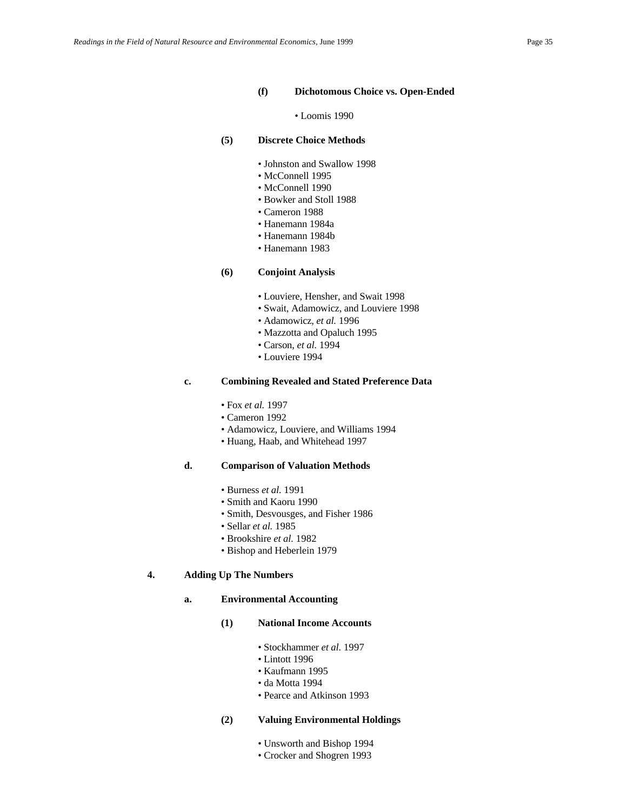#### **(f) Dichotomous Choice vs. Open-Ended**

• Loomis 1990

#### **(5) Discrete Choice Methods**

- Johnston and Swallow 1998
- McConnell 1995
- McConnell 1990
- Bowker and Stoll 1988
- Cameron 1988
- Hanemann 1984a
- Hanemann 1984b
- Hanemann 1983

#### **(6) Conjoint Analysis**

- Louviere, Hensher, and Swait 1998
- Swait, Adamowicz, and Louviere 1998
- Adamowicz, *et al.* 1996
- Mazzotta and Opaluch 1995
- Carson, *et al.* 1994
- Louviere 1994

#### **c. Combining Revealed and Stated Preference Data**

- Fox *et al.* 1997
- Cameron 1992
- Adamowicz, Louviere, and Williams 1994
- Huang, Haab, and Whitehead 1997

#### **d. Comparison of Valuation Methods**

- Burness *et al.* 1991
- Smith and Kaoru 1990
- Smith, Desvousges, and Fisher 1986
- Sellar *et al.* 1985
- Brookshire *et al.* 1982
- Bishop and Heberlein 1979

#### **4. Adding Up The Numbers**

#### **a. Environmental Accounting**

#### **(1) National Income Accounts**

- Stockhammer *et al.* 1997
- Lintott 1996
- Kaufmann 1995
- da Motta 1994
- Pearce and Atkinson 1993

#### **(2) Valuing Environmental Holdings**

- Unsworth and Bishop 1994
- Crocker and Shogren 1993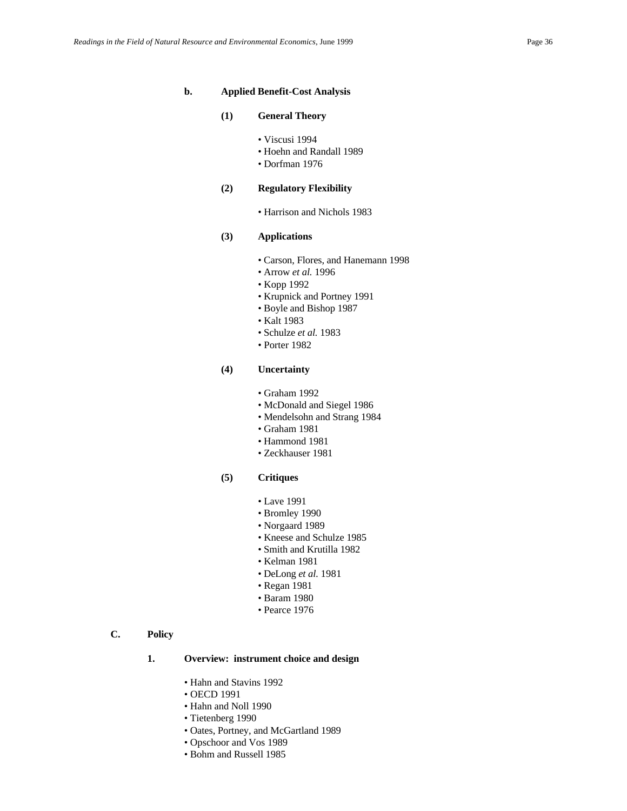#### **b. Applied Benefit-Cost Analysis**

#### **(1) General Theory**

- Viscusi 1994
- Hoehn and Randall 1989
- Dorfman 1976

### **(2) Regulatory Flexibility**

• Harrison and Nichols 1983

### **(3) Applications**

- Carson, Flores, and Hanemann 1998
- Arrow *et al.* 1996
- Kopp 1992
- Krupnick and Portney 1991
- Boyle and Bishop 1987
- Kalt 1983
- Schulze *et al.* 1983
- Porter 1982

### **(4) Uncertainty**

- Graham 1992
- McDonald and Siegel 1986
- Mendelsohn and Strang 1984
- Graham 1981
- Hammond 1981
- Zeckhauser 1981
- **(5) Critiques**
	- Lave 1991
	- Bromley 1990
	- Norgaard 1989
	- Kneese and Schulze 1985
	- Smith and Krutilla 1982
	- Kelman 1981
	- DeLong *et al.* 1981
	- Regan 1981
	- Baram 1980
	- Pearce 1976

### **C. Policy**

### **1. Overview: instrument choice and design**

- Hahn and Stavins 1992
- OECD 1991
- Hahn and Noll 1990
- Tietenberg 1990
- Oates, Portney, and McGartland 1989
- Opschoor and Vos 1989
- Bohm and Russell 1985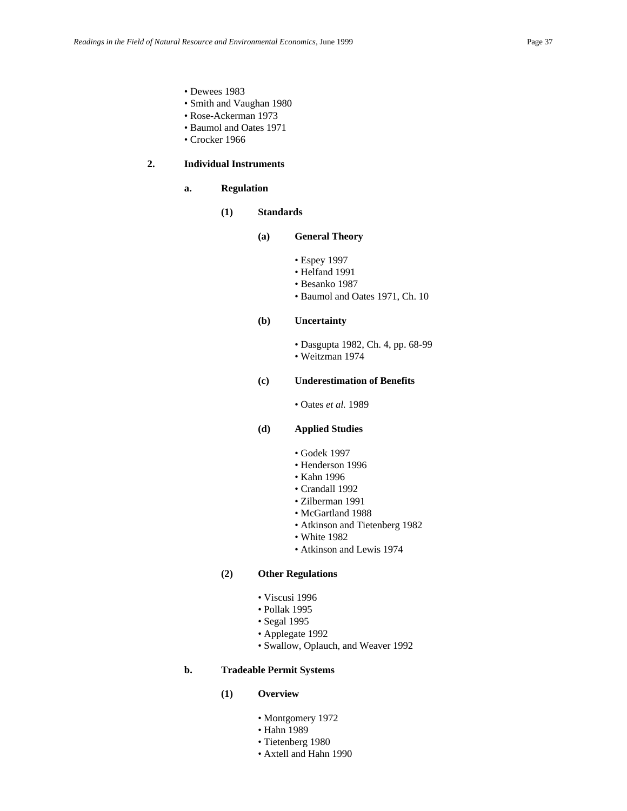- Dewees 1983
- Smith and Vaughan 1980
- Rose-Ackerman 1973
- Baumol and Oates 1971
- Crocker 1966

# **2. Individual Instruments**

## **a. Regulation**

**(1) Standards**

## **(a) General Theory**

- Espey 1997
	- Helfand 1991
	- Besanko 1987
- Baumol and Oates 1971, Ch. 10

# **(b) Uncertainty**

- Dasgupta 1982, Ch. 4, pp. 68-99
- Weitzman 1974

#### **(c) Underestimation of Benefits**

• Oates *et al.* 1989

# **(d) Applied Studies**

- Godek 1997
- Henderson 1996
- Kahn 1996
- Crandall 1992
- Zilberman 1991
- McGartland 1988
- Atkinson and Tietenberg 1982
- White 1982
- Atkinson and Lewis 1974

### **(2) Other Regulations**

- Viscusi 1996
- Pollak 1995
- Segal 1995
- Applegate 1992
- Swallow, Oplauch, and Weaver 1992

## **b. Tradeable Permit Systems**

- **(1) Overview**
	- Montgomery 1972
	- Hahn 1989
	- Tietenberg 1980
	- Axtell and Hahn 1990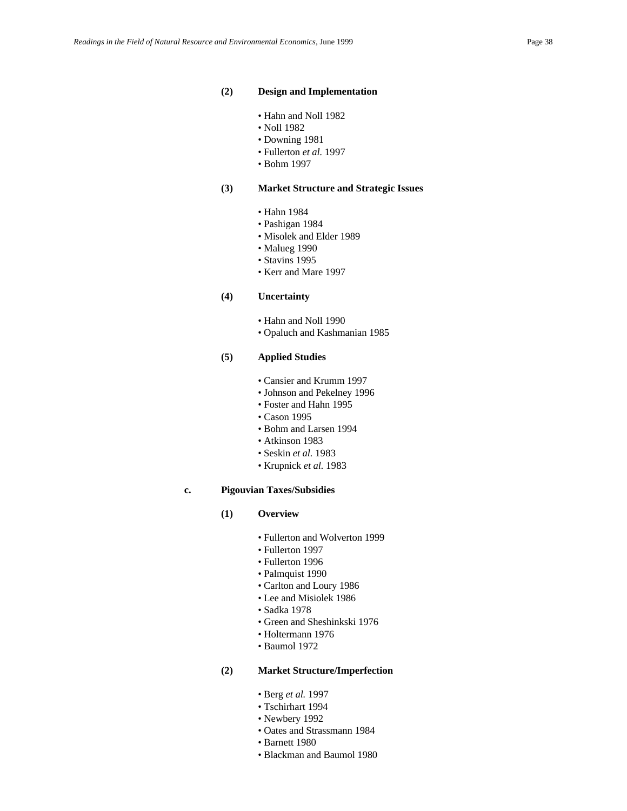#### **(2) Design and Implementation**

- Hahn and Noll 1982
- Noll 1982
- Downing 1981
- Fullerton *et al.* 1997
- Bohm 1997

#### **(3) Market Structure and Strategic Issues**

- Hahn 1984
- Pashigan 1984
- Misolek and Elder 1989
- Malueg 1990
- Stavins 1995
- Kerr and Mare 1997

#### **(4) Uncertainty**

- Hahn and Noll 1990
- Opaluch and Kashmanian 1985

#### **(5) Applied Studies**

- Cansier and Krumm 1997
- Johnson and Pekelney 1996
- Foster and Hahn 1995
- Cason 1995
- Bohm and Larsen 1994
- Atkinson 1983
- Seskin *et al.* 1983
- Krupnick *et al.* 1983

## **c. Pigouvian Taxes/Subsidies**

### **(1) Overview**

- Fullerton and Wolverton 1999
- Fullerton 1997
- Fullerton 1996
- Palmquist 1990
- Carlton and Loury 1986
- Lee and Misiolek 1986
- Sadka 1978
- Green and Sheshinkski 1976
- Holtermann 1976
- Baumol 1972

## **(2) Market Structure/Imperfection**

- Berg *et al.* 1997
- Tschirhart 1994
- Newbery 1992
- Oates and Strassmann 1984
- Barnett 1980
- Blackman and Baumol 1980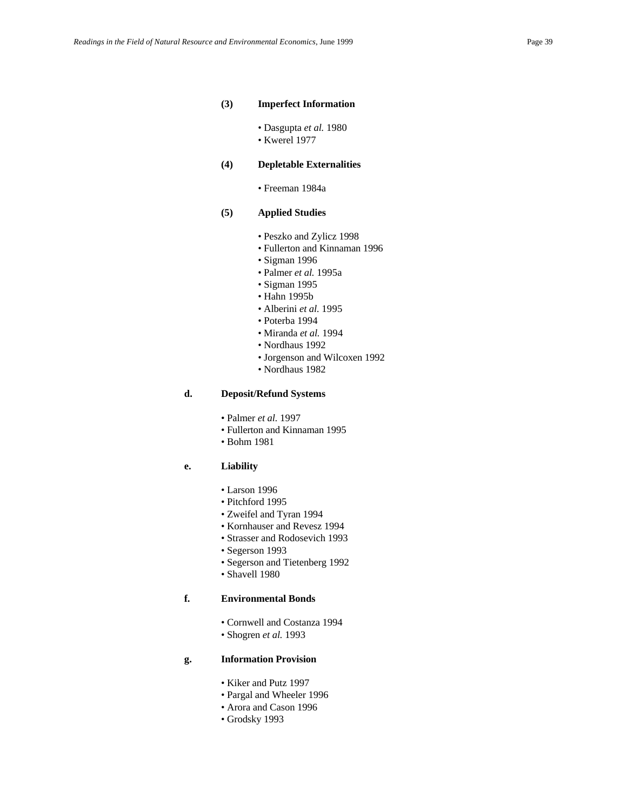#### **(3) Imperfect Information**

- Dasgupta *et al.* 1980
- Kwerel 1977

# **(4) Depletable Externalities**

• Freeman 1984a

#### **(5) Applied Studies**

- Peszko and Zylicz 1998
- Fullerton and Kinnaman 1996
- Sigman 1996
- Palmer *et al.* 1995a
- Sigman 1995
- Hahn 1995b
- Alberini *et al.* 1995
- Poterba 1994
- Miranda *et al.* 1994
- Nordhaus 1992
- Jorgenson and Wilcoxen 1992
- Nordhaus 1982

## **d. Deposit/Refund Systems**

- Palmer *et al.* 1997
- Fullerton and Kinnaman 1995
- Bohm 1981

## **e. Liability**

- Larson 1996
- Pitchford 1995
- Zweifel and Tyran 1994
- Kornhauser and Revesz 1994
- Strasser and Rodosevich 1993
- Segerson 1993
- Segerson and Tietenberg 1992
- Shavell 1980

# **f. Environmental Bonds**

- Cornwell and Costanza 1994
- Shogren *et al.* 1993

## **g. Information Provision**

- Kiker and Putz 1997
- Pargal and Wheeler 1996
- Arora and Cason 1996
- Grodsky 1993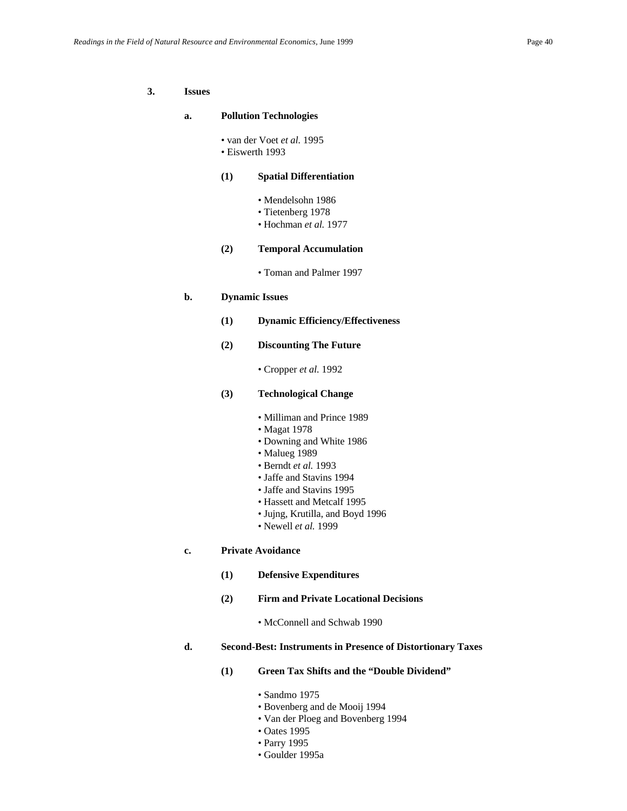### **3. Issues**

#### **a. Pollution Technologies**

- van der Voet *et al.* 1995
- Eiswerth 1993

### **(1) Spatial Differentiation**

- Mendelsohn 1986
- Tietenberg 1978
- Hochman *et al.* 1977

### **(2) Temporal Accumulation**

• Toman and Palmer 1997

#### **b. Dynamic Issues**

- **(1) Dynamic Efficiency/Effectiveness**
- **(2) Discounting The Future**

• Cropper *et al.* 1992

## **(3) Technological Change**

- Milliman and Prince 1989
- Magat 1978
- Downing and White 1986
- Malueg 1989
- Berndt *et al.* 1993
- Jaffe and Stavins 1994
- Jaffe and Stavins 1995
- Hassett and Metcalf 1995
- Jujng, Krutilla, and Boyd 1996
- Newell *et al.* 1999

### **c. Private Avoidance**

- **(1) Defensive Expenditures**
- **(2) Firm and Private Locational Decisions**

• McConnell and Schwab 1990

## **d. Second-Best: Instruments in Presence of Distortionary Taxes**

- **(1) Green Tax Shifts and the "Double Dividend"**
	- Sandmo 1975
	- Bovenberg and de Mooij 1994
	- Van der Ploeg and Bovenberg 1994
	- Oates 1995
	- Parry 1995
	- Goulder 1995a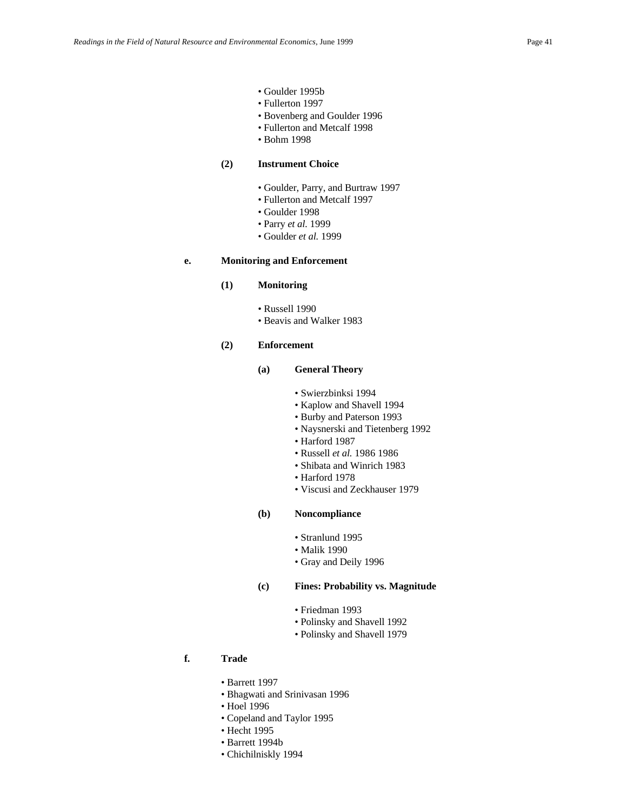- Goulder 1995b
- Fullerton 1997
- Bovenberg and Goulder 1996
- Fullerton and Metcalf 1998
- Bohm 1998

### **(2) Instrument Choice**

- Goulder, Parry, and Burtraw 1997
- Fullerton and Metcalf 1997
- Goulder 1998
- Parry *et al.* 1999
- Goulder *et al.* 1999

#### **e. Monitoring and Enforcement**

#### **(1) Monitoring**

- Russell 1990
- Beavis and Walker 1983

### **(2) Enforcement**

#### **(a) General Theory**

- Swierzbinksi 1994
- Kaplow and Shavell 1994
- Burby and Paterson 1993
- Naysnerski and Tietenberg 1992
- Harford 1987
- Russell *et al.* 1986 1986
- Shibata and Winrich 1983
- Harford 1978
- Viscusi and Zeckhauser 1979

## **(b) Noncompliance**

- Stranlund 1995
- Malik 1990
- Gray and Deily 1996

### **(c) Fines: Probability vs. Magnitude**

- Friedman 1993
- Polinsky and Shavell 1992
- Polinsky and Shavell 1979

# **f. Trade**

- Barrett 1997
- Bhagwati and Srinivasan 1996
- Hoel 1996
- Copeland and Taylor 1995
- Hecht 1995
- Barrett 1994b
- Chichilniskly 1994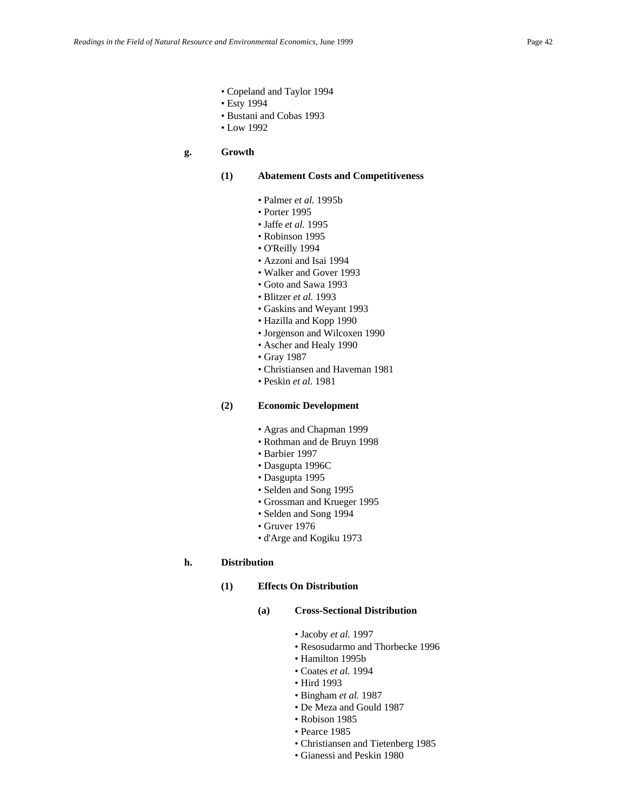- Copeland and Taylor 1994
- Esty 1994
	- Bustani and Cobas 1993
	- Low 1992

## **g. Growth**

### **(1) Abatement Costs and Competitiveness**

- Palmer *et al.* 1995b
- Porter 1995
- Jaffe *et al.* 1995
- Robinson 1995
- O'Reilly 1994
- Azzoni and Isai 1994
- Walker and Gover 1993
- Goto and Sawa 1993
- Blitzer *et al.* 1993
- Gaskins and Weyant 1993
- Hazilla and Kopp 1990
- Jorgenson and Wilcoxen 1990
- Ascher and Healy 1990
- Gray 1987
- Christiansen and Haveman 1981
- Peskin *et al.* 1981

### **(2) Economic Development**

- Agras and Chapman 1999
- Rothman and de Bruyn 1998
- Barbier 1997
- Dasgupta 1996C
- Dasgupta 1995
- Selden and Song 1995
- Grossman and Krueger 1995
- Selden and Song 1994
- Gruver 1976
- d'Arge and Kogiku 1973

### **h. Distribution**

**(1) Effects On Distribution**

#### **(a) Cross-Sectional Distribution**

- Jacoby *et al.* 1997
- Resosudarmo and Thorbecke 1996
- Hamilton 1995b
- Coates *et al.* 1994
- Hird 1993
- Bingham *et al.* 1987
- De Meza and Gould 1987
- Robison 1985
- Pearce 1985
- Christiansen and Tietenberg 1985
- Gianessi and Peskin 1980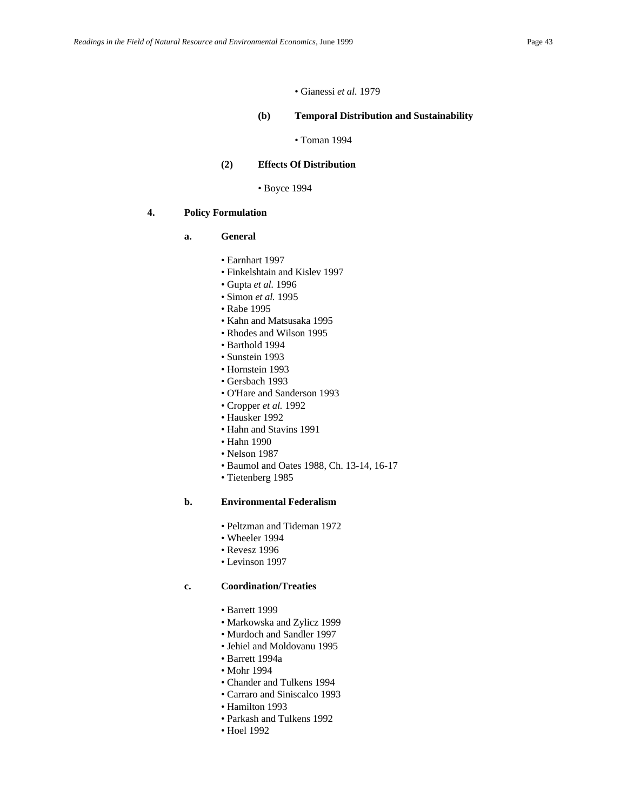### • Gianessi *et al.* 1979

#### **(b) Temporal Distribution and Sustainability**

• Toman 1994

# **(2) Effects Of Distribution**

#### • Boyce 1994

## **4. Policy Formulation**

# **a. General**

- Earnhart 1997
- Finkelshtain and Kislev 1997
- Gupta *et al.* 1996
- Simon *et al.* 1995
- Rabe 1995
- Kahn and Matsusaka 1995
- Rhodes and Wilson 1995
- Barthold 1994
- Sunstein 1993
- Hornstein 1993
- Gersbach 1993
- O'Hare and Sanderson 1993
- Cropper *et al.* 1992
- Hausker 1992
- Hahn and Stavins 1991
- Hahn 1990
- Nelson 1987
- Baumol and Oates 1988, Ch. 13-14, 16-17
- Tietenberg 1985

## **b. Environmental Federalism**

- Peltzman and Tideman 1972
- Wheeler 1994
- Revesz 1996
- Levinson 1997

### **c. Coordination/Treaties**

- Barrett 1999
- Markowska and Zylicz 1999
- Murdoch and Sandler 1997
- Jehiel and Moldovanu 1995
- Barrett 1994a
- Mohr 1994
- Chander and Tulkens 1994
- Carraro and Siniscalco 1993
- Hamilton 1993
- Parkash and Tulkens 1992
- Hoel 1992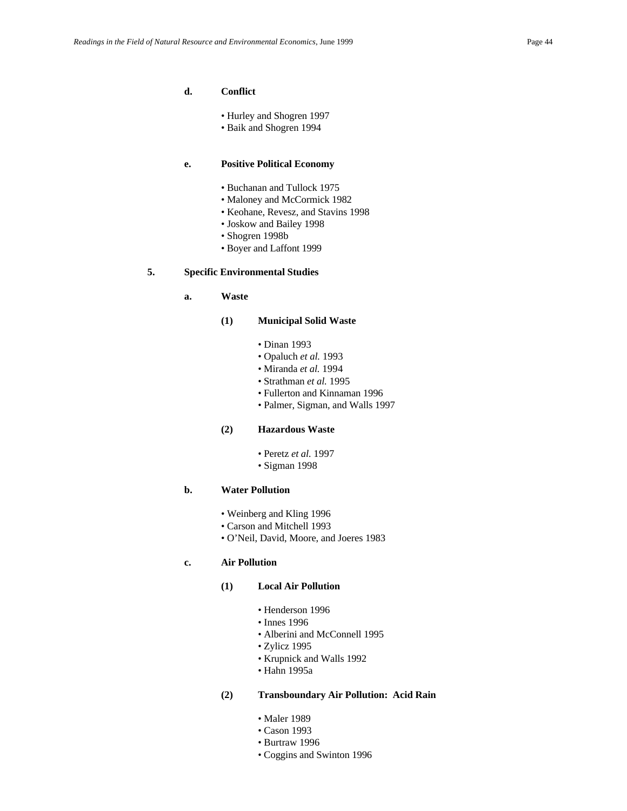## **d. Conflict**

- Hurley and Shogren 1997
- Baik and Shogren 1994

### **e. Positive Political Economy**

- Buchanan and Tullock 1975
- Maloney and McCormick 1982
- Keohane, Revesz, and Stavins 1998
- Joskow and Bailey 1998
- Shogren 1998b
- Boyer and Laffont 1999

### **5. Specific Environmental Studies**

**a. Waste**

### **(1) Municipal Solid Waste**

- Dinan 1993
- Opaluch *et al.* 1993
- Miranda *et al.* 1994
- Strathman *et al.* 1995
- Fullerton and Kinnaman 1996
- Palmer, Sigman, and Walls 1997

### **(2) Hazardous Waste**

- Peretz *et al.* 1997
- Sigman 1998

## **b. Water Pollution**

- Weinberg and Kling 1996
- Carson and Mitchell 1993
- O'Neil, David, Moore, and Joeres 1983

# **c. Air Pollution**

#### **(1) Local Air Pollution**

- Henderson 1996
- Innes 1996
- Alberini and McConnell 1995
- Zylicz 1995
- Krupnick and Walls 1992
- Hahn 1995a

#### **(2) Transboundary Air Pollution: Acid Rain**

- Maler 1989
- Cason 1993
- Burtraw 1996
- Coggins and Swinton 1996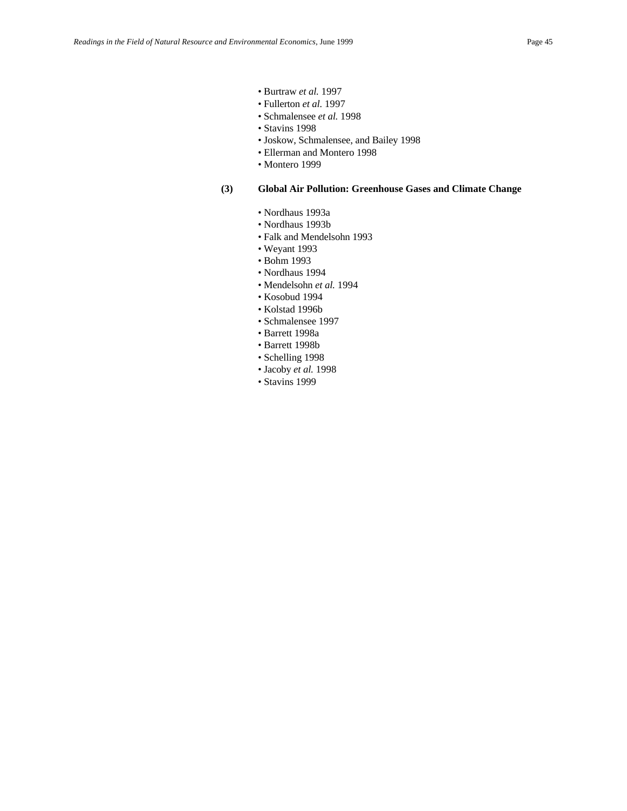- Burtraw *et al.* 1997
- Fullerton *et al.* 1997
- Schmalensee *et al.* 1998
- Stavins 1998
- Joskow, Schmalensee, and Bailey 1998
- Ellerman and Montero 1998
- Montero 1999

#### **(3) Global Air Pollution: Greenhouse Gases and Climate Change**

- Nordhaus 1993a
- Nordhaus 1993b
- Falk and Mendelsohn 1993
- Weyant 1993
- Bohm 1993
- Nordhaus 1994
- Mendelsohn *et al.* 1994
- Kosobud 1994
- Kolstad 1996b
- Schmalensee 1997
- Barrett 1998a
- Barrett 1998b
- Schelling 1998
- Jacoby *et al.* 1998
- Stavins 1999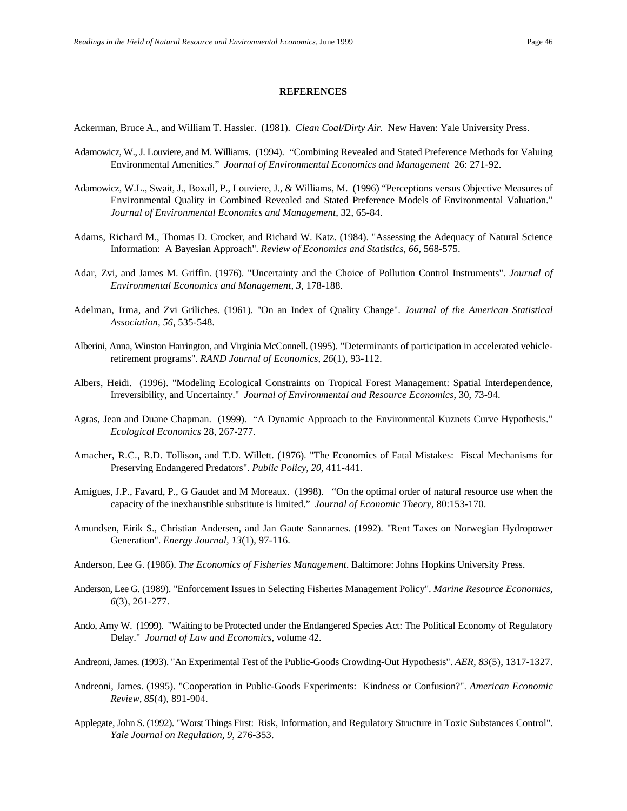#### **REFERENCES**

Ackerman, Bruce A., and William T. Hassler. (1981). *Clean Coal/Dirty Air.* New Haven: Yale University Press.

- Adamowicz, W., J. Louviere, and M. Williams. (1994). "Combining Revealed and Stated Preference Methods for Valuing Environmental Amenities." *Journal of Environmental Economics and Management* 26: 271-92.
- Adamowicz, W.L., Swait, J., Boxall, P., Louviere, J., & Williams, M. (1996) "Perceptions versus Objective Measures of Environmental Quality in Combined Revealed and Stated Preference Models of Environmental Valuation." *Journal of Environmental Economics and Management*, 32, 65-84.
- Adams, Richard M., Thomas D. Crocker, and Richard W. Katz. (1984). "Assessing the Adequacy of Natural Science Information: A Bayesian Approach". *Review of Economics and Statistics, 66*, 568-575.
- Adar, Zvi, and James M. Griffin. (1976). "Uncertainty and the Choice of Pollution Control Instruments". *Journal of Environmental Economics and Management, 3*, 178-188.
- Adelman, Irma, and Zvi Griliches. (1961). "On an Index of Quality Change". *Journal of the American Statistical Association, 56*, 535-548.
- Alberini, Anna, Winston Harrington, and Virginia McConnell. (1995). "Determinants of participation in accelerated vehicleretirement programs". *RAND Journal of Economics, 26*(1), 93-112.
- Albers, Heidi. (1996). "Modeling Ecological Constraints on Tropical Forest Management: Spatial Interdependence, Irreversibility, and Uncertainty." *Journal of Environmental and Resource Economics*, 30, 73-94.
- Agras, Jean and Duane Chapman. (1999). "A Dynamic Approach to the Environmental Kuznets Curve Hypothesis." *Ecological Economics* 28, 267-277.
- Amacher, R.C., R.D. Tollison, and T.D. Willett. (1976). "The Economics of Fatal Mistakes: Fiscal Mechanisms for Preserving Endangered Predators". *Public Policy, 20*, 411-441.
- Amigues, J.P., Favard, P., G Gaudet and M Moreaux. (1998). "On the optimal order of natural resource use when the capacity of the inexhaustible substitute is limited." *Journal of Economic Theory*, 80:153-170.
- Amundsen, Eirik S., Christian Andersen, and Jan Gaute Sannarnes. (1992). "Rent Taxes on Norwegian Hydropower Generation". *Energy Journal, 13*(1), 97-116.
- Anderson, Lee G. (1986). *The Economics of Fisheries Management*. Baltimore: Johns Hopkins University Press.
- Anderson, Lee G. (1989). "Enforcement Issues in Selecting Fisheries Management Policy". *Marine Resource Economics, 6*(3), 261-277.
- Ando, Amy W. (1999). "Waiting to be Protected under the Endangered Species Act: The Political Economy of Regulatory Delay." *Journal of Law and Economics*, volume 42.
- Andreoni, James. (1993). "An Experimental Test of the Public-Goods Crowding-Out Hypothesis". *AER, 83*(5), 1317-1327.
- Andreoni, James. (1995). "Cooperation in Public-Goods Experiments: Kindness or Confusion?". *American Economic Review, 85*(4), 891-904.
- Applegate, John S. (1992). "Worst Things First: Risk, Information, and Regulatory Structure in Toxic Substances Control". *Yale Journal on Regulation, 9*, 276-353.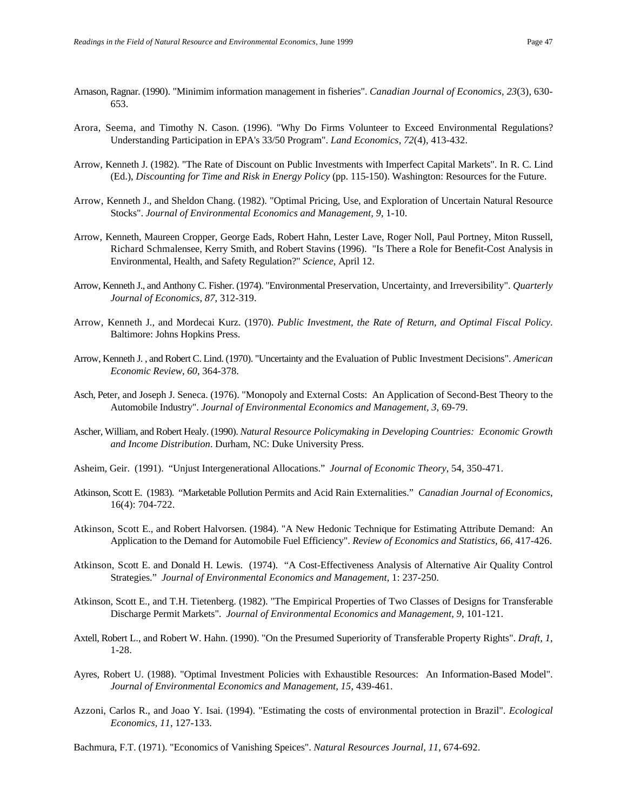- Arnason, Ragnar. (1990). "Minimim information management in fisheries". *Canadian Journal of Economics, 23*(3), 630- 653.
- Arora, Seema, and Timothy N. Cason. (1996). "Why Do Firms Volunteer to Exceed Environmental Regulations? Understanding Participation in EPA's 33/50 Program". *Land Economics, 72*(4), 413-432.
- Arrow, Kenneth J. (1982). "The Rate of Discount on Public Investments with Imperfect Capital Markets". In R. C. Lind (Ed.), *Discounting for Time and Risk in Energy Policy* (pp. 115-150). Washington: Resources for the Future.
- Arrow, Kenneth J., and Sheldon Chang. (1982). "Optimal Pricing, Use, and Exploration of Uncertain Natural Resource Stocks". *Journal of Environmental Economics and Management, 9*, 1-10.
- Arrow, Kenneth, Maureen Cropper, George Eads, Robert Hahn, Lester Lave, Roger Noll, Paul Portney, Miton Russell, Richard Schmalensee, Kerry Smith, and Robert Stavins (1996). "Is There a Role for Benefit-Cost Analysis in Environmental, Health, and Safety Regulation?" *Science*, April 12.
- Arrow, Kenneth J., and Anthony C. Fisher. (1974). "Environmental Preservation, Uncertainty, and Irreversibility". *Quarterly Journal of Economics, 87*, 312-319.
- Arrow, Kenneth J., and Mordecai Kurz. (1970). *Public Investment, the Rate of Return, and Optimal Fiscal Policy*. Baltimore: Johns Hopkins Press.
- Arrow, Kenneth J. , and Robert C. Lind. (1970). "Uncertainty and the Evaluation of Public Investment Decisions". *American Economic Review, 60*, 364-378.
- Asch, Peter, and Joseph J. Seneca. (1976). "Monopoly and External Costs: An Application of Second-Best Theory to the Automobile Industry". *Journal of Environmental Economics and Management, 3*, 69-79.
- Ascher, William, and Robert Healy. (1990). *Natural Resource Policymaking in Developing Countries: Economic Growth and Income Distribution*. Durham, NC: Duke University Press.
- Asheim, Geir. (1991). "Unjust Intergenerational Allocations." *Journal of Economic Theory*, 54, 350-471.
- Atkinson, Scott E. (1983). "Marketable Pollution Permits and Acid Rain Externalities." *Canadian Journal of Economics*, 16(4): 704-722.
- Atkinson, Scott E., and Robert Halvorsen. (1984). "A New Hedonic Technique for Estimating Attribute Demand: An Application to the Demand for Automobile Fuel Efficiency". *Review of Economics and Statistics, 66*, 417-426.
- Atkinson, Scott E. and Donald H. Lewis. (1974). "A Cost-Effectiveness Analysis of Alternative Air Quality Control Strategies." *Journal of Environmental Economics and Management*, 1: 237-250.
- Atkinson, Scott E., and T.H. Tietenberg. (1982). "The Empirical Properties of Two Classes of Designs for Transferable Discharge Permit Markets". *Journal of Environmental Economics and Management, 9*, 101-121.
- Axtell, Robert L., and Robert W. Hahn. (1990). "On the Presumed Superiority of Transferable Property Rights". *Draft, 1*, 1-28.
- Ayres, Robert U. (1988). "Optimal Investment Policies with Exhaustible Resources: An Information-Based Model". *Journal of Environmental Economics and Management, 15*, 439-461.
- Azzoni, Carlos R., and Joao Y. Isai. (1994). "Estimating the costs of environmental protection in Brazil". *Ecological Economics, 11*, 127-133.

Bachmura, F.T. (1971). "Economics of Vanishing Speices". *Natural Resources Journal, 11*, 674-692.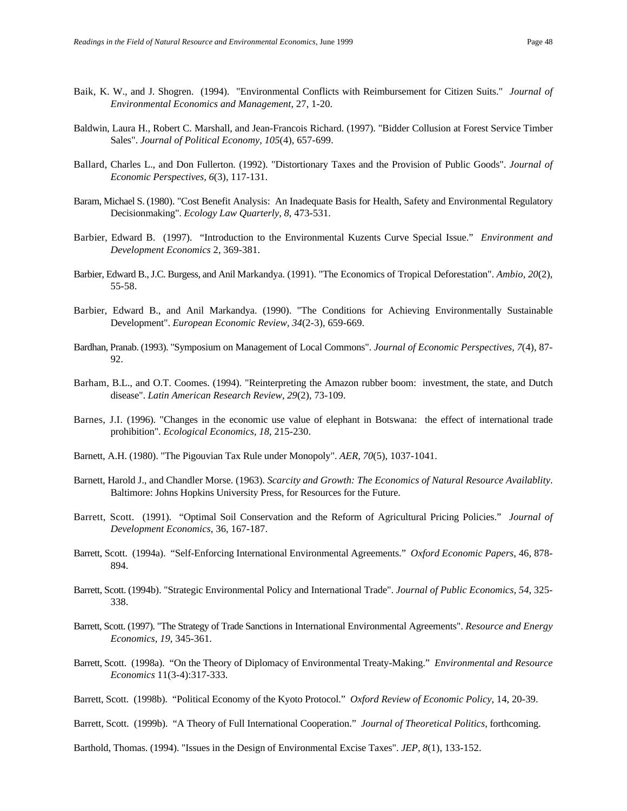- Baik, K. W., and J. Shogren. (1994). "Environmental Conflicts with Reimbursement for Citizen Suits." *Journal of Environmental Economics and Management*, 27, 1-20.
- Baldwin, Laura H., Robert C. Marshall, and Jean-Francois Richard. (1997). "Bidder Collusion at Forest Service Timber Sales". *Journal of Political Economy, 105*(4), 657-699.
- Ballard, Charles L., and Don Fullerton. (1992). "Distortionary Taxes and the Provision of Public Goods". *Journal of Economic Perspectives, 6*(3), 117-131.
- Baram, Michael S. (1980). "Cost Benefit Analysis: An Inadequate Basis for Health, Safety and Environmental Regulatory Decisionmaking". *Ecology Law Quarterly, 8*, 473-531.
- Barbier, Edward B. (1997). "Introduction to the Environmental Kuzents Curve Special Issue." *Environment and Development Economics* 2, 369-381.
- Barbier, Edward B., J.C. Burgess, and Anil Markandya. (1991). "The Economics of Tropical Deforestation". *Ambio, 20*(2), 55-58.
- Barbier, Edward B., and Anil Markandya. (1990). "The Conditions for Achieving Environmentally Sustainable Development". *European Economic Review, 34*(2-3), 659-669.
- Bardhan, Pranab. (1993). "Symposium on Management of Local Commons". *Journal of Economic Perspectives, 7*(4), 87- 92.
- Barham, B.L., and O.T. Coomes. (1994). "Reinterpreting the Amazon rubber boom: investment, the state, and Dutch disease". *Latin American Research Review, 29*(2), 73-109.
- Barnes, J.I. (1996). "Changes in the economic use value of elephant in Botswana: the effect of international trade prohibition". *Ecological Economics, 18*, 215-230.
- Barnett, A.H. (1980). "The Pigouvian Tax Rule under Monopoly". *AER, 70*(5), 1037-1041.
- Barnett, Harold J., and Chandler Morse. (1963). *Scarcity and Growth: The Economics of Natural Resource Availablity*. Baltimore: Johns Hopkins University Press, for Resources for the Future.
- Barrett, Scott. (1991). "Optimal Soil Conservation and the Reform of Agricultural Pricing Policies." *Journal of Development Economics*, 36, 167-187.
- Barrett, Scott. (1994a). "Self-Enforcing International Environmental Agreements." *Oxford Economic Papers*, 46, 878- 894.
- Barrett, Scott. (1994b). "Strategic Environmental Policy and International Trade". *Journal of Public Economics, 54*, 325- 338.
- Barrett, Scott. (1997). "The Strategy of Trade Sanctions in International Environmental Agreements". *Resource and Energy Economics, 19*, 345-361.
- Barrett, Scott. (1998a). "On the Theory of Diplomacy of Environmental Treaty-Making." *Environmental and Resource Economics* 11(3-4):317-333.

Barrett, Scott. (1999b). "A Theory of Full International Cooperation." *Journal of Theoretical Politics*, forthcoming.

Barthold, Thomas. (1994). "Issues in the Design of Environmental Excise Taxes". *JEP, 8*(1), 133-152.

Barrett, Scott. (1998b). "Political Economy of the Kyoto Protocol." *Oxford Review of Economic Policy*, 14, 20-39.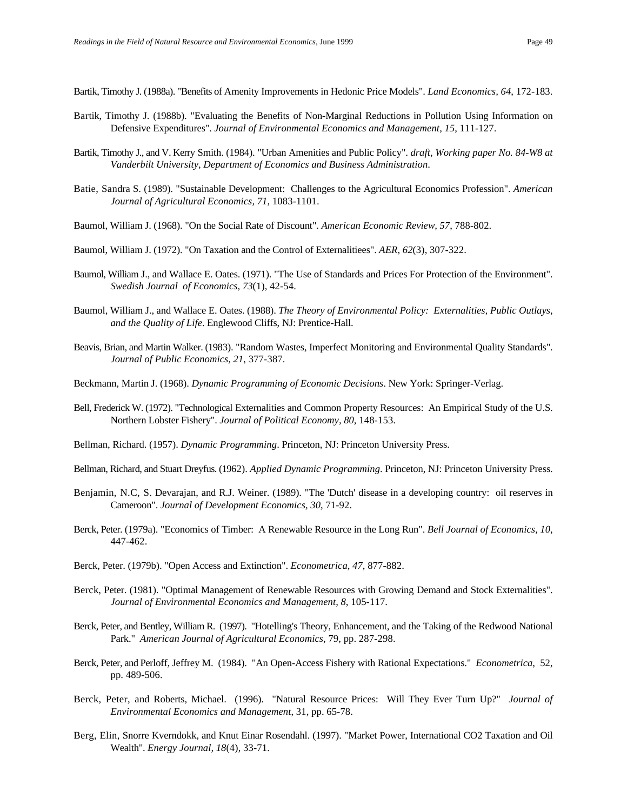Bartik, Timothy J. (1988a). "Benefits of Amenity Improvements in Hedonic Price Models". *Land Economics, 64*, 172-183.

- Bartik, Timothy J. (1988b). "Evaluating the Benefits of Non-Marginal Reductions in Pollution Using Information on Defensive Expenditures". *Journal of Environmental Economics and Management, 15*, 111-127.
- Bartik, Timothy J., and V. Kerry Smith. (1984). "Urban Amenities and Public Policy". *draft, Working paper No. 84-W8 at Vanderbilt University, Department of Economics and Business Administration*.
- Batie, Sandra S. (1989). "Sustainable Development: Challenges to the Agricultural Economics Profession". *American Journal of Agricultural Economics, 71*, 1083-1101.
- Baumol, William J. (1968). "On the Social Rate of Discount". *American Economic Review, 57*, 788-802.
- Baumol, William J. (1972). "On Taxation and the Control of Externalitiees". *AER, 62*(3), 307-322.
- Baumol, William J., and Wallace E. Oates. (1971). "The Use of Standards and Prices For Protection of the Environment". *Swedish Journal of Economics, 73*(1), 42-54.
- Baumol, William J., and Wallace E. Oates. (1988). *The Theory of Environmental Policy: Externalities, Public Outlays, and the Quality of Life*. Englewood Cliffs, NJ: Prentice-Hall.
- Beavis, Brian, and Martin Walker. (1983). "Random Wastes, Imperfect Monitoring and Environmental Quality Standards". *Journal of Public Economics, 21*, 377-387.
- Beckmann, Martin J. (1968). *Dynamic Programming of Economic Decisions*. New York: Springer-Verlag.
- Bell, Frederick W. (1972). "Technological Externalities and Common Property Resources: An Empirical Study of the U.S. Northern Lobster Fishery". *Journal of Political Economy, 80*, 148-153.
- Bellman, Richard. (1957). *Dynamic Programming*. Princeton, NJ: Princeton University Press.
- Bellman, Richard, and Stuart Dreyfus. (1962). *Applied Dynamic Programming*. Princeton, NJ: Princeton University Press.
- Benjamin, N.C, S. Devarajan, and R.J. Weiner. (1989). "The 'Dutch' disease in a developing country: oil reserves in Cameroon". *Journal of Development Economics, 30*, 71-92.
- Berck, Peter. (1979a). "Economics of Timber: A Renewable Resource in the Long Run". *Bell Journal of Economics, 10*, 447-462.
- Berck, Peter. (1979b). "Open Access and Extinction". *Econometrica, 47*, 877-882.
- Berck, Peter. (1981). "Optimal Management of Renewable Resources with Growing Demand and Stock Externalities". *Journal of Environmental Economics and Management, 8*, 105-117.
- Berck, Peter, and Bentley, William R. (1997). "Hotelling's Theory, Enhancement, and the Taking of the Redwood National Park." *American Journal of Agricultural Economics*, 79, pp. 287-298.
- Berck, Peter, and Perloff, Jeffrey M. (1984). "An Open-Access Fishery with Rational Expectations." *Econometrica*, 52, pp. 489-506.
- Berck, Peter, and Roberts, Michael. (1996). "Natural Resource Prices: Will They Ever Turn Up?" *Journal of Environmental Economics and Management*, 31, pp. 65-78.
- Berg, Elin, Snorre Kverndokk, and Knut Einar Rosendahl. (1997). "Market Power, International CO2 Taxation and Oil Wealth". *Energy Journal, 18*(4), 33-71.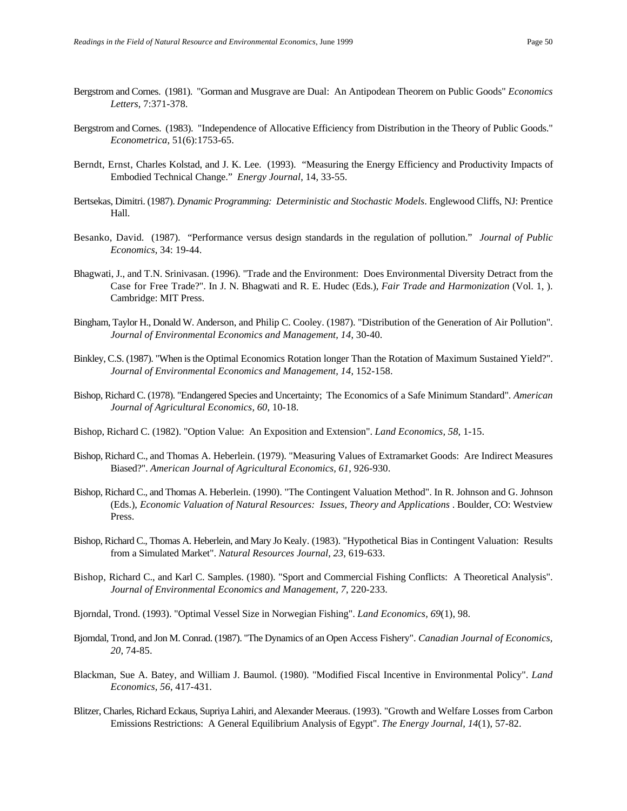- Bergstrom and Cornes. (1981). "Gorman and Musgrave are Dual: An Antipodean Theorem on Public Goods" *Economics Letters*, 7:371-378.
- Bergstrom and Cornes. (1983). "Independence of Allocative Efficiency from Distribution in the Theory of Public Goods." *Econometrica*, 51(6):1753-65.
- Berndt, Ernst, Charles Kolstad, and J. K. Lee. (1993). "Measuring the Energy Efficiency and Productivity Impacts of Embodied Technical Change." *Energy Journal*, 14, 33-55.
- Bertsekas, Dimitri. (1987). *Dynamic Programming: Deterministic and Stochastic Models*. Englewood Cliffs, NJ: Prentice Hall.
- Besanko, David. (1987). "Performance versus design standards in the regulation of pollution." *Journal of Public Economics*, 34: 19-44.
- Bhagwati, J., and T.N. Srinivasan. (1996). "Trade and the Environment: Does Environmental Diversity Detract from the Case for Free Trade?". In J. N. Bhagwati and R. E. Hudec (Eds.), *Fair Trade and Harmonization* (Vol. 1, ). Cambridge: MIT Press.
- Bingham, Taylor H., Donald W. Anderson, and Philip C. Cooley. (1987). "Distribution of the Generation of Air Pollution". *Journal of Environmental Economics and Management, 14*, 30-40.
- Binkley, C.S. (1987). "When is the Optimal Economics Rotation longer Than the Rotation of Maximum Sustained Yield?". *Journal of Environmental Economics and Management, 14*, 152-158.
- Bishop, Richard C. (1978). "Endangered Species and Uncertainty; The Economics of a Safe Minimum Standard". *American Journal of Agricultural Economics, 60*, 10-18.
- Bishop, Richard C. (1982). "Option Value: An Exposition and Extension". *Land Economics, 58*, 1-15.
- Bishop, Richard C., and Thomas A. Heberlein. (1979). "Measuring Values of Extramarket Goods: Are Indirect Measures Biased?". *American Journal of Agricultural Economics, 61*, 926-930.
- Bishop, Richard C., and Thomas A. Heberlein. (1990). "The Contingent Valuation Method". In R. Johnson and G. Johnson (Eds.), *Economic Valuation of Natural Resources: Issues, Theory and Applications* . Boulder, CO: Westview Press.
- Bishop, Richard C., Thomas A. Heberlein, and Mary Jo Kealy. (1983). "Hypothetical Bias in Contingent Valuation: Results from a Simulated Market". *Natural Resources Journal, 23*, 619-633.
- Bishop, Richard C., and Karl C. Samples. (1980). "Sport and Commercial Fishing Conflicts: A Theoretical Analysis". *Journal of Environmental Economics and Management, 7*, 220-233.
- Bjorndal, Trond. (1993). "Optimal Vessel Size in Norwegian Fishing". *Land Economics, 69*(1), 98.
- Bjorndal, Trond, and Jon M. Conrad. (1987). "The Dynamics of an Open Access Fishery". *Canadian Journal of Economics, 20*, 74-85.
- Blackman, Sue A. Batey, and William J. Baumol. (1980). "Modified Fiscal Incentive in Environmental Policy". *Land Economics, 56*, 417-431.
- Blitzer, Charles, Richard Eckaus, Supriya Lahiri, and Alexander Meeraus. (1993). "Growth and Welfare Losses from Carbon Emissions Restrictions: A General Equilibrium Analysis of Egypt". *The Energy Journal, 14*(1), 57-82.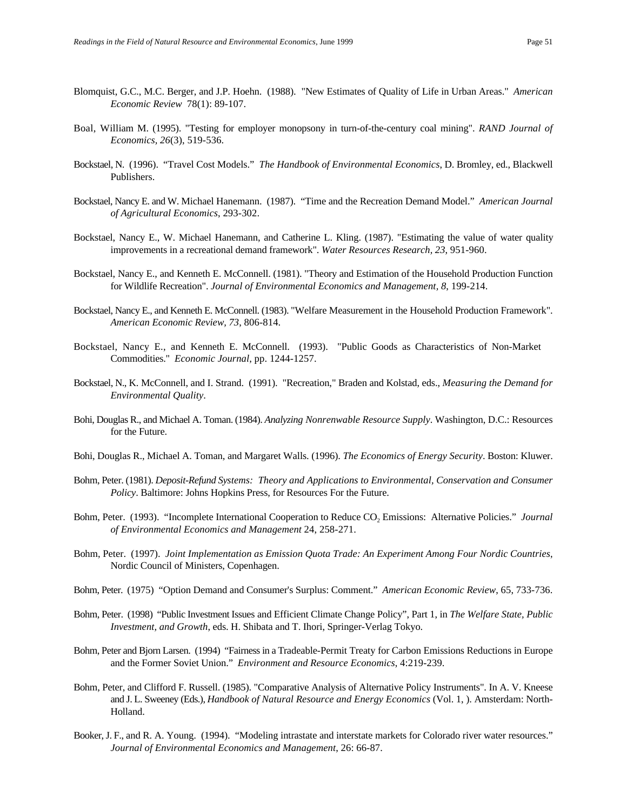- Blomquist, G.C., M.C. Berger, and J.P. Hoehn. (1988). "New Estimates of Quality of Life in Urban Areas." *American Economic Review* 78(1): 89-107.
- Boal, William M. (1995). "Testing for employer monopsony in turn-of-the-century coal mining". *RAND Journal of Economics, 26*(3), 519-536.
- Bockstael, N. (1996). "Travel Cost Models." *The Handbook of Environmental Economics*, D. Bromley, ed., Blackwell Publishers.
- Bockstael, Nancy E. and W. Michael Hanemann. (1987). "Time and the Recreation Demand Model." *American Journal of Agricultural Economics*, 293-302.
- Bockstael, Nancy E., W. Michael Hanemann, and Catherine L. Kling. (1987). "Estimating the value of water quality improvements in a recreational demand framework". *Water Resources Research, 23*, 951-960.
- Bockstael, Nancy E., and Kenneth E. McConnell. (1981). "Theory and Estimation of the Household Production Function for Wildlife Recreation". *Journal of Environmental Economics and Management, 8*, 199-214.
- Bockstael, Nancy E., and Kenneth E. McConnell. (1983). "Welfare Measurement in the Household Production Framework". *American Economic Review, 73*, 806-814.
- Bockstael, Nancy E., and Kenneth E. McConnell. (1993). "Public Goods as Characteristics of Non-Market Commodities." *Economic Journal*, pp. 1244-1257.
- Bockstael, N., K. McConnell, and I. Strand. (1991). "Recreation," Braden and Kolstad, eds., *Measuring the Demand for Environmental Quality*.
- Bohi, Douglas R., and Michael A. Toman. (1984). *Analyzing Nonrenwable Resource Supply*. Washington, D.C.: Resources for the Future.
- Bohi, Douglas R., Michael A. Toman, and Margaret Walls. (1996). *The Economics of Energy Security*. Boston: Kluwer.
- Bohm, Peter. (1981). *Deposit-Refund Systems: Theory and Applications to Environmental, Conservation and Consumer Policy*. Baltimore: Johns Hopkins Press, for Resources For the Future.
- Bohm, Peter. (1993). "Incomplete International Cooperation to Reduce CO<sub>2</sub> Emissions: Alternative Policies." *Journal of Environmental Economics and Management* 24, 258-271.
- Bohm, Peter. (1997). *Joint Implementation as Emission Quota Trade: An Experiment Among Four Nordic Countries*, Nordic Council of Ministers, Copenhagen.
- Bohm, Peter. (1975) "Option Demand and Consumer's Surplus: Comment." *American Economic Review*, 65, 733-736.
- Bohm, Peter. (1998) "Public Investment Issues and Efficient Climate Change Policy", Part 1, in *The Welfare State, Public Investment, and Growth*, eds. H. Shibata and T. Ihori, Springer-Verlag Tokyo.
- Bohm, Peter and Bjorn Larsen. (1994) "Fairness in a Tradeable-Permit Treaty for Carbon Emissions Reductions in Europe and the Former Soviet Union." *Environment and Resource Economics*, 4:219-239.
- Bohm, Peter, and Clifford F. Russell. (1985). "Comparative Analysis of Alternative Policy Instruments". In A. V. Kneese and J. L. Sweeney (Eds.), *Handbook of Natural Resource and Energy Economics* (Vol. 1, ). Amsterdam: North-Holland.
- Booker, J. F., and R. A. Young. (1994). "Modeling intrastate and interstate markets for Colorado river water resources." *Journal of Environmental Economics and Management*, 26: 66-87.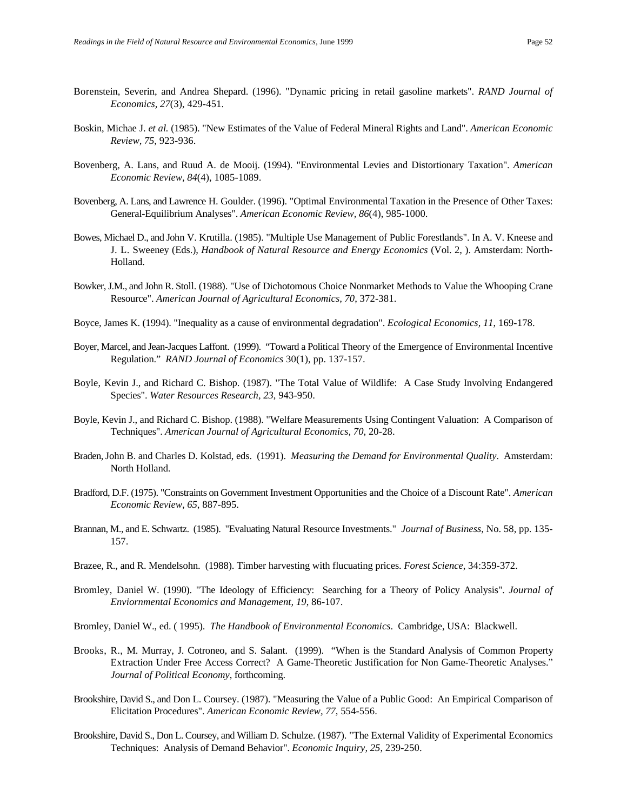- Borenstein, Severin, and Andrea Shepard. (1996). "Dynamic pricing in retail gasoline markets". *RAND Journal of Economics, 27*(3), 429-451.
- Boskin, Michae J. *et al.* (1985). "New Estimates of the Value of Federal Mineral Rights and Land". *American Economic Review, 75*, 923-936.
- Bovenberg, A. Lans, and Ruud A. de Mooij. (1994). "Environmental Levies and Distortionary Taxation". *American Economic Review, 84*(4), 1085-1089.
- Bovenberg, A. Lans, and Lawrence H. Goulder. (1996). "Optimal Environmental Taxation in the Presence of Other Taxes: General-Equilibrium Analyses". *American Economic Review, 86*(4), 985-1000.
- Bowes, Michael D., and John V. Krutilla. (1985). "Multiple Use Management of Public Forestlands". In A. V. Kneese and J. L. Sweeney (Eds.), *Handbook of Natural Resource and Energy Economics* (Vol. 2, ). Amsterdam: North-Holland.
- Bowker, J.M., and John R. Stoll. (1988). "Use of Dichotomous Choice Nonmarket Methods to Value the Whooping Crane Resource". *American Journal of Agricultural Economics, 70*, 372-381.
- Boyce, James K. (1994). "Inequality as a cause of environmental degradation". *Ecological Economics, 11*, 169-178.
- Boyer, Marcel, and Jean-Jacques Laffont. (1999). "Toward a Political Theory of the Emergence of Environmental Incentive Regulation." *RAND Journal of Economics* 30(1), pp. 137-157.
- Boyle, Kevin J., and Richard C. Bishop. (1987). "The Total Value of Wildlife: A Case Study Involving Endangered Species". *Water Resources Research, 23*, 943-950.
- Boyle, Kevin J., and Richard C. Bishop. (1988). "Welfare Measurements Using Contingent Valuation: A Comparison of Techniques". *American Journal of Agricultural Economics, 70*, 20-28.
- Braden, John B. and Charles D. Kolstad, eds. (1991). *Measuring the Demand for Environmental Quality*. Amsterdam: North Holland.
- Bradford, D.F. (1975). "Constraints on Government Investment Opportunities and the Choice of a Discount Rate". *American Economic Review, 65*, 887-895.
- Brannan, M., and E. Schwartz. (1985). "Evaluating Natural Resource Investments." *Journal of Business*, No. 58, pp. 135- 157.
- Brazee, R., and R. Mendelsohn. (1988). Timber harvesting with flucuating prices. *Forest Science*, 34:359-372.
- Bromley, Daniel W. (1990). "The Ideology of Efficiency: Searching for a Theory of Policy Analysis". *Journal of Enviornmental Economics and Management, 19*, 86-107.

Bromley, Daniel W., ed. ( 1995). *The Handbook of Environmental Economics*. Cambridge, USA: Blackwell.

- Brooks, R., M. Murray, J. Cotroneo, and S. Salant. (1999). "When is the Standard Analysis of Common Property Extraction Under Free Access Correct? A Game-Theoretic Justification for Non Game-Theoretic Analyses." *Journal of Political Economy*, forthcoming.
- Brookshire, David S., and Don L. Coursey. (1987). "Measuring the Value of a Public Good: An Empirical Comparison of Elicitation Procedures". *American Economic Review, 77*, 554-556.
- Brookshire, David S., Don L. Coursey, and William D. Schulze. (1987). "The External Validity of Experimental Economics Techniques: Analysis of Demand Behavior". *Economic Inquiry, 25*, 239-250.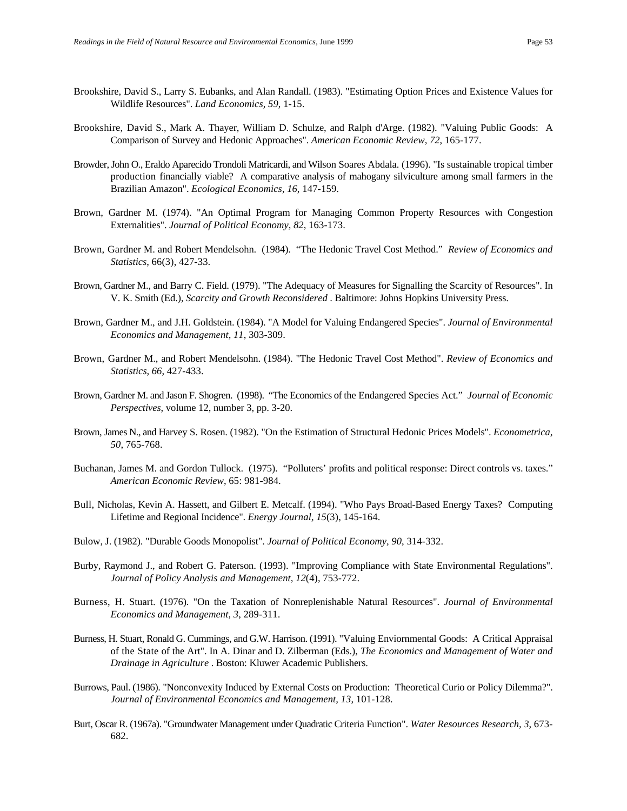- Brookshire, David S., Larry S. Eubanks, and Alan Randall. (1983). "Estimating Option Prices and Existence Values for Wildlife Resources". *Land Economics, 59*, 1-15.
- Brookshire, David S., Mark A. Thayer, William D. Schulze, and Ralph d'Arge. (1982). "Valuing Public Goods: A Comparison of Survey and Hedonic Approaches". *American Economic Review, 72*, 165-177.
- Browder, John O., Eraldo Aparecido Trondoli Matricardi, and Wilson Soares Abdala. (1996). "Is sustainable tropical timber production financially viable? A comparative analysis of mahogany silviculture among small farmers in the Brazilian Amazon". *Ecological Economics, 16*, 147-159.
- Brown, Gardner M. (1974). "An Optimal Program for Managing Common Property Resources with Congestion Externalities". *Journal of Political Economy, 82*, 163-173.
- Brown, Gardner M. and Robert Mendelsohn. (1984). "The Hedonic Travel Cost Method." *Review of Economics and Statistics*, 66(3), 427-33.
- Brown, Gardner M., and Barry C. Field. (1979). "The Adequacy of Measures for Signalling the Scarcity of Resources". In V. K. Smith (Ed.), *Scarcity and Growth Reconsidered* . Baltimore: Johns Hopkins University Press.
- Brown, Gardner M., and J.H. Goldstein. (1984). "A Model for Valuing Endangered Species". *Journal of Environmental Economics and Management, 11*, 303-309.
- Brown, Gardner M., and Robert Mendelsohn. (1984). "The Hedonic Travel Cost Method". *Review of Economics and Statistics, 66*, 427-433.
- Brown, Gardner M. and Jason F. Shogren. (1998). "The Economics of the Endangered Species Act." *Journal of Economic Perspectives*, volume 12, number 3, pp. 3-20.
- Brown, James N., and Harvey S. Rosen. (1982). "On the Estimation of Structural Hedonic Prices Models". *Econometrica, 50*, 765-768.
- Buchanan, James M. and Gordon Tullock. (1975). "Polluters' profits and political response: Direct controls vs. taxes." *American Economic Review*, 65: 981-984.
- Bull, Nicholas, Kevin A. Hassett, and Gilbert E. Metcalf. (1994). "Who Pays Broad-Based Energy Taxes? Computing Lifetime and Regional Incidence". *Energy Journal, 15*(3), 145-164.
- Bulow, J. (1982). "Durable Goods Monopolist". *Journal of Political Economy, 90*, 314-332.
- Burby, Raymond J., and Robert G. Paterson. (1993). "Improving Compliance with State Environmental Regulations". *Journal of Policy Analysis and Management, 12*(4), 753-772.
- Burness, H. Stuart. (1976). "On the Taxation of Nonreplenishable Natural Resources". *Journal of Environmental Economics and Management, 3*, 289-311.
- Burness, H. Stuart, Ronald G. Cummings, and G.W. Harrison. (1991). "Valuing Enviornmental Goods: A Critical Appraisal of the State of the Art". In A. Dinar and D. Zilberman (Eds.), *The Economics and Management of Water and Drainage in Agriculture* . Boston: Kluwer Academic Publishers.
- Burrows, Paul. (1986). "Nonconvexity Induced by External Costs on Production: Theoretical Curio or Policy Dilemma?". *Journal of Environmental Economics and Management, 13*, 101-128.
- Burt, Oscar R. (1967a). "Groundwater Management under Quadratic Criteria Function". *Water Resources Research, 3*, 673- 682.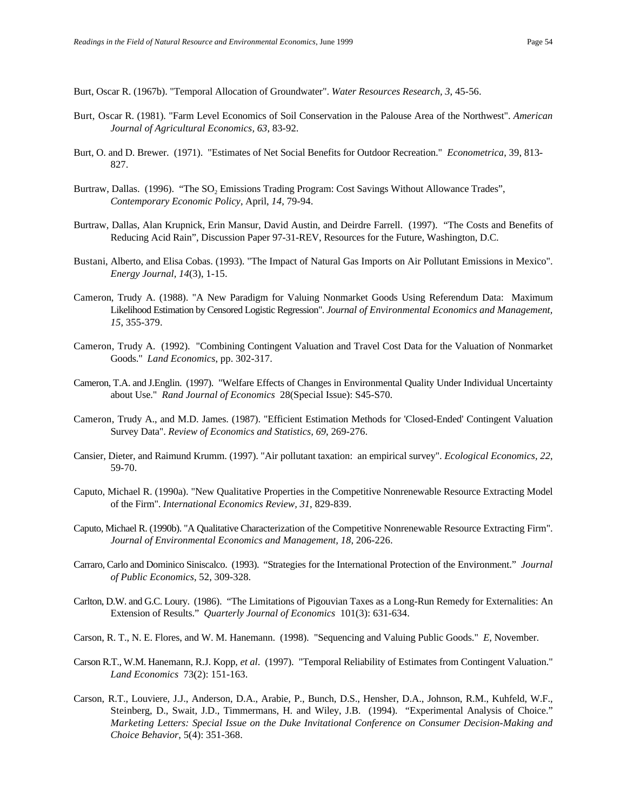Burt, Oscar R. (1967b). "Temporal Allocation of Groundwater". *Water Resources Research, 3*, 45-56.

- Burt, Oscar R. (1981). "Farm Level Economics of Soil Conservation in the Palouse Area of the Northwest". *American Journal of Agricultural Economics, 63*, 83-92.
- Burt, O. and D. Brewer. (1971). "Estimates of Net Social Benefits for Outdoor Recreation." *Econometrica*, 39, 813- 827.
- Burtraw, Dallas. (1996). "The SO<sub>2</sub> Emissions Trading Program: Cost Savings Without Allowance Trades", *Contemporary Economic Policy*, April, *14*, 79-94.
- Burtraw, Dallas, Alan Krupnick, Erin Mansur, David Austin, and Deirdre Farrell. (1997). "The Costs and Benefits of Reducing Acid Rain", Discussion Paper 97-31-REV, Resources for the Future, Washington, D.C.
- Bustani, Alberto, and Elisa Cobas. (1993). "The Impact of Natural Gas Imports on Air Pollutant Emissions in Mexico". *Energy Journal, 14*(3), 1-15.
- Cameron, Trudy A. (1988). "A New Paradigm for Valuing Nonmarket Goods Using Referendum Data: Maximum Likelihood Estimation by Censored Logistic Regression". *Journal of Environmental Economics and Management, 15*, 355-379.
- Cameron, Trudy A. (1992). "Combining Contingent Valuation and Travel Cost Data for the Valuation of Nonmarket Goods." *Land Economics*, pp. 302-317.
- Cameron, T.A. and J.Englin. (1997). "Welfare Effects of Changes in Environmental Quality Under Individual Uncertainty about Use." *Rand Journal of Economics* 28(Special Issue): S45-S70.
- Cameron, Trudy A., and M.D. James. (1987). "Efficient Estimation Methods for 'Closed-Ended' Contingent Valuation Survey Data". *Review of Economics and Statistics, 69*, 269-276.
- Cansier, Dieter, and Raimund Krumm. (1997). "Air pollutant taxation: an empirical survey". *Ecological Economics, 22*, 59-70.
- Caputo, Michael R. (1990a). "New Qualitative Properties in the Competitive Nonrenewable Resource Extracting Model of the Firm". *International Economics Review, 31*, 829-839.
- Caputo, Michael R. (1990b). "A Qualitative Characterization of the Competitive Nonrenewable Resource Extracting Firm". *Journal of Environmental Economics and Management, 18*, 206-226.
- Carraro, Carlo and Dominico Siniscalco. (1993). "Strategies for the International Protection of the Environment." *Journal of Public Economics*, 52, 309-328.
- Carlton, D.W. and G.C. Loury. (1986). "The Limitations of Pigouvian Taxes as a Long-Run Remedy for Externalities: An Extension of Results." *Quarterly Journal of Economics* 101(3): 631-634.
- Carson, R. T., N. E. Flores, and W. M. Hanemann. (1998). "Sequencing and Valuing Public Goods." *E,* November.
- Carson R.T., W.M. Hanemann, R.J. Kopp, *et al*. (1997). "Temporal Reliability of Estimates from Contingent Valuation." *Land Economics* 73(2): 151-163.
- Carson, R.T., Louviere, J.J., Anderson, D.A., Arabie, P., Bunch, D.S., Hensher, D.A., Johnson, R.M., Kuhfeld, W.F., Steinberg, D., Swait, J.D., Timmermans, H. and Wiley, J.B. (1994). "Experimental Analysis of Choice." *Marketing Letters: Special Issue on the Duke Invitational Conference on Consumer Decision-Making and Choice Behavior*, 5(4): 351-368.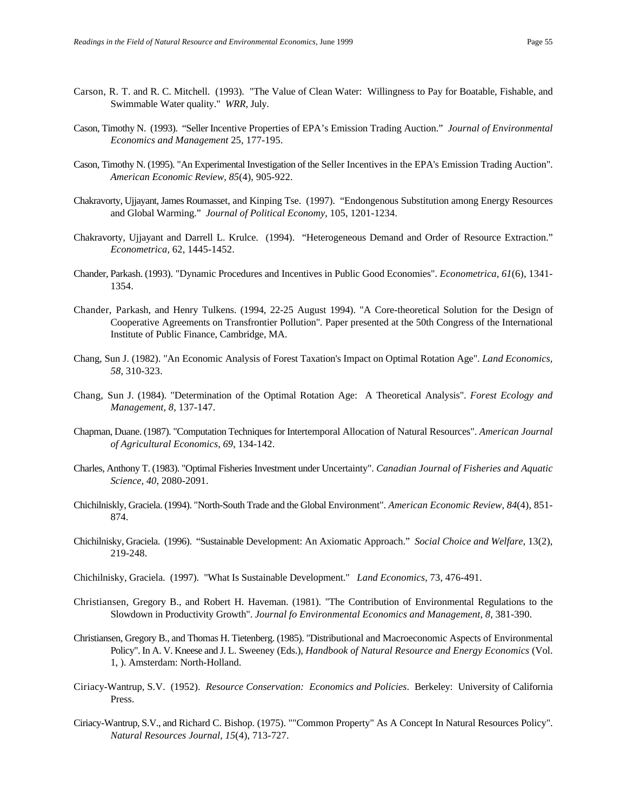- Carson, R. T. and R. C. Mitchell. (1993). "The Value of Clean Water: Willingness to Pay for Boatable, Fishable, and Swimmable Water quality." *WRR,* July.
- Cason, Timothy N. (1993). "Seller Incentive Properties of EPA's Emission Trading Auction." *Journal of Environmental Economics and Management* 25, 177-195.
- Cason, Timothy N. (1995). "An Experimental Investigation of the Seller Incentives in the EPA's Emission Trading Auction". *American Economic Review, 85*(4), 905-922.
- Chakravorty, Ujjayant, James Roumasset, and Kinping Tse. (1997). "Endongenous Substitution among Energy Resources and Global Warming." *Journal of Political Economy*, 105, 1201-1234.
- Chakravorty, Ujjayant and Darrell L. Krulce. (1994). "Heterogeneous Demand and Order of Resource Extraction." *Econometrica*, 62, 1445-1452.
- Chander, Parkash. (1993). "Dynamic Procedures and Incentives in Public Good Economies". *Econometrica, 61*(6), 1341- 1354.
- Chander, Parkash, and Henry Tulkens. (1994, 22-25 August 1994). "A Core-theoretical Solution for the Design of Cooperative Agreements on Transfrontier Pollution"*.* Paper presented at the 50th Congress of the International Institute of Public Finance, Cambridge, MA.
- Chang, Sun J. (1982). "An Economic Analysis of Forest Taxation's Impact on Optimal Rotation Age". *Land Economics, 58*, 310-323.
- Chang, Sun J. (1984). "Determination of the Optimal Rotation Age: A Theoretical Analysis". *Forest Ecology and Management, 8*, 137-147.
- Chapman, Duane. (1987). "Computation Techniques for Intertemporal Allocation of Natural Resources". *American Journal of Agricultural Economics, 69*, 134-142.
- Charles, Anthony T. (1983). "Optimal Fisheries Investment under Uncertainty". *Canadian Journal of Fisheries and Aquatic Science, 40*, 2080-2091.
- Chichilniskly, Graciela. (1994). "North-South Trade and the Global Environment". *American Economic Review, 84*(4), 851- 874.
- Chichilnisky, Graciela. (1996). "Sustainable Development: An Axiomatic Approach." *Social Choice and Welfare*, 13(2), 219-248.
- Chichilnisky, Graciela. (1997). "What Is Sustainable Development." *Land Economics*, 73, 476-491.
- Christiansen, Gregory B., and Robert H. Haveman. (1981). "The Contribution of Environmental Regulations to the Slowdown in Productivity Growth". *Journal fo Environmental Economics and Management, 8*, 381-390.
- Christiansen, Gregory B., and Thomas H. Tietenberg. (1985). "Distributional and Macroeconomic Aspects of Environmental Policy". In A. V. Kneese and J. L. Sweeney (Eds.), *Handbook of Natural Resource and Energy Economics* (Vol. 1, ). Amsterdam: North-Holland.
- Ciriacy-Wantrup, S.V. (1952). *Resource Conservation: Economics and Policies*. Berkeley: University of California Press.
- Ciriacy-Wantrup, S.V., and Richard C. Bishop. (1975). ""Common Property" As A Concept In Natural Resources Policy". *Natural Resources Journal, 15*(4), 713-727.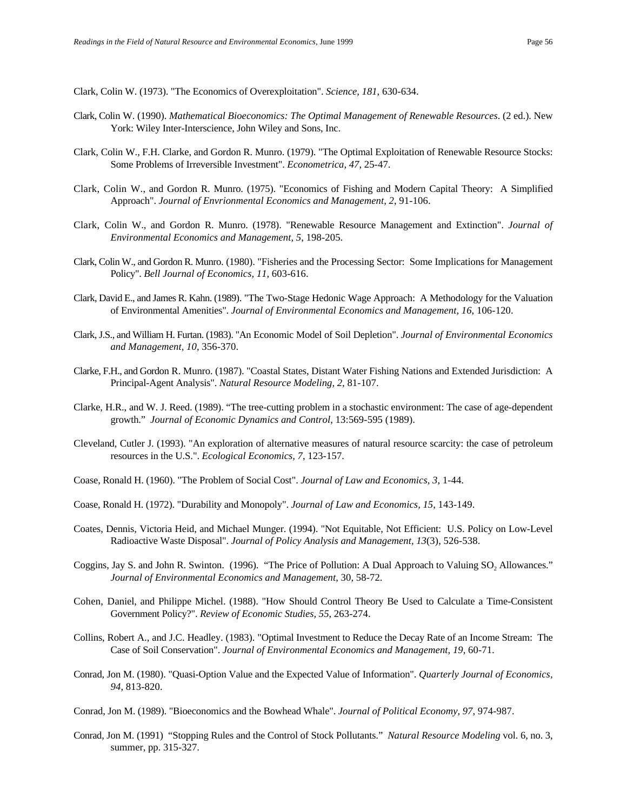Clark, Colin W. (1973). "The Economics of Overexploitation". *Science, 181*, 630-634.

- Clark, Colin W. (1990). *Mathematical Bioeconomics: The Optimal Management of Renewable Resources*. (2 ed.). New York: Wiley Inter-Interscience, John Wiley and Sons, Inc.
- Clark, Colin W., F.H. Clarke, and Gordon R. Munro. (1979). "The Optimal Exploitation of Renewable Resource Stocks: Some Problems of Irreversible Investment". *Econometrica, 47*, 25-47.
- Clark, Colin W., and Gordon R. Munro. (1975). "Economics of Fishing and Modern Capital Theory: A Simplified Approach". *Journal of Envrionmental Economics and Management, 2*, 91-106.
- Clark, Colin W., and Gordon R. Munro. (1978). "Renewable Resource Management and Extinction". *Journal of Environmental Economics and Management, 5*, 198-205.
- Clark, Colin W., and Gordon R. Munro. (1980). "Fisheries and the Processing Sector: Some Implications for Management Policy". *Bell Journal of Economics, 11*, 603-616.
- Clark, David E., and James R. Kahn. (1989). "The Two-Stage Hedonic Wage Approach: A Methodology for the Valuation of Environmental Amenities". *Journal of Environmental Economics and Management, 16*, 106-120.
- Clark, J.S., and William H. Furtan. (1983). "An Economic Model of Soil Depletion". *Journal of Environmental Economics and Management, 10*, 356-370.
- Clarke, F.H., and Gordon R. Munro. (1987). "Coastal States, Distant Water Fishing Nations and Extended Jurisdiction: A Principal-Agent Analysis". *Natural Resource Modeling, 2*, 81-107.
- Clarke, H.R., and W. J. Reed. (1989). "The tree-cutting problem in a stochastic environment: The case of age-dependent growth." *Journal of Economic Dynamics and Control*, 13:569-595 (1989).
- Cleveland, Cutler J. (1993). "An exploration of alternative measures of natural resource scarcity: the case of petroleum resources in the U.S.". *Ecological Economics, 7*, 123-157.
- Coase, Ronald H. (1960). "The Problem of Social Cost". *Journal of Law and Economics, 3*, 1-44.
- Coase, Ronald H. (1972). "Durability and Monopoly". *Journal of Law and Economics, 15*, 143-149.
- Coates, Dennis, Victoria Heid, and Michael Munger. (1994). "Not Equitable, Not Efficient: U.S. Policy on Low-Level Radioactive Waste Disposal". *Journal of Policy Analysis and Management, 13*(3), 526-538.
- Coggins, Jay S. and John R. Swinton. (1996). "The Price of Pollution: A Dual Approach to Valuing  $SO_2$  Allowances." *Journal of Environmental Economics and Management*, 30, 58-72.
- Cohen, Daniel, and Philippe Michel. (1988). "How Should Control Theory Be Used to Calculate a Time-Consistent Government Policy?". *Review of Economic Studies, 55*, 263-274.
- Collins, Robert A., and J.C. Headley. (1983). "Optimal Investment to Reduce the Decay Rate of an Income Stream: The Case of Soil Conservation". *Journal of Environmental Economics and Management, 19*, 60-71.
- Conrad, Jon M. (1980). "Quasi-Option Value and the Expected Value of Information". *Quarterly Journal of Economics, 94*, 813-820.
- Conrad, Jon M. (1989). "Bioeconomics and the Bowhead Whale". *Journal of Political Economy, 97*, 974-987.
- Conrad, Jon M. (1991) "Stopping Rules and the Control of Stock Pollutants." *Natural Resource Modeling* vol. 6, no. 3, summer, pp. 315-327.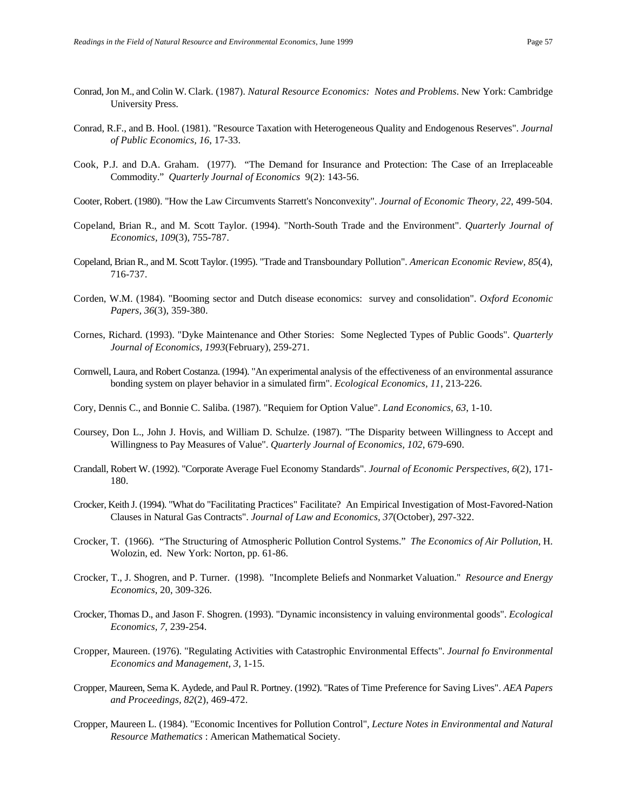- Conrad, Jon M., and Colin W. Clark. (1987). *Natural Resource Economics: Notes and Problems*. New York: Cambridge University Press.
- Conrad, R.F., and B. Hool. (1981). "Resource Taxation with Heterogeneous Quality and Endogenous Reserves". *Journal of Public Economics, 16*, 17-33.
- Cook, P.J. and D.A. Graham. (1977). "The Demand for Insurance and Protection: The Case of an Irreplaceable Commodity." *Quarterly Journal of Economics* 9(2): 143-56.
- Cooter, Robert. (1980). "How the Law Circumvents Starrett's Nonconvexity". *Journal of Economic Theory, 22*, 499-504.
- Copeland, Brian R., and M. Scott Taylor. (1994). "North-South Trade and the Environment". *Quarterly Journal of Economics, 109*(3), 755-787.
- Copeland, Brian R., and M. Scott Taylor. (1995). "Trade and Transboundary Pollution". *American Economic Review, 85*(4), 716-737.
- Corden, W.M. (1984). "Booming sector and Dutch disease economics: survey and consolidation". *Oxford Economic Papers, 36*(3), 359-380.
- Cornes, Richard. (1993). "Dyke Maintenance and Other Stories: Some Neglected Types of Public Goods". *Quarterly Journal of Economics, 1993*(February), 259-271.
- Cornwell, Laura, and Robert Costanza. (1994). "An experimental analysis of the effectiveness of an environmental assurance bonding system on player behavior in a simulated firm". *Ecological Economics, 11*, 213-226.
- Cory, Dennis C., and Bonnie C. Saliba. (1987). "Requiem for Option Value". *Land Economics, 63*, 1-10.
- Coursey, Don L., John J. Hovis, and William D. Schulze. (1987). "The Disparity between Willingness to Accept and Willingness to Pay Measures of Value". *Quarterly Journal of Economics, 102*, 679-690.
- Crandall, Robert W. (1992). "Corporate Average Fuel Economy Standards". *Journal of Economic Perspectives, 6*(2), 171- 180.
- Crocker, Keith J. (1994). "What do "Facilitating Practices" Facilitate? An Empirical Investigation of Most-Favored-Nation Clauses in Natural Gas Contracts". *Journal of Law and Economics, 37*(October), 297-322.
- Crocker, T. (1966). "The Structuring of Atmospheric Pollution Control Systems." *The Economics of Air Pollution*, H. Wolozin, ed. New York: Norton, pp. 61-86.
- Crocker, T., J. Shogren, and P. Turner. (1998). "Incomplete Beliefs and Nonmarket Valuation." *Resource and Energy Economics*, 20, 309-326.
- Crocker, Thomas D., and Jason F. Shogren. (1993). "Dynamic inconsistency in valuing environmental goods". *Ecological Economics, 7*, 239-254.
- Cropper, Maureen. (1976). "Regulating Activities with Catastrophic Environmental Effects". *Journal fo Environmental Economics and Management, 3*, 1-15.
- Cropper, Maureen, Sema K. Aydede, and Paul R. Portney. (1992). "Rates of Time Preference for Saving Lives". *AEA Papers and Proceedings, 82*(2), 469-472.
- Cropper, Maureen L. (1984). "Economic Incentives for Pollution Control", *Lecture Notes in Environmental and Natural Resource Mathematics* : American Mathematical Society.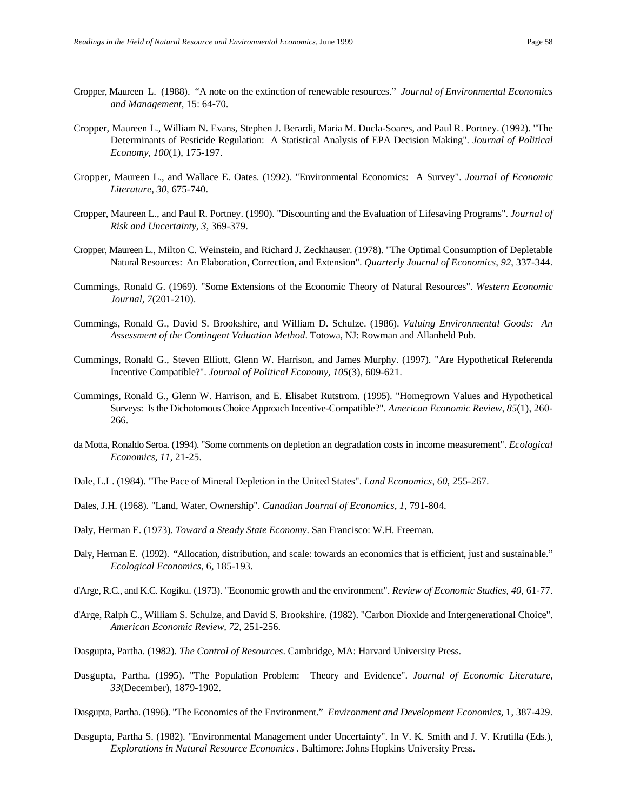- Cropper, Maureen L. (1988). "A note on the extinction of renewable resources." *Journal of Environmental Economics and Management*, 15: 64-70.
- Cropper, Maureen L., William N. Evans, Stephen J. Berardi, Maria M. Ducla-Soares, and Paul R. Portney. (1992). "The Determinants of Pesticide Regulation: A Statistical Analysis of EPA Decision Making". *Journal of Political Economy, 100*(1), 175-197.
- Cropper, Maureen L., and Wallace E. Oates. (1992). "Environmental Economics: A Survey". *Journal of Economic Literature, 30*, 675-740.
- Cropper, Maureen L., and Paul R. Portney. (1990). "Discounting and the Evaluation of Lifesaving Programs". *Journal of Risk and Uncertainty, 3*, 369-379.
- Cropper, Maureen L., Milton C. Weinstein, and Richard J. Zeckhauser. (1978). "The Optimal Consumption of Depletable Natural Resources: An Elaboration, Correction, and Extension". *Quarterly Journal of Economics, 92*, 337-344.
- Cummings, Ronald G. (1969). "Some Extensions of the Economic Theory of Natural Resources". *Western Economic Journal, 7*(201-210).
- Cummings, Ronald G., David S. Brookshire, and William D. Schulze. (1986). *Valuing Environmental Goods: An Assessment of the Contingent Valuation Method*. Totowa, NJ: Rowman and Allanheld Pub.
- Cummings, Ronald G., Steven Elliott, Glenn W. Harrison, and James Murphy. (1997). "Are Hypothetical Referenda Incentive Compatible?". *Journal of Political Economy, 105*(3), 609-621.
- Cummings, Ronald G., Glenn W. Harrison, and E. Elisabet Rutstrom. (1995). "Homegrown Values and Hypothetical Surveys: Is the Dichotomous Choice Approach Incentive-Compatible?". *American Economic Review, 85*(1), 260- 266.
- da Motta, Ronaldo Seroa. (1994). "Some comments on depletion an degradation costs in income measurement". *Ecological Economics, 11*, 21-25.
- Dale, L.L. (1984). "The Pace of Mineral Depletion in the United States". *Land Economics, 60*, 255-267.
- Dales, J.H. (1968). "Land, Water, Ownership". *Canadian Journal of Economics, 1*, 791-804.
- Daly, Herman E. (1973). *Toward a Steady State Economy*. San Francisco: W.H. Freeman.
- Daly, Herman E. (1992). "Allocation, distribution, and scale: towards an economics that is efficient, just and sustainable." *Ecological Economics*, 6, 185-193.
- d'Arge, R.C., and K.C. Kogiku. (1973). "Economic growth and the environment". *Review of Economic Studies, 40*, 61-77.
- d'Arge, Ralph C., William S. Schulze, and David S. Brookshire. (1982). "Carbon Dioxide and Intergenerational Choice". *American Economic Review, 72*, 251-256.
- Dasgupta, Partha. (1982). *The Control of Resources*. Cambridge, MA: Harvard University Press.
- Dasgupta, Partha. (1995). "The Population Problem: Theory and Evidence". *Journal of Economic Literature, 33*(December), 1879-1902.
- Dasgupta, Partha. (1996). "The Economics of the Environment." *Environment and Development Economics*, 1, 387-429.
- Dasgupta, Partha S. (1982). "Environmental Management under Uncertainty". In V. K. Smith and J. V. Krutilla (Eds.), *Explorations in Natural Resource Economics* . Baltimore: Johns Hopkins University Press.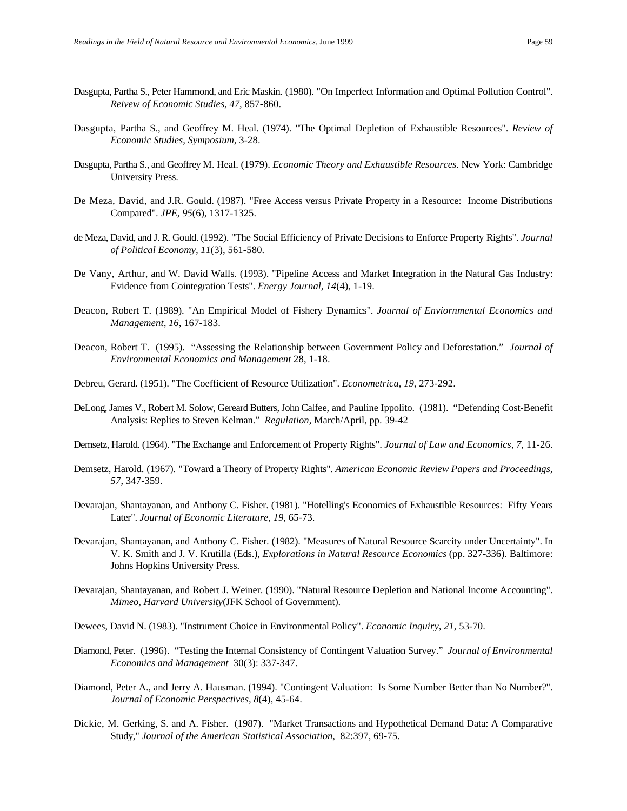- Dasgupta, Partha S., Peter Hammond, and Eric Maskin. (1980). "On Imperfect Information and Optimal Pollution Control". *Reivew of Economic Studies, 47*, 857-860.
- Dasgupta, Partha S., and Geoffrey M. Heal. (1974). "The Optimal Depletion of Exhaustible Resources". *Review of Economic Studies, Symposium*, 3-28.
- Dasgupta, Partha S., and Geoffrey M. Heal. (1979). *Economic Theory and Exhaustible Resources*. New York: Cambridge University Press.
- De Meza, David, and J.R. Gould. (1987). "Free Access versus Private Property in a Resource: Income Distributions Compared". *JPE, 95*(6), 1317-1325.
- de Meza, David, and J. R. Gould. (1992). "The Social Efficiency of Private Decisions to Enforce Property Rights". *Journal of Political Economy, 11*(3), 561-580.
- De Vany, Arthur, and W. David Walls. (1993). "Pipeline Access and Market Integration in the Natural Gas Industry: Evidence from Cointegration Tests". *Energy Journal, 14*(4), 1-19.
- Deacon, Robert T. (1989). "An Empirical Model of Fishery Dynamics". *Journal of Enviornmental Economics and Management, 16*, 167-183.
- Deacon, Robert T. (1995). "Assessing the Relationship between Government Policy and Deforestation." *Journal of Environmental Economics and Management* 28, 1-18.
- Debreu, Gerard. (1951). "The Coefficient of Resource Utilization". *Econometrica, 19*, 273-292.
- DeLong, James V., Robert M. Solow, Gereard Butters, John Calfee, and Pauline Ippolito. (1981). "Defending Cost-Benefit Analysis: Replies to Steven Kelman." *Regulation*, March/April, pp. 39-42
- Demsetz, Harold. (1964). "The Exchange and Enforcement of Property Rights". *Journal of Law and Economics, 7*, 11-26.
- Demsetz, Harold. (1967). "Toward a Theory of Property Rights". *American Economic Review Papers and Proceedings, 57*, 347-359.
- Devarajan, Shantayanan, and Anthony C. Fisher. (1981). "Hotelling's Economics of Exhaustible Resources: Fifty Years Later". *Journal of Economic Literature, 19*, 65-73.
- Devarajan, Shantayanan, and Anthony C. Fisher. (1982). "Measures of Natural Resource Scarcity under Uncertainty". In V. K. Smith and J. V. Krutilla (Eds.), *Explorations in Natural Resource Economics* (pp. 327-336). Baltimore: Johns Hopkins University Press.
- Devarajan, Shantayanan, and Robert J. Weiner. (1990). "Natural Resource Depletion and National Income Accounting". *Mimeo, Harvard University*(JFK School of Government).
- Dewees, David N. (1983). "Instrument Choice in Environmental Policy". *Economic Inquiry, 21*, 53-70.
- Diamond, Peter. (1996). "Testing the Internal Consistency of Contingent Valuation Survey." *Journal of Environmental Economics and Management* 30(3): 337-347.
- Diamond, Peter A., and Jerry A. Hausman. (1994). "Contingent Valuation: Is Some Number Better than No Number?". *Journal of Economic Perspectives, 8*(4), 45-64.
- Dickie, M. Gerking, S. and A. Fisher. (1987). "Market Transactions and Hypothetical Demand Data: A Comparative Study," *Journal of the American Statistical Association*, 82:397, 69-75.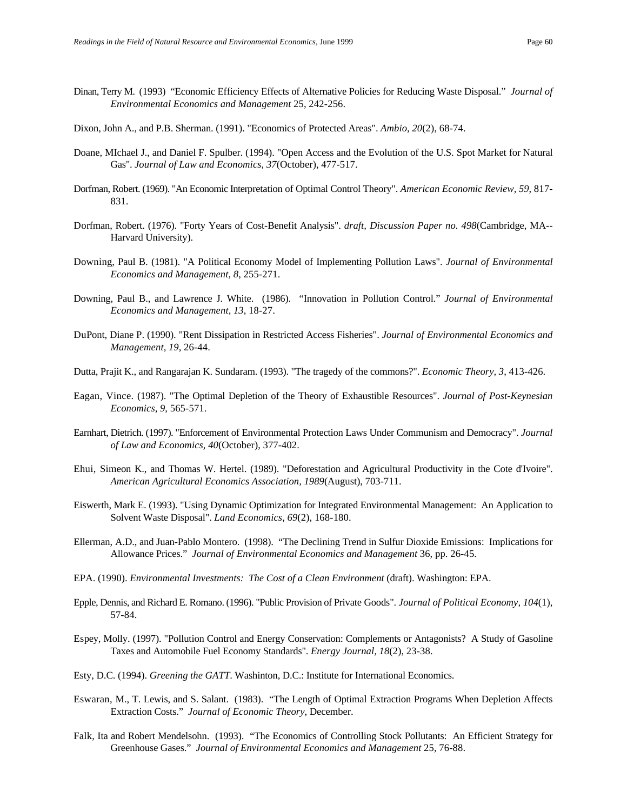- Dinan, Terry M. (1993) "Economic Efficiency Effects of Alternative Policies for Reducing Waste Disposal." *Journal of Environmental Economics and Management* 25, 242-256.
- Dixon, John A., and P.B. Sherman. (1991). "Economics of Protected Areas". *Ambio, 20*(2), 68-74.
- Doane, MIchael J., and Daniel F. Spulber. (1994). "Open Access and the Evolution of the U.S. Spot Market for Natural Gas". *Journal of Law and Economics, 37*(October), 477-517.
- Dorfman, Robert. (1969). "An Economic Interpretation of Optimal Control Theory". *American Economic Review, 59*, 817- 831.
- Dorfman, Robert. (1976). "Forty Years of Cost-Benefit Analysis". *draft, Discussion Paper no. 498*(Cambridge, MA-- Harvard University).
- Downing, Paul B. (1981). "A Political Economy Model of Implementing Pollution Laws". *Journal of Environmental Economics and Management, 8*, 255-271.
- Downing, Paul B., and Lawrence J. White. (1986). "Innovation in Pollution Control." *Journal of Environmental Economics and Management, 13*, 18-27.
- DuPont, Diane P. (1990). "Rent Dissipation in Restricted Access Fisheries". *Journal of Environmental Economics and Management, 19*, 26-44.
- Dutta, Prajit K., and Rangarajan K. Sundaram. (1993). "The tragedy of the commons?". *Economic Theory, 3*, 413-426.
- Eagan, Vince. (1987). "The Optimal Depletion of the Theory of Exhaustible Resources". *Journal of Post-Keynesian Economics, 9*, 565-571.
- Earnhart, Dietrich. (1997). "Enforcement of Environmental Protection Laws Under Communism and Democracy". *Journal of Law and Economics, 40*(October), 377-402.
- Ehui, Simeon K., and Thomas W. Hertel. (1989). "Deforestation and Agricultural Productivity in the Cote d'Ivoire". *American Agricultural Economics Association, 1989*(August), 703-711.
- Eiswerth, Mark E. (1993). "Using Dynamic Optimization for Integrated Environmental Management: An Application to Solvent Waste Disposal". *Land Economics, 69*(2), 168-180.
- Ellerman, A.D., and Juan-Pablo Montero. (1998). "The Declining Trend in Sulfur Dioxide Emissions: Implications for Allowance Prices." *Journal of Environmental Economics and Management* 36, pp. 26-45.
- EPA. (1990). *Environmental Investments: The Cost of a Clean Environment* (draft). Washington: EPA.
- Epple, Dennis, and Richard E. Romano. (1996). "Public Provision of Private Goods". *Journal of Political Economy, 104*(1), 57-84.
- Espey, Molly. (1997). "Pollution Control and Energy Conservation: Complements or Antagonists? A Study of Gasoline Taxes and Automobile Fuel Economy Standards". *Energy Journal, 18*(2), 23-38.
- Esty, D.C. (1994). *Greening the GATT*. Washinton, D.C.: Institute for International Economics.
- Eswaran, M., T. Lewis, and S. Salant. (1983). "The Length of Optimal Extraction Programs When Depletion Affects Extraction Costs." *Journal of Economic Theory*, December.
- Falk, Ita and Robert Mendelsohn. (1993). "The Economics of Controlling Stock Pollutants: An Efficient Strategy for Greenhouse Gases." *Journal of Environmental Economics and Management* 25, 76-88.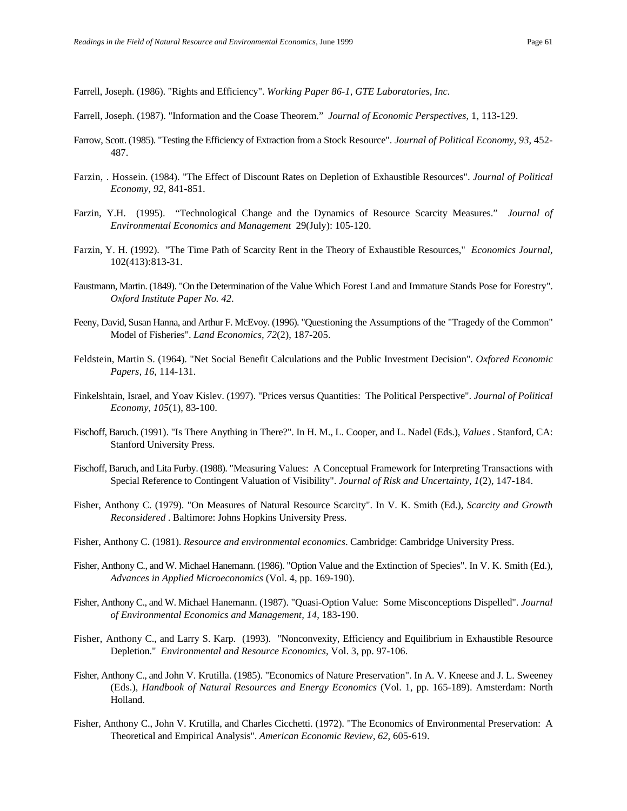Farrell, Joseph. (1986). "Rights and Efficiency". *Working Paper 86-1, GTE Laboratories, Inc.*

- Farrell, Joseph. (1987). "Information and the Coase Theorem." *Journal of Economic Perspectives*, 1, 113-129.
- Farrow, Scott. (1985). "Testing the Efficiency of Extraction from a Stock Resource". *Journal of Political Economy, 93*, 452- 487.
- Farzin, . Hossein. (1984). "The Effect of Discount Rates on Depletion of Exhaustible Resources". *Journal of Political Economy, 92*, 841-851.
- Farzin, Y.H. (1995). "Technological Change and the Dynamics of Resource Scarcity Measures." *Journal of Environmental Economics and Management* 29(July): 105-120.
- Farzin, Y. H. (1992). "The Time Path of Scarcity Rent in the Theory of Exhaustible Resources," *Economics Journal,* 102(413):813-31.
- Faustmann, Martin. (1849). "On the Determination of the Value Which Forest Land and Immature Stands Pose for Forestry". *Oxford Institute Paper No. 42*.
- Feeny, David, Susan Hanna, and Arthur F. McEvoy. (1996). "Questioning the Assumptions of the "Tragedy of the Common" Model of Fisheries". *Land Economics, 72*(2), 187-205.
- Feldstein, Martin S. (1964). "Net Social Benefit Calculations and the Public Investment Decision". *Oxfored Economic Papers, 16*, 114-131.
- Finkelshtain, Israel, and Yoav Kislev. (1997). "Prices versus Quantities: The Political Perspective". *Journal of Political Economy, 105*(1), 83-100.
- Fischoff, Baruch. (1991). "Is There Anything in There?". In H. M., L. Cooper, and L. Nadel (Eds.), *Values* . Stanford, CA: Stanford University Press.
- Fischoff, Baruch, and Lita Furby. (1988). "Measuring Values: A Conceptual Framework for Interpreting Transactions with Special Reference to Contingent Valuation of Visibility". *Journal of Risk and Uncertainty, 1*(2), 147-184.
- Fisher, Anthony C. (1979). "On Measures of Natural Resource Scarcity". In V. K. Smith (Ed.), *Scarcity and Growth Reconsidered* . Baltimore: Johns Hopkins University Press.
- Fisher, Anthony C. (1981). *Resource and environmental economics*. Cambridge: Cambridge University Press.
- Fisher, Anthony C., and W. Michael Hanemann. (1986). "Option Value and the Extinction of Species". In V. K. Smith (Ed.), *Advances in Applied Microeconomics* (Vol. 4, pp. 169-190).
- Fisher, Anthony C., and W. Michael Hanemann. (1987). "Quasi-Option Value: Some Misconceptions Dispelled". *Journal of Environmental Economics and Management, 14*, 183-190.
- Fisher, Anthony C., and Larry S. Karp. (1993). "Nonconvexity, Efficiency and Equilibrium in Exhaustible Resource Depletion." *Environmental and Resource Economics*, Vol. 3, pp. 97-106.
- Fisher, Anthony C., and John V. Krutilla. (1985). "Economics of Nature Preservation". In A. V. Kneese and J. L. Sweeney (Eds.), *Handbook of Natural Resources and Energy Economics* (Vol. 1, pp. 165-189). Amsterdam: North Holland.
- Fisher, Anthony C., John V. Krutilla, and Charles Cicchetti. (1972). "The Economics of Environmental Preservation: A Theoretical and Empirical Analysis". *American Economic Review, 62*, 605-619.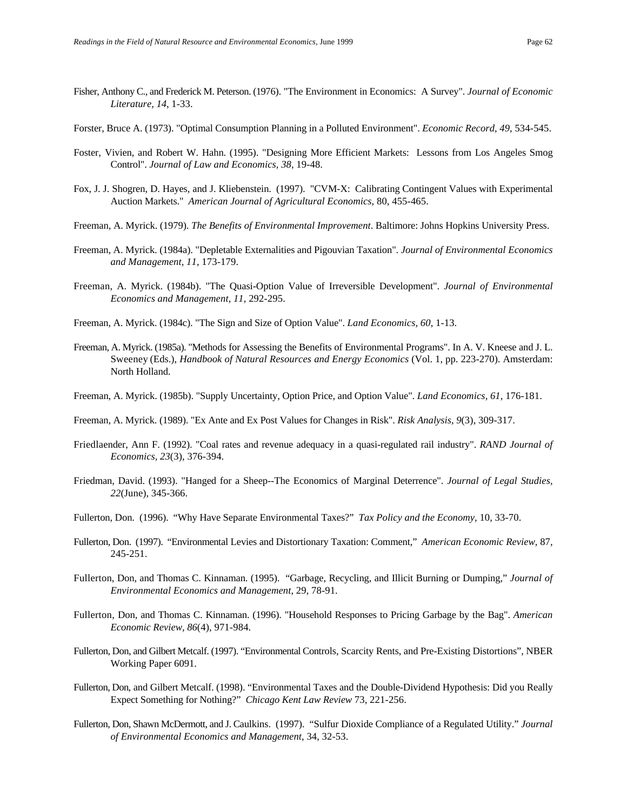- Fisher, Anthony C., and Frederick M. Peterson. (1976). "The Environment in Economics: A Survey". *Journal of Economic Literature, 14*, 1-33.
- Forster, Bruce A. (1973). "Optimal Consumption Planning in a Polluted Environment". *Economic Record, 49*, 534-545.
- Foster, Vivien, and Robert W. Hahn. (1995). "Designing More Efficient Markets: Lessons from Los Angeles Smog Control". *Journal of Law and Economics, 38*, 19-48.
- Fox, J. J. Shogren, D. Hayes, and J. Kliebenstein. (1997). "CVM-X: Calibrating Contingent Values with Experimental Auction Markets." *American Journal of Agricultural Economics*, 80, 455-465.
- Freeman, A. Myrick. (1979). *The Benefits of Environmental Improvement*. Baltimore: Johns Hopkins University Press.
- Freeman, A. Myrick. (1984a). "Depletable Externalities and Pigouvian Taxation". *Journal of Environmental Economics and Management, 11*, 173-179.
- Freeman, A. Myrick. (1984b). "The Quasi-Option Value of Irreversible Development". *Journal of Environmental Economics and Management, 11*, 292-295.
- Freeman, A. Myrick. (1984c). "The Sign and Size of Option Value". *Land Economics, 60*, 1-13.
- Freeman, A. Myrick. (1985a). "Methods for Assessing the Benefits of Environmental Programs". In A. V. Kneese and J. L. Sweeney (Eds.), *Handbook of Natural Resources and Energy Economics* (Vol. 1, pp. 223-270). Amsterdam: North Holland.
- Freeman, A. Myrick. (1985b). "Supply Uncertainty, Option Price, and Option Value". *Land Economics, 61*, 176-181.
- Freeman, A. Myrick. (1989). "Ex Ante and Ex Post Values for Changes in Risk". *Risk Analysis, 9*(3), 309-317.
- Friedlaender, Ann F. (1992). "Coal rates and revenue adequacy in a quasi-regulated rail industry". *RAND Journal of Economics, 23*(3), 376-394.
- Friedman, David. (1993). "Hanged for a Sheep--The Economics of Marginal Deterrence". *Journal of Legal Studies, 22*(June), 345-366.
- Fullerton, Don. (1996). "Why Have Separate Environmental Taxes?" *Tax Policy and the Economy*, 10, 33-70.
- Fullerton, Don. (1997). "Environmental Levies and Distortionary Taxation: Comment," *American Economic Review*, 87, 245-251.
- Fullerton, Don, and Thomas C. Kinnaman. (1995). "Garbage, Recycling, and Illicit Burning or Dumping," *Journal of Environmental Economics and Management*, 29, 78-91.
- Fullerton, Don, and Thomas C. Kinnaman. (1996). "Household Responses to Pricing Garbage by the Bag". *American Economic Review, 86*(4), 971-984.
- Fullerton, Don, and Gilbert Metcalf. (1997). "Environmental Controls, Scarcity Rents, and Pre-Existing Distortions", NBER Working Paper 6091.
- Fullerton, Don, and Gilbert Metcalf. (1998). "Environmental Taxes and the Double-Dividend Hypothesis: Did you Really Expect Something for Nothing?" *Chicago Kent Law Review* 73, 221-256.
- Fullerton, Don, Shawn McDermott, and J. Caulkins. (1997). "Sulfur Dioxide Compliance of a Regulated Utility." *Journal of Environmental Economics and Management*, 34, 32-53.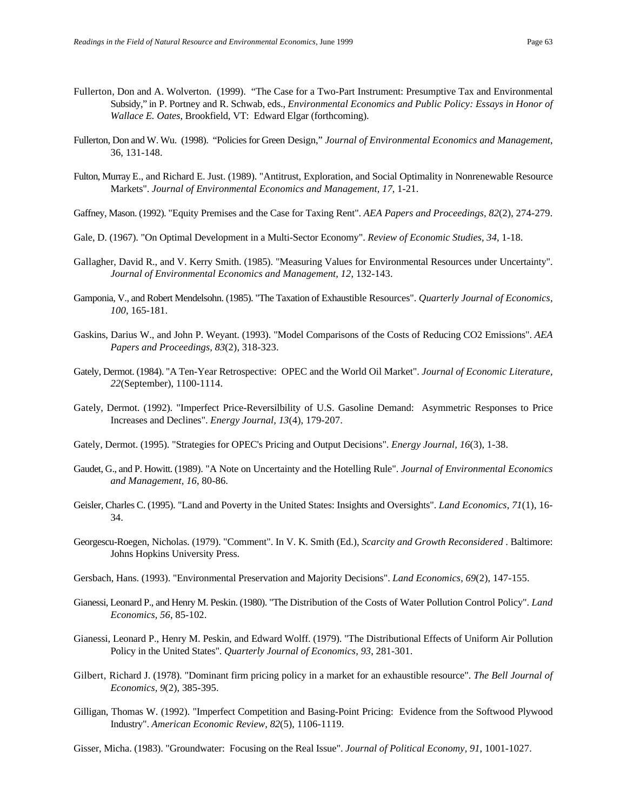- Fullerton, Don and A. Wolverton. (1999). "The Case for a Two-Part Instrument: Presumptive Tax and Environmental Subsidy," in P. Portney and R. Schwab, eds., *Environmental Economics and Public Policy: Essays in Honor of Wallace E. Oates*, Brookfield, VT: Edward Elgar (forthcoming).
- Fullerton, Don and W. Wu. (1998). "Policies for Green Design," *Journal of Environmental Economics and Management*, 36, 131-148.
- Fulton, Murray E., and Richard E. Just. (1989). "Antitrust, Exploration, and Social Optimality in Nonrenewable Resource Markets". *Journal of Environmental Economics and Management, 17*, 1-21.
- Gaffney, Mason. (1992). "Equity Premises and the Case for Taxing Rent". *AEA Papers and Proceedings, 82*(2), 274-279.
- Gale, D. (1967). "On Optimal Development in a Multi-Sector Economy". *Review of Economic Studies, 34*, 1-18.
- Gallagher, David R., and V. Kerry Smith. (1985). "Measuring Values for Environmental Resources under Uncertainty". *Journal of Environmental Economics and Management, 12*, 132-143.
- Gamponia, V., and Robert Mendelsohn. (1985). "The Taxation of Exhaustible Resources". *Quarterly Journal of Economics, 100*, 165-181.
- Gaskins, Darius W., and John P. Weyant. (1993). "Model Comparisons of the Costs of Reducing CO2 Emissions". *AEA Papers and Proceedings, 83*(2), 318-323.
- Gately, Dermot. (1984). "A Ten-Year Retrospective: OPEC and the World Oil Market". *Journal of Economic Literature, 22*(September), 1100-1114.
- Gately, Dermot. (1992). "Imperfect Price-Reversilbility of U.S. Gasoline Demand: Asymmetric Responses to Price Increases and Declines". *Energy Journal, 13*(4), 179-207.
- Gately, Dermot. (1995). "Strategies for OPEC's Pricing and Output Decisions". *Energy Journal, 16*(3), 1-38.
- Gaudet, G., and P. Howitt. (1989). "A Note on Uncertainty and the Hotelling Rule". *Journal of Environmental Economics and Management, 16*, 80-86.
- Geisler, Charles C. (1995). "Land and Poverty in the United States: Insights and Oversights". *Land Economics, 71*(1), 16- 34.
- Georgescu-Roegen, Nicholas. (1979). "Comment". In V. K. Smith (Ed.), *Scarcity and Growth Reconsidered* . Baltimore: Johns Hopkins University Press.
- Gersbach, Hans. (1993). "Environmental Preservation and Majority Decisions". *Land Economics, 69*(2), 147-155.
- Gianessi, Leonard P., and Henry M. Peskin. (1980). "The Distribution of the Costs of Water Pollution Control Policy". *Land Economics, 56*, 85-102.
- Gianessi, Leonard P., Henry M. Peskin, and Edward Wolff. (1979). "The Distributional Effects of Uniform Air Pollution Policy in the United States". *Quarterly Journal of Economics, 93*, 281-301.
- Gilbert, Richard J. (1978). "Dominant firm pricing policy in a market for an exhaustible resource". *The Bell Journal of Economics, 9*(2), 385-395.
- Gilligan, Thomas W. (1992). "Imperfect Competition and Basing-Point Pricing: Evidence from the Softwood Plywood Industry". *American Economic Review, 82*(5), 1106-1119.
- Gisser, Micha. (1983). "Groundwater: Focusing on the Real Issue". *Journal of Political Economy, 91*, 1001-1027.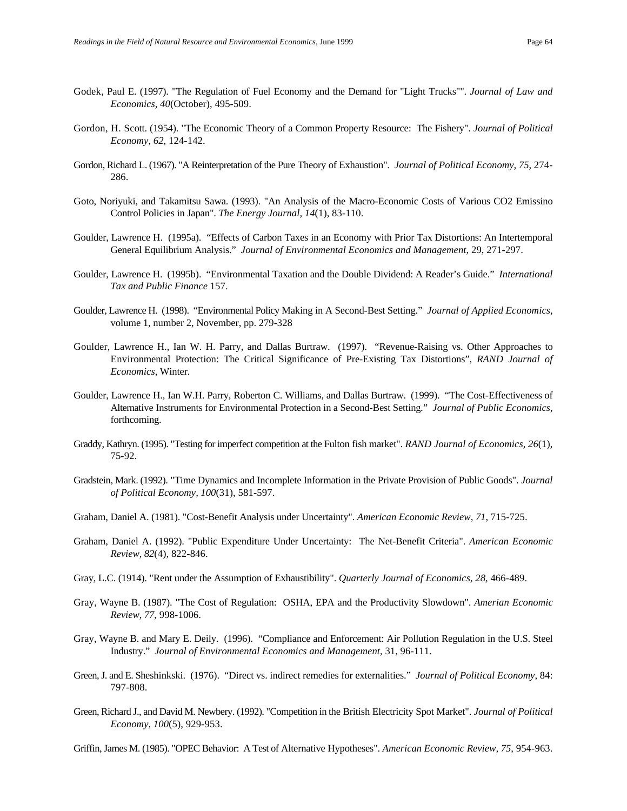- Godek, Paul E. (1997). "The Regulation of Fuel Economy and the Demand for "Light Trucks"". *Journal of Law and Economics, 40*(October), 495-509.
- Gordon, H. Scott. (1954). "The Economic Theory of a Common Property Resource: The Fishery". *Journal of Political Economy, 62*, 124-142.
- Gordon, Richard L. (1967). "A Reinterpretation of the Pure Theory of Exhaustion". *Journal of Political Economy, 75*, 274- 286.
- Goto, Noriyuki, and Takamitsu Sawa. (1993). "An Analysis of the Macro-Economic Costs of Various CO2 Emissino Control Policies in Japan". *The Energy Journal, 14*(1), 83-110.
- Goulder, Lawrence H. (1995a). "Effects of Carbon Taxes in an Economy with Prior Tax Distortions: An Intertemporal General Equilibrium Analysis." *Journal of Environmental Economics and Management*, 29, 271-297.
- Goulder, Lawrence H. (1995b). "Environmental Taxation and the Double Dividend: A Reader's Guide." *International Tax and Public Finance* 157.
- Goulder, Lawrence H. (1998). "Environmental Policy Making in A Second-Best Setting." *Journal of Applied Economics*, volume 1, number 2, November, pp. 279-328
- Goulder, Lawrence H., Ian W. H. Parry, and Dallas Burtraw. (1997). "Revenue-Raising vs. Other Approaches to Environmental Protection: The Critical Significance of Pre-Existing Tax Distortions", *RAND Journal of Economics*, Winter.
- Goulder, Lawrence H., Ian W.H. Parry, Roberton C. Williams, and Dallas Burtraw. (1999). "The Cost-Effectiveness of Alternative Instruments for Environmental Protection in a Second-Best Setting*.*" *Journal of Public Economics*, forthcoming.
- Graddy, Kathryn. (1995). "Testing for imperfect competition at the Fulton fish market". *RAND Journal of Economics, 26*(1), 75-92.
- Gradstein, Mark. (1992). "Time Dynamics and Incomplete Information in the Private Provision of Public Goods". *Journal of Political Economy, 100*(31), 581-597.
- Graham, Daniel A. (1981). "Cost-Benefit Analysis under Uncertainty". *American Economic Review, 71*, 715-725.
- Graham, Daniel A. (1992). "Public Expenditure Under Uncertainty: The Net-Benefit Criteria". *American Economic Review, 82*(4), 822-846.
- Gray, L.C. (1914). "Rent under the Assumption of Exhaustibility". *Quarterly Journal of Economics, 28*, 466-489.
- Gray, Wayne B. (1987). "The Cost of Regulation: OSHA, EPA and the Productivity Slowdown". *Amerian Economic Review, 77*, 998-1006.
- Gray, Wayne B. and Mary E. Deily. (1996). "Compliance and Enforcement: Air Pollution Regulation in the U.S. Steel Industry." *Journal of Environmental Economics and Management*, 31, 96-111.
- Green, J. and E. Sheshinkski. (1976). "Direct vs. indirect remedies for externalities." *Journal of Political Economy*, 84: 797-808.
- Green, Richard J., and David M. Newbery. (1992). "Competition in the British Electricity Spot Market". *Journal of Political Economy, 100*(5), 929-953.

Griffin, James M. (1985). "OPEC Behavior: A Test of Alternative Hypotheses". *American Economic Review, 75*, 954-963.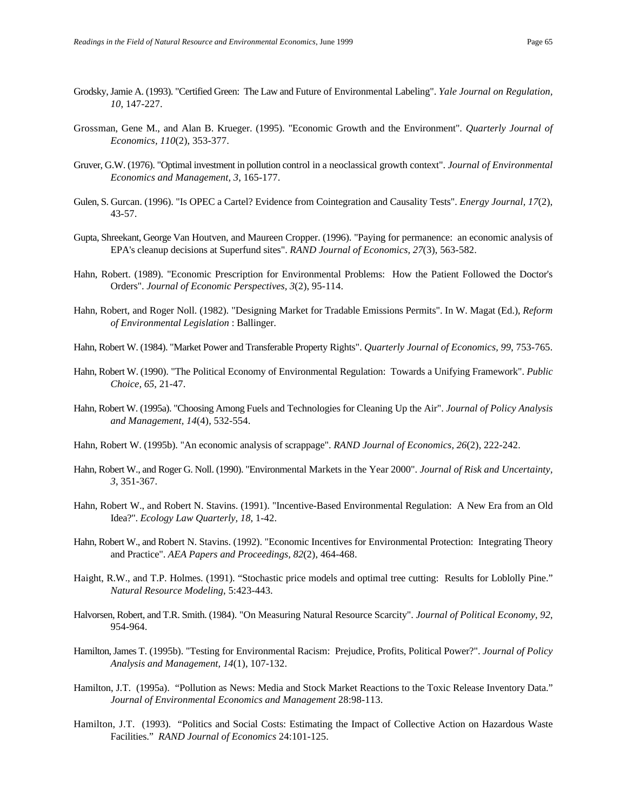- Grodsky, Jamie A. (1993). "Certified Green: The Law and Future of Environmental Labeling". *Yale Journal on Regulation, 10*, 147-227.
- Grossman, Gene M., and Alan B. Krueger. (1995). "Economic Growth and the Environment". *Quarterly Journal of Economics, 110*(2), 353-377.
- Gruver, G.W. (1976). "Optimal investment in pollution control in a neoclassical growth context". *Journal of Environmental Economics and Management, 3*, 165-177.
- Gulen, S. Gurcan. (1996). "Is OPEC a Cartel? Evidence from Cointegration and Causality Tests". *Energy Journal, 17*(2), 43-57.
- Gupta, Shreekant, George Van Houtven, and Maureen Cropper. (1996). "Paying for permanence: an economic analysis of EPA's cleanup decisions at Superfund sites". *RAND Journal of Economics, 27*(3), 563-582.
- Hahn, Robert. (1989). "Economic Prescription for Environmental Problems: How the Patient Followed the Doctor's Orders". *Journal of Economic Perspectives, 3*(2), 95-114.
- Hahn, Robert, and Roger Noll. (1982). "Designing Market for Tradable Emissions Permits". In W. Magat (Ed.), *Reform of Environmental Legislation* : Ballinger.
- Hahn, Robert W. (1984). "Market Power and Transferable Property Rights". *Quarterly Journal of Economics, 99*, 753-765.
- Hahn, Robert W. (1990). "The Political Economy of Environmental Regulation: Towards a Unifying Framework". *Public Choice, 65*, 21-47.
- Hahn, Robert W. (1995a). "Choosing Among Fuels and Technologies for Cleaning Up the Air". *Journal of Policy Analysis and Management, 14*(4), 532-554.
- Hahn, Robert W. (1995b). "An economic analysis of scrappage". *RAND Journal of Economics, 26*(2), 222-242.
- Hahn, Robert W., and Roger G. Noll. (1990). "Environmental Markets in the Year 2000". *Journal of Risk and Uncertainty, 3*, 351-367.
- Hahn, Robert W., and Robert N. Stavins. (1991). "Incentive-Based Environmental Regulation: A New Era from an Old Idea?". *Ecology Law Quarterly, 18*, 1-42.
- Hahn, Robert W., and Robert N. Stavins. (1992). "Economic Incentives for Environmental Protection: Integrating Theory and Practice". *AEA Papers and Proceedings, 82*(2), 464-468.
- Haight, R.W., and T.P. Holmes. (1991). "Stochastic price models and optimal tree cutting: Results for Loblolly Pine." *Natural Resource Modeling*, 5:423-443.
- Halvorsen, Robert, and T.R. Smith. (1984). "On Measuring Natural Resource Scarcity". *Journal of Political Economy, 92*, 954-964.
- Hamilton, James T. (1995b). "Testing for Environmental Racism: Prejudice, Profits, Political Power?". *Journal of Policy Analysis and Management, 14*(1), 107-132.
- Hamilton, J.T. (1995a). "Pollution as News: Media and Stock Market Reactions to the Toxic Release Inventory Data." *Journal of Environmental Economics and Management* 28:98-113.
- Hamilton, J.T. (1993). "Politics and Social Costs: Estimating the Impact of Collective Action on Hazardous Waste Facilities." *RAND Journal of Economics* 24:101-125.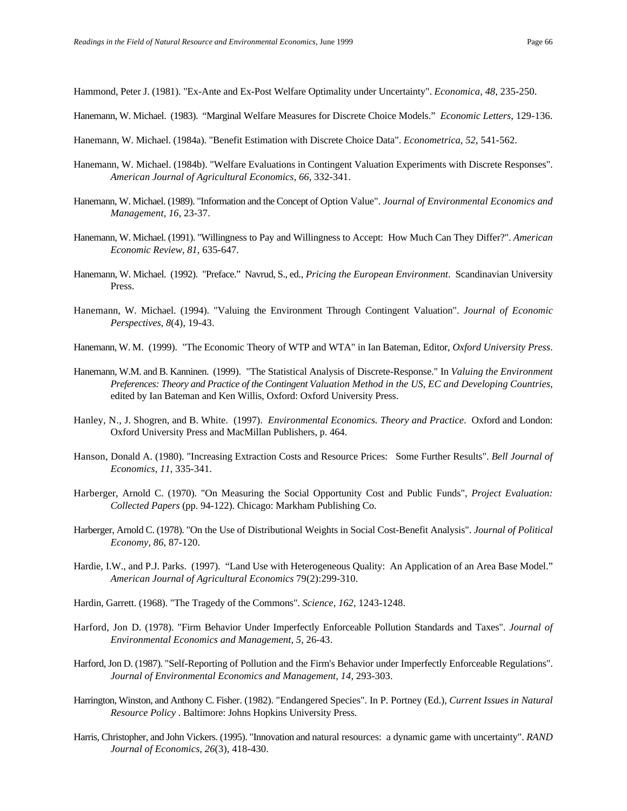Hammond, Peter J. (1981). "Ex-Ante and Ex-Post Welfare Optimality under Uncertainty". *Economica, 48*, 235-250.

- Hanemann, W. Michael. (1983). "Marginal Welfare Measures for Discrete Choice Models." *Economic Letters*, 129-136.
- Hanemann, W. Michael. (1984a). "Benefit Estimation with Discrete Choice Data". *Econometrica, 52*, 541-562.
- Hanemann, W. Michael. (1984b). "Welfare Evaluations in Contingent Valuation Experiments with Discrete Responses". *American Journal of Agricultural Economics, 66*, 332-341.
- Hanemann, W. Michael. (1989). "Information and the Concept of Option Value". *Journal of Environmental Economics and Management, 16*, 23-37.
- Hanemann, W. Michael. (1991). "Willingness to Pay and Willingness to Accept: How Much Can They Differ?". *American Economic Review, 81*, 635-647.
- Hanemann, W. Michael. (1992). "Preface." Navrud, S., ed., *Pricing the European Environment*. Scandinavian University Press.
- Hanemann, W. Michael. (1994). "Valuing the Environment Through Contingent Valuation". *Journal of Economic Perspectives, 8*(4), 19-43.
- Hanemann, W. M. (1999). "The Economic Theory of WTP and WTA" in Ian Bateman, Editor, *Oxford University Press*.
- Hanemann, W.M. and B. Kanninen. (1999). "The Statistical Analysis of Discrete-Response." In *Valuing the Environment Preferences: Theory and Practice of the Contingent Valuation Method in the US, EC and Developing Countries*, edited by Ian Bateman and Ken Willis, Oxford: Oxford University Press.
- Hanley, N., J. Shogren, and B. White. (1997). *Environmental Economics. Theory and Practice*. Oxford and London: Oxford University Press and MacMillan Publishers, p. 464.
- Hanson, Donald A. (1980). "Increasing Extraction Costs and Resource Prices: Some Further Results". *Bell Journal of Economics, 11*, 335-341.
- Harberger, Arnold C. (1970). "On Measuring the Social Opportunity Cost and Public Funds", *Project Evaluation: Collected Papers* (pp. 94-122). Chicago: Markham Publishing Co.
- Harberger, Arnold C. (1978). "On the Use of Distributional Weights in Social Cost-Benefit Analysis". *Journal of Political Economy, 86*, 87-120.
- Hardie, I.W., and P.J. Parks. (1997). "Land Use with Heterogeneous Quality: An Application of an Area Base Model." *American Journal of Agricultural Economics* 79(2):299-310.
- Hardin, Garrett. (1968). "The Tragedy of the Commons". *Science, 162*, 1243-1248.
- Harford, Jon D. (1978). "Firm Behavior Under Imperfectly Enforceable Pollution Standards and Taxes". *Journal of Environmental Economics and Management, 5*, 26-43.
- Harford, Jon D. (1987). "Self-Reporting of Pollution and the Firm's Behavior under Imperfectly Enforceable Regulations". *Journal of Environmental Economics and Management, 14*, 293-303.
- Harrington, Winston, and Anthony C. Fisher. (1982). "Endangered Species". In P. Portney (Ed.), *Current Issues in Natural Resource Policy* . Baltimore: Johns Hopkins University Press.
- Harris, Christopher, and John Vickers. (1995). "Innovation and natural resources: a dynamic game with uncertainty". *RAND Journal of Economics, 26*(3), 418-430.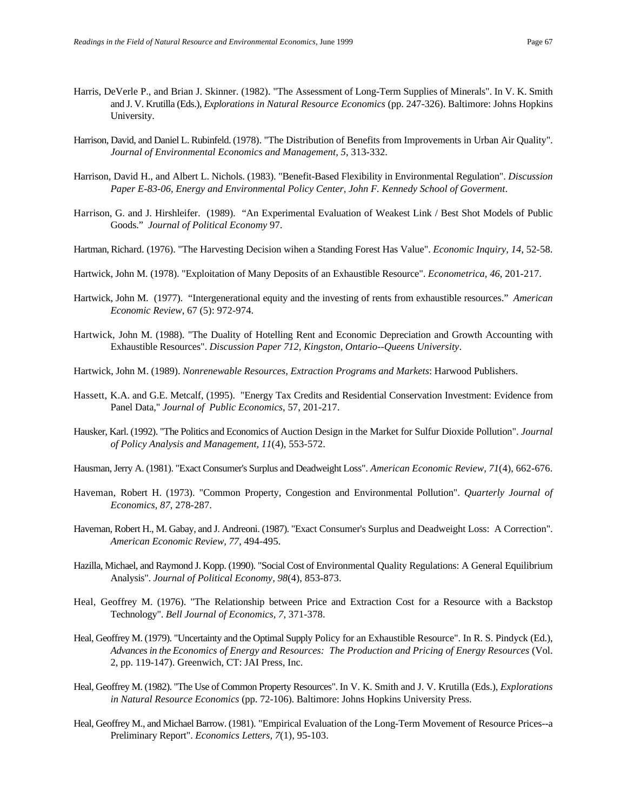- 
- Harris, DeVerle P., and Brian J. Skinner. (1982). "The Assessment of Long-Term Supplies of Minerals". In V. K. Smith and J. V. Krutilla (Eds.), *Explorations in Natural Resource Economics* (pp. 247-326). Baltimore: Johns Hopkins University.
- Harrison, David, and Daniel L. Rubinfeld. (1978). "The Distribution of Benefits from Improvements in Urban Air Quality". *Journal of Environmental Economics and Management, 5*, 313-332.
- Harrison, David H., and Albert L. Nichols. (1983). "Benefit-Based Flexibility in Environmental Regulation". *Discussion Paper E-83-06, Energy and Environmental Policy Center, John F. Kennedy School of Goverment*.
- Harrison, G. and J. Hirshleifer. (1989). "An Experimental Evaluation of Weakest Link / Best Shot Models of Public Goods." *Journal of Political Economy* 97.
- Hartman, Richard. (1976). "The Harvesting Decision wihen a Standing Forest Has Value". *Economic Inquiry, 14*, 52-58.
- Hartwick, John M. (1978). "Exploitation of Many Deposits of an Exhaustible Resource". *Econometrica, 46*, 201-217.
- Hartwick, John M. (1977). "Intergenerational equity and the investing of rents from exhaustible resources." *American Economic Review*, 67 (5): 972-974.
- Hartwick, John M. (1988). "The Duality of Hotelling Rent and Economic Depreciation and Growth Accounting with Exhaustible Resources". *Discussion Paper 712, Kingston, Ontario--Queens University*.
- Hartwick, John M. (1989). *Nonrenewable Resources, Extraction Programs and Markets*: Harwood Publishers.
- Hassett, K.A. and G.E. Metcalf, (1995). "Energy Tax Credits and Residential Conservation Investment: Evidence from Panel Data," *Journal of Public Economics*, 57, 201-217.
- Hausker, Karl. (1992). "The Politics and Economics of Auction Design in the Market for Sulfur Dioxide Pollution". *Journal of Policy Analysis and Management, 11*(4), 553-572.
- Hausman, Jerry A. (1981). "Exact Consumer's Surplus and Deadweight Loss". *American Economic Review, 71*(4), 662-676.
- Haveman, Robert H. (1973). "Common Property, Congestion and Environmental Pollution". *Quarterly Journal of Economics, 87*, 278-287.
- Haveman, Robert H., M. Gabay, and J. Andreoni. (1987). "Exact Consumer's Surplus and Deadweight Loss: A Correction". *American Economic Review, 77*, 494-495.
- Hazilla, Michael, and Raymond J. Kopp. (1990). "Social Cost of Environmental Quality Regulations: A General Equilibrium Analysis". *Journal of Political Economy, 98*(4), 853-873.
- Heal, Geoffrey M. (1976). "The Relationship between Price and Extraction Cost for a Resource with a Backstop Technology". *Bell Journal of Economics, 7*, 371-378.
- Heal, Geoffrey M. (1979). "Uncertainty and the Optimal Supply Policy for an Exhaustible Resource". In R. S. Pindyck (Ed.), *Advances in the Economics of Energy and Resources: The Production and Pricing of Energy Resources* (Vol. 2, pp. 119-147). Greenwich, CT: JAI Press, Inc.
- Heal, Geoffrey M. (1982). "The Use of Common Property Resources". In V. K. Smith and J. V. Krutilla (Eds.), *Explorations in Natural Resource Economics* (pp. 72-106). Baltimore: Johns Hopkins University Press.
- Heal, Geoffrey M., and Michael Barrow. (1981). "Empirical Evaluation of the Long-Term Movement of Resource Prices--a Preliminary Report". *Economics Letters, 7*(1), 95-103.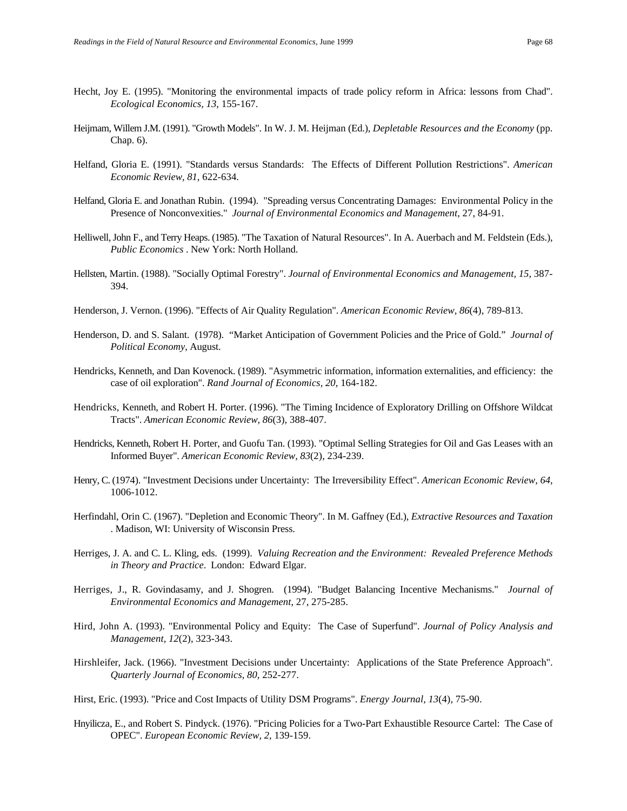- Hecht, Joy E. (1995). "Monitoring the environmental impacts of trade policy reform in Africa: lessons from Chad". *Ecological Economics, 13*, 155-167.
- Heijmam, Willem J.M. (1991). "Growth Models". In W. J. M. Heijman (Ed.), *Depletable Resources and the Economy* (pp. Chap. 6).
- Helfand, Gloria E. (1991). "Standards versus Standards: The Effects of Different Pollution Restrictions". *American Economic Review, 81*, 622-634.
- Helfand, Gloria E. and Jonathan Rubin. (1994). "Spreading versus Concentrating Damages: Environmental Policy in the Presence of Nonconvexities." *Journal of Environmental Economics and Management*, 27, 84-91.
- Helliwell, John F., and Terry Heaps. (1985). "The Taxation of Natural Resources". In A. Auerbach and M. Feldstein (Eds.), *Public Economics* . New York: North Holland.
- Hellsten, Martin. (1988). "Socially Optimal Forestry". *Journal of Environmental Economics and Management, 15*, 387- 394.
- Henderson, J. Vernon. (1996). "Effects of Air Quality Regulation". *American Economic Review, 86*(4), 789-813.
- Henderson, D. and S. Salant. (1978). "Market Anticipation of Government Policies and the Price of Gold." *Journal of Political Economy*, August.
- Hendricks, Kenneth, and Dan Kovenock. (1989). "Asymmetric information, information externalities, and efficiency: the case of oil exploration". *Rand Journal of Economics, 20*, 164-182.
- Hendricks, Kenneth, and Robert H. Porter. (1996). "The Timing Incidence of Exploratory Drilling on Offshore Wildcat Tracts". *American Economic Review, 86*(3), 388-407.
- Hendricks, Kenneth, Robert H. Porter, and Guofu Tan. (1993). "Optimal Selling Strategies for Oil and Gas Leases with an Informed Buyer". *American Economic Review, 83*(2), 234-239.
- Henry, C. (1974). "Investment Decisions under Uncertainty: The Irreversibility Effect". *American Economic Review, 64*, 1006-1012.
- Herfindahl, Orin C. (1967). "Depletion and Economic Theory". In M. Gaffney (Ed.), *Extractive Resources and Taxation* . Madison, WI: University of Wisconsin Press.
- Herriges, J. A. and C. L. Kling, eds. (1999). *Valuing Recreation and the Environment: Revealed Preference Methods in Theory and Practice*. London: Edward Elgar.
- Herriges, J., R. Govindasamy, and J. Shogren. (1994). "Budget Balancing Incentive Mechanisms." *Journal of Environmental Economics and Management*, 27, 275-285.
- Hird, John A. (1993). "Environmental Policy and Equity: The Case of Superfund". *Journal of Policy Analysis and Management, 12*(2), 323-343.
- Hirshleifer, Jack. (1966). "Investment Decisions under Uncertainty: Applications of the State Preference Approach". *Quarterly Journal of Economics, 80*, 252-277.
- Hirst, Eric. (1993). "Price and Cost Impacts of Utility DSM Programs". *Energy Journal, 13*(4), 75-90.
- Hnyilicza, E., and Robert S. Pindyck. (1976). "Pricing Policies for a Two-Part Exhaustible Resource Cartel: The Case of OPEC". *European Economic Review, 2*, 139-159.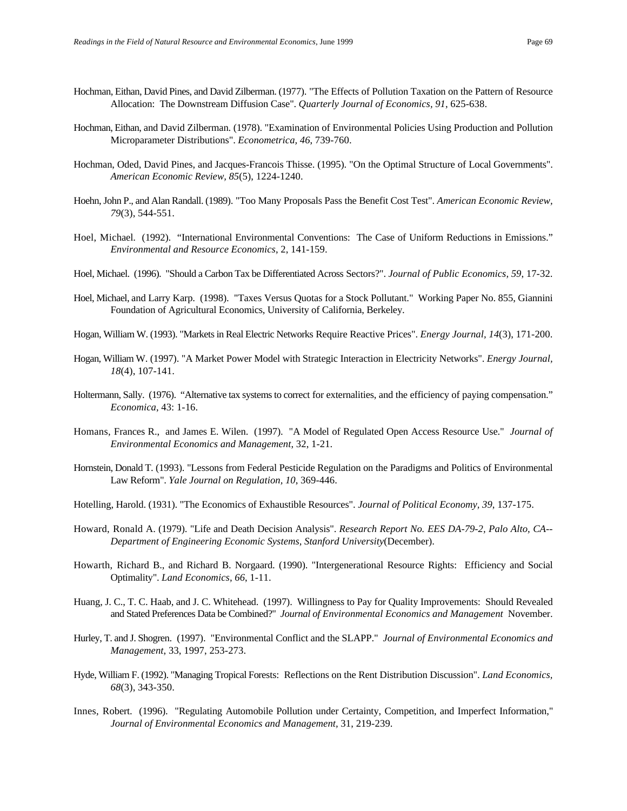- Hochman, Eithan, David Pines, and David Zilberman. (1977). "The Effects of Pollution Taxation on the Pattern of Resource Allocation: The Downstream Diffusion Case". *Quarterly Journal of Economics, 91*, 625-638.
- Hochman, Eithan, and David Zilberman. (1978). "Examination of Environmental Policies Using Production and Pollution Microparameter Distributions". *Econometrica, 46*, 739-760.
- Hochman, Oded, David Pines, and Jacques-Francois Thisse. (1995). "On the Optimal Structure of Local Governments". *American Economic Review, 85*(5), 1224-1240.
- Hoehn, John P., and Alan Randall. (1989). "Too Many Proposals Pass the Benefit Cost Test". *American Economic Review, 79*(3), 544-551.
- Hoel, Michael. (1992). "International Environmental Conventions: The Case of Uniform Reductions in Emissions." *Environmental and Resource Economics*, 2, 141-159.
- Hoel, Michael. (1996). "Should a Carbon Tax be Differentiated Across Sectors?". *Journal of Public Economics, 59*, 17-32.
- Hoel, Michael, and Larry Karp. (1998). "Taxes Versus Quotas for a Stock Pollutant." Working Paper No. 855, Giannini Foundation of Agricultural Economics, University of California, Berkeley.
- Hogan, William W. (1993). "Markets in Real Electric Networks Require Reactive Prices". *Energy Journal, 14*(3), 171-200.
- Hogan, William W. (1997). "A Market Power Model with Strategic Interaction in Electricity Networks". *Energy Journal, 18*(4), 107-141.
- Holtermann, Sally. (1976). "Alternative tax systems to correct for externalities, and the efficiency of paying compensation." *Economica*, 43: 1-16.
- Homans, Frances R., and James E. Wilen. (1997). "A Model of Regulated Open Access Resource Use." *Journal of Environmental Economics and Management*, 32, 1-21.
- Hornstein, Donald T. (1993). "Lessons from Federal Pesticide Regulation on the Paradigms and Politics of Environmental Law Reform". *Yale Journal on Regulation, 10*, 369-446.
- Hotelling, Harold. (1931). "The Economics of Exhaustible Resources". *Journal of Political Economy, 39*, 137-175.
- Howard, Ronald A. (1979). "Life and Death Decision Analysis". *Research Report No. EES DA-79-2, Palo Alto, CA-- Department of Engineering Economic Systems, Stanford University*(December).
- Howarth, Richard B., and Richard B. Norgaard. (1990). "Intergenerational Resource Rights: Efficiency and Social Optimality". *Land Economics, 66*, 1-11.
- Huang, J. C., T. C. Haab, and J. C. Whitehead. (1997). Willingness to Pay for Quality Improvements: Should Revealed and Stated Preferences Data be Combined?" *Journal of Environmental Economics and Management* November.
- Hurley, T. and J. Shogren. (1997). "Environmental Conflict and the SLAPP." *Journal of Environmental Economics and Management*, 33, 1997, 253-273.
- Hyde, William F. (1992). "Managing Tropical Forests: Reflections on the Rent Distribution Discussion". *Land Economics, 68*(3), 343-350.
- Innes, Robert. (1996). "Regulating Automobile Pollution under Certainty, Competition, and Imperfect Information," *Journal of Environmental Economics and Management,* 31, 219-239.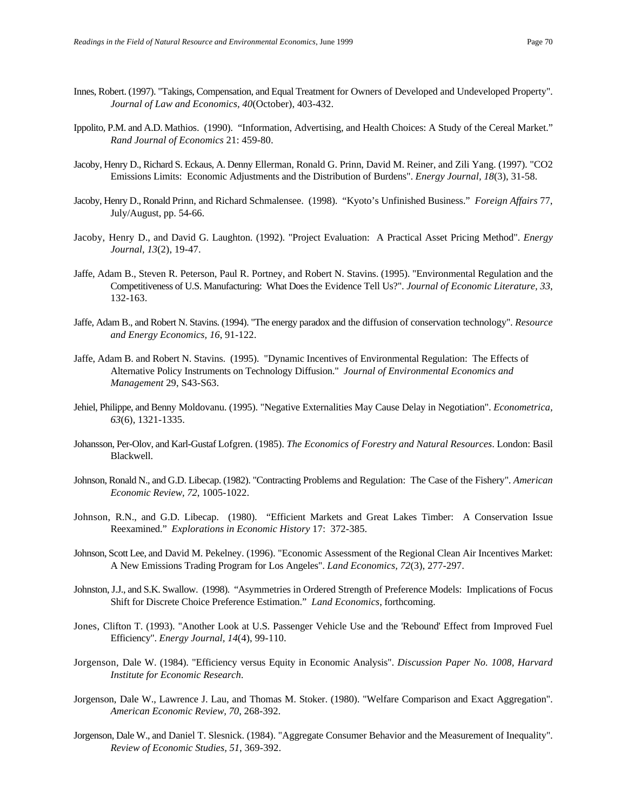- Innes, Robert. (1997). "Takings, Compensation, and Equal Treatment for Owners of Developed and Undeveloped Property". *Journal of Law and Economics, 40*(October), 403-432.
- Ippolito, P.M. and A.D. Mathios. (1990). "Information, Advertising, and Health Choices: A Study of the Cereal Market." *Rand Journal of Economics* 21: 459-80.
- Jacoby, Henry D., Richard S. Eckaus, A. Denny Ellerman, Ronald G. Prinn, David M. Reiner, and Zili Yang. (1997). "CO2 Emissions Limits: Economic Adjustments and the Distribution of Burdens". *Energy Journal, 18*(3), 31-58.
- Jacoby, Henry D., Ronald Prinn, and Richard Schmalensee. (1998). "Kyoto's Unfinished Business." *Foreign Affairs* 77, July/August, pp. 54-66.
- Jacoby, Henry D., and David G. Laughton. (1992). "Project Evaluation: A Practical Asset Pricing Method". *Energy Journal, 13*(2), 19-47.
- Jaffe, Adam B., Steven R. Peterson, Paul R. Portney, and Robert N. Stavins. (1995). "Environmental Regulation and the Competitiveness of U.S. Manufacturing: What Does the Evidence Tell Us?". *Journal of Economic Literature, 33*, 132-163.
- Jaffe, Adam B., and Robert N. Stavins. (1994). "The energy paradox and the diffusion of conservation technology". *Resource and Energy Economics, 16*, 91-122.
- Jaffe, Adam B. and Robert N. Stavins. (1995). "Dynamic Incentives of Environmental Regulation: The Effects of Alternative Policy Instruments on Technology Diffusion." *Journal of Environmental Economics and Management* 29, S43-S63.
- Jehiel, Philippe, and Benny Moldovanu. (1995). "Negative Externalities May Cause Delay in Negotiation". *Econometrica, 63*(6), 1321-1335.
- Johansson, Per-Olov, and Karl-Gustaf Lofgren. (1985). *The Economics of Forestry and Natural Resources*. London: Basil Blackwell.
- Johnson, Ronald N., and G.D. Libecap. (1982). "Contracting Problems and Regulation: The Case of the Fishery". *American Economic Review, 72*, 1005-1022.
- Johnson, R.N., and G.D. Libecap. (1980). "Efficient Markets and Great Lakes Timber: A Conservation Issue Reexamined." *Explorations in Economic History* 17: 372-385.
- Johnson, Scott Lee, and David M. Pekelney. (1996). "Economic Assessment of the Regional Clean Air Incentives Market: A New Emissions Trading Program for Los Angeles". *Land Economics, 72*(3), 277-297.
- Johnston, J.J., and S.K. Swallow. (1998). "Asymmetries in Ordered Strength of Preference Models: Implications of Focus Shift for Discrete Choice Preference Estimation." *Land Economics*, forthcoming.
- Jones, Clifton T. (1993). "Another Look at U.S. Passenger Vehicle Use and the 'Rebound' Effect from Improved Fuel Efficiency". *Energy Journal, 14*(4), 99-110.
- Jorgenson, Dale W. (1984). "Efficiency versus Equity in Economic Analysis". *Discussion Paper No. 1008, Harvard Institute for Economic Research*.
- Jorgenson, Dale W., Lawrence J. Lau, and Thomas M. Stoker. (1980). "Welfare Comparison and Exact Aggregation". *American Economic Review, 70*, 268-392.
- Jorgenson, Dale W., and Daniel T. Slesnick. (1984). "Aggregate Consumer Behavior and the Measurement of Inequality". *Review of Economic Studies, 51*, 369-392.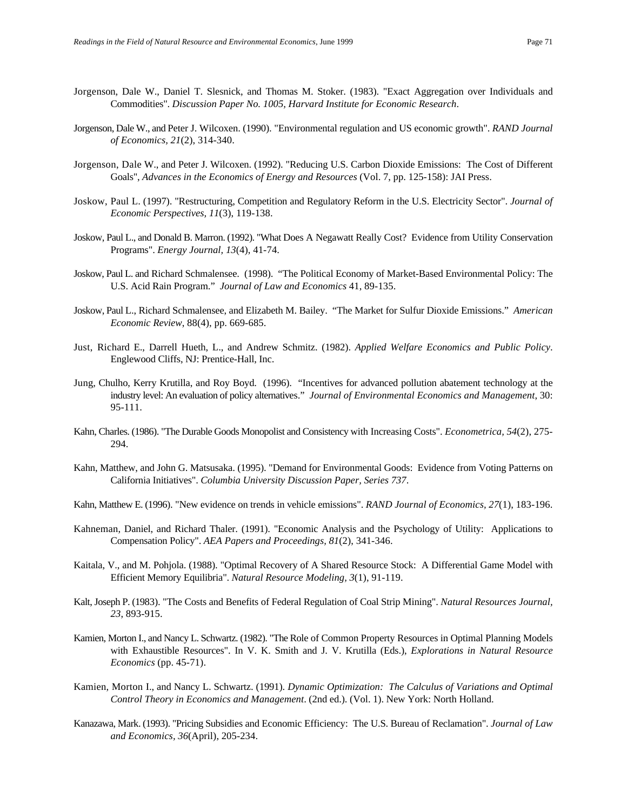- Jorgenson, Dale W., Daniel T. Slesnick, and Thomas M. Stoker. (1983). "Exact Aggregation over Individuals and Commodities". *Discussion Paper No. 1005, Harvard Institute for Economic Research*.
- Jorgenson, Dale W., and Peter J. Wilcoxen. (1990). "Environmental regulation and US economic growth". *RAND Journal of Economics, 21*(2), 314-340.
- Jorgenson, Dale W., and Peter J. Wilcoxen. (1992). "Reducing U.S. Carbon Dioxide Emissions: The Cost of Different Goals", *Advances in the Economics of Energy and Resources* (Vol. 7, pp. 125-158): JAI Press.
- Joskow, Paul L. (1997). "Restructuring, Competition and Regulatory Reform in the U.S. Electricity Sector". *Journal of Economic Perspectives, 11*(3), 119-138.
- Joskow, Paul L., and Donald B. Marron. (1992). "What Does A Negawatt Really Cost? Evidence from Utility Conservation Programs". *Energy Journal, 13*(4), 41-74.
- Joskow, Paul L. and Richard Schmalensee. (1998). "The Political Economy of Market-Based Environmental Policy: The U.S. Acid Rain Program." *Journal of Law and Economics* 41, 89-135.
- Joskow, Paul L., Richard Schmalensee, and Elizabeth M. Bailey. "The Market for Sulfur Dioxide Emissions." *American Economic Review*, 88(4), pp. 669-685.
- Just, Richard E., Darrell Hueth, L., and Andrew Schmitz. (1982). *Applied Welfare Economics and Public Policy*. Englewood Cliffs, NJ: Prentice-Hall, Inc.
- Jung, Chulho, Kerry Krutilla, and Roy Boyd. (1996). "Incentives for advanced pollution abatement technology at the industry level: An evaluation of policy alternatives." *Journal of Environmental Economics and Management*, 30: 95-111.
- Kahn, Charles. (1986). "The Durable Goods Monopolist and Consistency with Increasing Costs". *Econometrica, 54*(2), 275- 294.
- Kahn, Matthew, and John G. Matsusaka. (1995). "Demand for Environmental Goods: Evidence from Voting Patterns on California Initiatives". *Columbia University Discussion Paper, Series 737*.
- Kahn, Matthew E. (1996). "New evidence on trends in vehicle emissions". *RAND Journal of Economics, 27*(1), 183-196.
- Kahneman, Daniel, and Richard Thaler. (1991). "Economic Analysis and the Psychology of Utility: Applications to Compensation Policy". *AEA Papers and Proceedings, 81*(2), 341-346.
- Kaitala, V., and M. Pohjola. (1988). "Optimal Recovery of A Shared Resource Stock: A Differential Game Model with Efficient Memory Equilibria". *Natural Resource Modeling, 3*(1), 91-119.
- Kalt, Joseph P. (1983). "The Costs and Benefits of Federal Regulation of Coal Strip Mining". *Natural Resources Journal, 23*, 893-915.
- Kamien, Morton I., and Nancy L. Schwartz. (1982). "The Role of Common Property Resources in Optimal Planning Models with Exhaustible Resources". In V. K. Smith and J. V. Krutilla (Eds.), *Explorations in Natural Resource Economics* (pp. 45-71).
- Kamien, Morton I., and Nancy L. Schwartz. (1991). *Dynamic Optimization: The Calculus of Variations and Optimal Control Theory in Economics and Management*. (2nd ed.). (Vol. 1). New York: North Holland.
- Kanazawa, Mark. (1993). "Pricing Subsidies and Economic Efficiency: The U.S. Bureau of Reclamation". *Journal of Law and Economics, 36*(April), 205-234.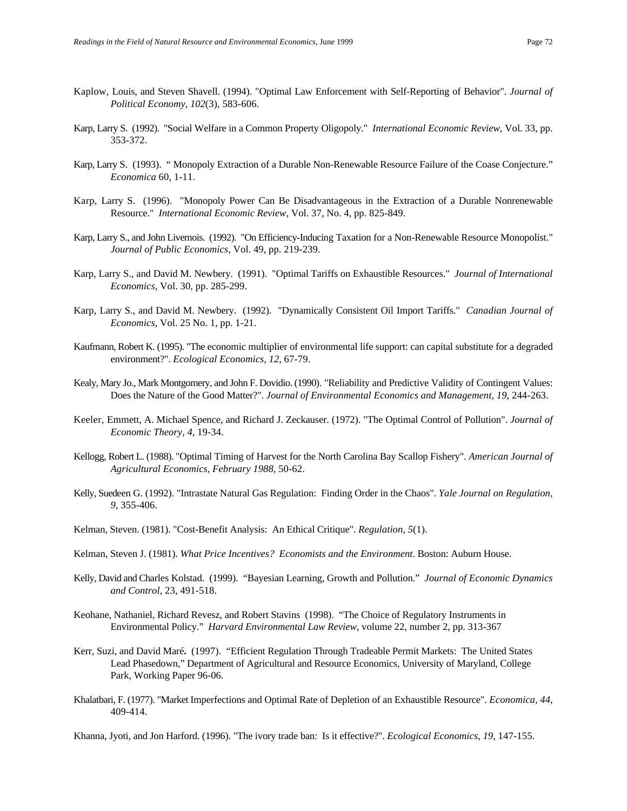- Kaplow, Louis, and Steven Shavell. (1994). "Optimal Law Enforcement with Self-Reporting of Behavior". *Journal of Political Economy, 102*(3), 583-606.
- Karp, Larry S. (1992). "Social Welfare in a Common Property Oligopoly." *International Economic Review*, Vol. 33, pp. 353-372.
- Karp, Larry S. (1993). " Monopoly Extraction of a Durable Non-Renewable Resource Failure of the Coase Conjecture." *Economica* 60, 1-11.
- Karp, Larry S. (1996). "Monopoly Power Can Be Disadvantageous in the Extraction of a Durable Nonrenewable Resource." *International Economic Review*, Vol. 37, No. 4, pp. 825-849.
- Karp, Larry S., and John Livernois. (1992). "On Efficiency-Inducing Taxation for a Non-Renewable Resource Monopolist." *Journal of Public Economics*, Vol. 49, pp. 219-239.
- Karp, Larry S., and David M. Newbery. (1991). "Optimal Tariffs on Exhaustible Resources." *Journal of International Economics*, Vol. 30, pp. 285-299.
- Karp, Larry S., and David M. Newbery. (1992). "Dynamically Consistent Oil Import Tariffs." *Canadian Journal of Economics*, Vol. 25 No. 1, pp. 1-21.
- Kaufmann, Robert K. (1995). "The economic multiplier of environmental life support: can capital substitute for a degraded environment?". *Ecological Economics, 12*, 67-79.
- Kealy, Mary Jo., Mark Montgomery, and John F. Dovidio. (1990). "Reliability and Predictive Validity of Contingent Values: Does the Nature of the Good Matter?". *Journal of Environmental Economics and Management, 19*, 244-263.
- Keeler, Emmett, A. Michael Spence, and Richard J. Zeckauser. (1972). "The Optimal Control of Pollution". *Journal of Economic Theory, 4*, 19-34.
- Kellogg, Robert L. (1988). "Optimal Timing of Harvest for the North Carolina Bay Scallop Fishery". *American Journal of Agricultural Economics, February 1988*, 50-62.
- Kelly, Suedeen G. (1992). "Intrastate Natural Gas Regulation: Finding Order in the Chaos". *Yale Journal on Regulation, 9*, 355-406.
- Kelman, Steven. (1981). "Cost-Benefit Analysis: An Ethical Critique". *Regulation, 5*(1).
- Kelman, Steven J. (1981). *What Price Incentives? Economists and the Environment*. Boston: Auburn House.
- Kelly, David and Charles Kolstad. (1999). "Bayesian Learning, Growth and Pollution." *Journal of Economic Dynamics and Control*, 23, 491-518.
- Keohane, Nathaniel, Richard Revesz, and Robert Stavins (1998). "The Choice of Regulatory Instruments in Environmental Policy." *Harvard Environmental Law Review*, volume 22, number 2, pp. 313-367
- Kerr, Suzi, and David Maré**.** (1997)."Efficient Regulation Through Tradeable Permit Markets: The United States Lead Phasedown," Department of Agricultural and Resource Economics, University of Maryland, College Park, Working Paper 96-06.
- Khalatbari, F. (1977). "Market Imperfections and Optimal Rate of Depletion of an Exhaustible Resource". *Economica, 44*, 409-414.

Khanna, Jyoti, and Jon Harford. (1996). "The ivory trade ban: Is it effective?". *Ecological Economics, 19*, 147-155.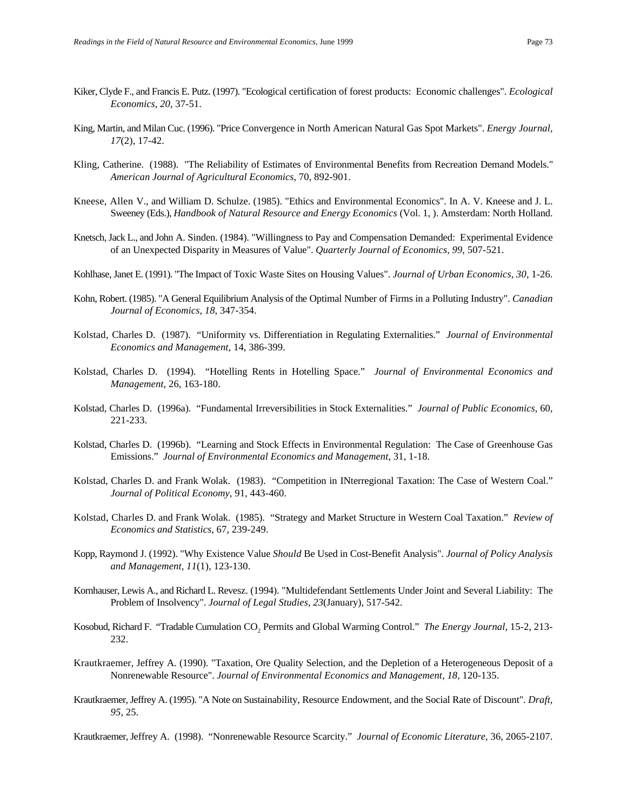- Kiker, Clyde F., and Francis E. Putz. (1997). "Ecological certification of forest products: Economic challenges". *Ecological Economics, 20*, 37-51.
- King, Martin, and Milan Cuc. (1996). "Price Convergence in North American Natural Gas Spot Markets". *Energy Journal, 17*(2), 17-42.
- Kling, Catherine. (1988). "The Reliability of Estimates of Environmental Benefits from Recreation Demand Models." *American Journal of Agricultural Economics*, 70, 892-901.
- Kneese, Allen V., and William D. Schulze. (1985). "Ethics and Environmental Economics". In A. V. Kneese and J. L. Sweeney (Eds.), *Handbook of Natural Resource and Energy Economics* (Vol. 1, ). Amsterdam: North Holland.
- Knetsch, Jack L., and John A. Sinden. (1984). "Willingness to Pay and Compensation Demanded: Experimental Evidence of an Unexpected Disparity in Measures of Value". *Quarterly Journal of Economics, 99*, 507-521.
- Kohlhase, Janet E. (1991). "The Impact of Toxic Waste Sites on Housing Values". *Journal of Urban Economics, 30*, 1-26.
- Kohn, Robert. (1985). "A General Equilibrium Analysis of the Optimal Number of Firms in a Polluting Industry". *Canadian Journal of Economics, 18*, 347-354.
- Kolstad, Charles D. (1987). "Uniformity vs. Differentiation in Regulating Externalities." *Journal of Environmental Economics and Management*, 14, 386-399.
- Kolstad, Charles D. (1994). "Hotelling Rents in Hotelling Space." *Journal of Environmental Economics and Management*, 26, 163-180.
- Kolstad, Charles D. (1996a). "Fundamental Irreversibilities in Stock Externalities." *Journal of Public Economics*, 60, 221-233.
- Kolstad, Charles D. (1996b). "Learning and Stock Effects in Environmental Regulation: The Case of Greenhouse Gas Emissions." *Journal of Environmental Economics and Management*, 31, 1-18.
- Kolstad, Charles D. and Frank Wolak. (1983). "Competition in INterregional Taxation: The Case of Western Coal." *Journal of Political Economy*, 91, 443-460.
- Kolstad, Charles D. and Frank Wolak. (1985). "Strategy and Market Structure in Western Coal Taxation." *Review of Economics and Statistics*, 67, 239-249.
- Kopp, Raymond J. (1992). "Why Existence Value *Should* Be Used in Cost-Benefit Analysis". *Journal of Policy Analysis and Management, 11*(1), 123-130.
- Kornhauser, Lewis A., and Richard L. Revesz. (1994). "Multidefendant Settlements Under Joint and Several Liability: The Problem of Insolvency". *Journal of Legal Studies, 23*(January), 517-542.
- Kosobud, Richard F. "Tradable Cumulation CO<sub>2</sub> Permits and Global Warming Control." *The Energy Journal*, 15-2, 213-232.
- Krautkraemer, Jeffrey A. (1990). "Taxation, Ore Quality Selection, and the Depletion of a Heterogeneous Deposit of a Nonrenewable Resource". *Journal of Environmental Economics and Management, 18*, 120-135.
- Krautkraemer, Jeffrey A. (1995). "A Note on Sustainability, Resource Endowment, and the Social Rate of Discount". *Draft, 95*, 25.

Krautkraemer, Jeffrey A. (1998). "Nonrenewable Resource Scarcity." *Journal of Economic Literature*, 36, 2065-2107.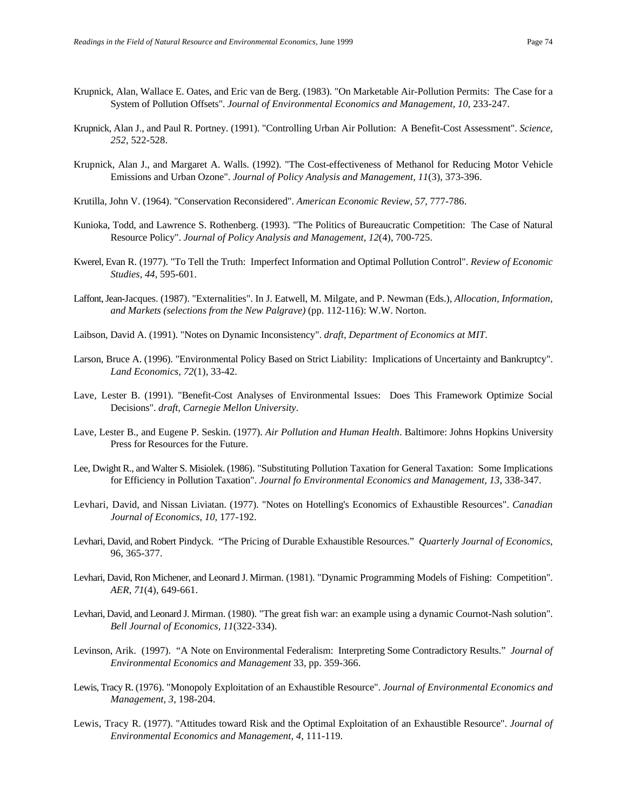- Krupnick, Alan, Wallace E. Oates, and Eric van de Berg. (1983). "On Marketable Air-Pollution Permits: The Case for a System of Pollution Offsets". *Journal of Environmental Economics and Management, 10*, 233-247.
- Krupnick, Alan J., and Paul R. Portney. (1991). "Controlling Urban Air Pollution: A Benefit-Cost Assessment". *Science, 252*, 522-528.
- Krupnick, Alan J., and Margaret A. Walls. (1992). "The Cost-effectiveness of Methanol for Reducing Motor Vehicle Emissions and Urban Ozone". *Journal of Policy Analysis and Management, 11*(3), 373-396.
- Krutilla, John V. (1964). "Conservation Reconsidered". *American Economic Review, 57*, 777-786.
- Kunioka, Todd, and Lawrence S. Rothenberg. (1993). "The Politics of Bureaucratic Competition: The Case of Natural Resource Policy". *Journal of Policy Analysis and Management, 12*(4), 700-725.
- Kwerel, Evan R. (1977). "To Tell the Truth: Imperfect Information and Optimal Pollution Control". *Review of Economic Studies, 44*, 595-601.
- Laffont, Jean-Jacques. (1987). "Externalities". In J. Eatwell, M. Milgate, and P. Newman (Eds.), *Allocation, Information, and Markets (selections from the New Palgrave)* (pp. 112-116): W.W. Norton.
- Laibson, David A. (1991). "Notes on Dynamic Inconsistency". *draft, Department of Economics at MIT*.
- Larson, Bruce A. (1996). "Environmental Policy Based on Strict Liability: Implications of Uncertainty and Bankruptcy". *Land Economics, 72*(1), 33-42.
- Lave, Lester B. (1991). "Benefit-Cost Analyses of Environmental Issues: Does This Framework Optimize Social Decisions". *draft, Carnegie Mellon University*.
- Lave, Lester B., and Eugene P. Seskin. (1977). *Air Pollution and Human Health*. Baltimore: Johns Hopkins University Press for Resources for the Future.
- Lee, Dwight R., and Walter S. Misiolek. (1986). "Substituting Pollution Taxation for General Taxation: Some Implications for Efficiency in Pollution Taxation". *Journal fo Environmental Economics and Management, 13*, 338-347.
- Levhari, David, and Nissan Liviatan. (1977). "Notes on Hotelling's Economics of Exhaustible Resources". *Canadian Journal of Economics, 10*, 177-192.
- Levhari, David, and Robert Pindyck. "The Pricing of Durable Exhaustible Resources." *Quarterly Journal of Economics*, 96, 365-377.
- Levhari, David, Ron Michener, and Leonard J. Mirman. (1981). "Dynamic Programming Models of Fishing: Competition". *AER, 71*(4), 649-661.
- Levhari, David, and Leonard J. Mirman. (1980). "The great fish war: an example using a dynamic Cournot-Nash solution". *Bell Journal of Economics, 11*(322-334).
- Levinson, Arik. (1997). "A Note on Environmental Federalism: Interpreting Some Contradictory Results." *Journal of Environmental Economics and Management* 33, pp. 359-366.
- Lewis, Tracy R. (1976). "Monopoly Exploitation of an Exhaustible Resource". *Journal of Environmental Economics and Management, 3*, 198-204.
- Lewis, Tracy R. (1977). "Attitudes toward Risk and the Optimal Exploitation of an Exhaustible Resource". *Journal of Environmental Economics and Management, 4*, 111-119.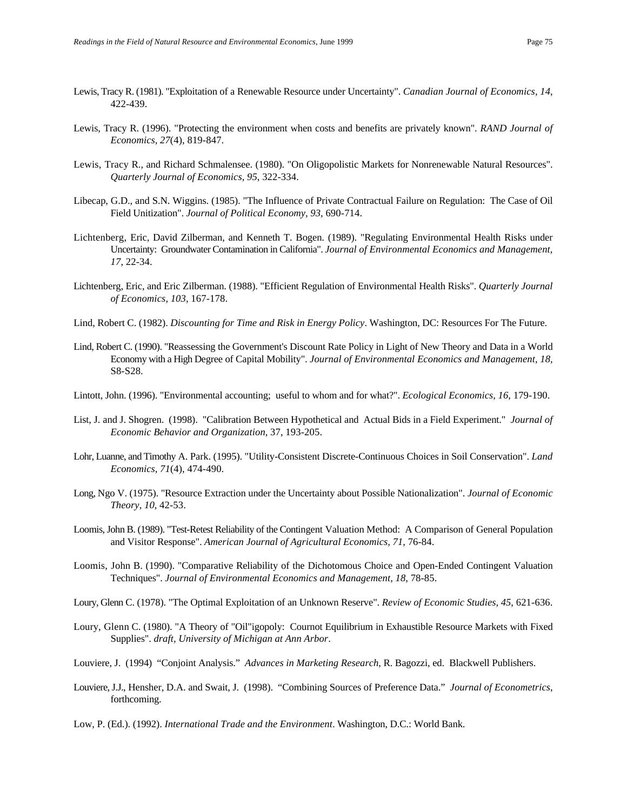- Lewis, Tracy R. (1981). "Exploitation of a Renewable Resource under Uncertainty". *Canadian Journal of Economics, 14*, 422-439.
- Lewis, Tracy R. (1996). "Protecting the environment when costs and benefits are privately known". *RAND Journal of Economics, 27*(4), 819-847.
- Lewis, Tracy R., and Richard Schmalensee. (1980). "On Oligopolistic Markets for Nonrenewable Natural Resources". *Quarterly Journal of Economics, 95*, 322-334.
- Libecap, G.D., and S.N. Wiggins. (1985). "The Influence of Private Contractual Failure on Regulation: The Case of Oil Field Unitization". *Journal of Political Economy, 93*, 690-714.
- Lichtenberg, Eric, David Zilberman, and Kenneth T. Bogen. (1989). "Regulating Environmental Health Risks under Uncertainty: Groundwater Contamination in California". *Journal of Environmental Economics and Management, 17*, 22-34.
- Lichtenberg, Eric, and Eric Zilberman. (1988). "Efficient Regulation of Environmental Health Risks". *Quarterly Journal of Economics, 103*, 167-178.
- Lind, Robert C. (1982). *Discounting for Time and Risk in Energy Policy*. Washington, DC: Resources For The Future.
- Lind, Robert C. (1990). "Reassessing the Government's Discount Rate Policy in Light of New Theory and Data in a World Economy with a High Degree of Capital Mobility". *Journal of Environmental Economics and Management, 18*, S8-S28.
- Lintott, John. (1996). "Environmental accounting; useful to whom and for what?". *Ecological Economics, 16*, 179-190.
- List, J. and J. Shogren. (1998). "Calibration Between Hypothetical and Actual Bids in a Field Experiment." *Journal of Economic Behavior and Organization*, 37, 193-205.
- Lohr, Luanne, and Timothy A. Park. (1995). "Utility-Consistent Discrete-Continuous Choices in Soil Conservation". *Land Economics, 71*(4), 474-490.
- Long, Ngo V. (1975). "Resource Extraction under the Uncertainty about Possible Nationalization". *Journal of Economic Theory, 10*, 42-53.
- Loomis, John B. (1989). "Test-Retest Reliability of the Contingent Valuation Method: A Comparison of General Population and Visitor Response". *American Journal of Agricultural Economics, 71*, 76-84.
- Loomis, John B. (1990). "Comparative Reliability of the Dichotomous Choice and Open-Ended Contingent Valuation Techniques". *Journal of Environmental Economics and Management, 18*, 78-85.
- Loury, Glenn C. (1978). "The Optimal Exploitation of an Unknown Reserve". *Review of Economic Studies, 45*, 621-636.
- Loury, Glenn C. (1980). "A Theory of "Oil"igopoly: Cournot Equilibrium in Exhaustible Resource Markets with Fixed Supplies". *draft, University of Michigan at Ann Arbor*.
- Louviere, J. (1994) "Conjoint Analysis." *Advances in Marketing Research*, R. Bagozzi, ed. Blackwell Publishers.
- Louviere, J.J., Hensher, D.A. and Swait, J. (1998). "Combining Sources of Preference Data." *Journal of Econometrics*, forthcoming.
- Low, P. (Ed.). (1992). *International Trade and the Environment*. Washington, D.C.: World Bank.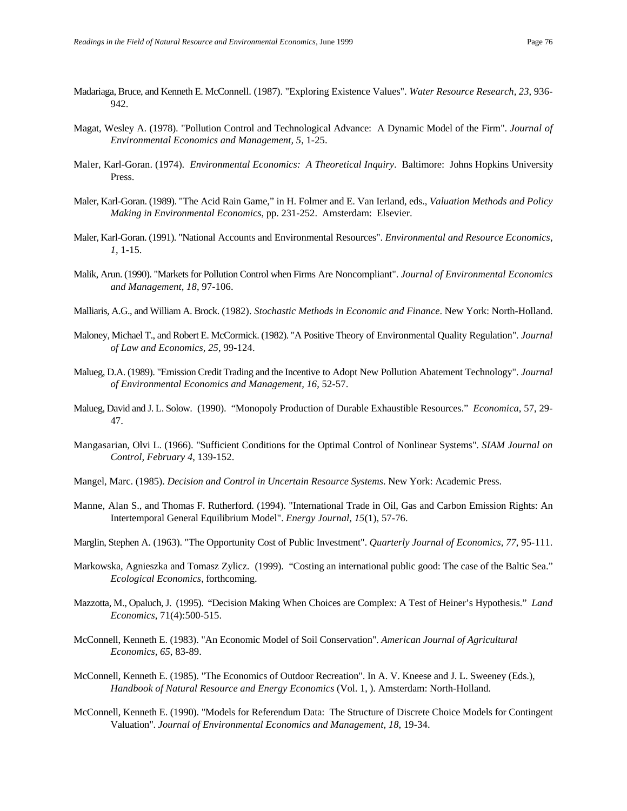- Madariaga, Bruce, and Kenneth E. McConnell. (1987). "Exploring Existence Values". *Water Resource Research, 23*, 936- 942.
- Magat, Wesley A. (1978). "Pollution Control and Technological Advance: A Dynamic Model of the Firm". *Journal of Environmental Economics and Management, 5*, 1-25.
- Maler, Karl-Goran. (1974). *Environmental Economics: A Theoretical Inquiry*. Baltimore: Johns Hopkins University Press.
- Maler, Karl-Goran. (1989). "The Acid Rain Game," in H. Folmer and E. Van Ierland, eds., *Valuation Methods and Policy Making in Environmental Economics*, pp. 231-252. Amsterdam: Elsevier.
- Maler, Karl-Goran. (1991). "National Accounts and Environmental Resources". *Environmental and Resource Economics, 1*, 1-15.
- Malik, Arun. (1990). "Markets for Pollution Control when Firms Are Noncompliant". *Journal of Environmental Economics and Management, 18*, 97-106.
- Malliaris, A.G., and William A. Brock. (1982). *Stochastic Methods in Economic and Finance*. New York: North-Holland.
- Maloney, Michael T., and Robert E. McCormick. (1982). "A Positive Theory of Environmental Quality Regulation". *Journal of Law and Economics, 25*, 99-124.
- Malueg, D.A. (1989). "Emission Credit Trading and the Incentive to Adopt New Pollution Abatement Technology". *Journal of Environmental Economics and Management, 16*, 52-57.
- Malueg, David and J. L. Solow. (1990). "Monopoly Production of Durable Exhaustible Resources." *Economica*, 57, 29- 47.
- Mangasarian, Olvi L. (1966). "Sufficient Conditions for the Optimal Control of Nonlinear Systems". *SIAM Journal on Control, February 4*, 139-152.
- Mangel, Marc. (1985). *Decision and Control in Uncertain Resource Systems*. New York: Academic Press.
- Manne, Alan S., and Thomas F. Rutherford. (1994). "International Trade in Oil, Gas and Carbon Emission Rights: An Intertemporal General Equilibrium Model". *Energy Journal, 15*(1), 57-76.
- Marglin, Stephen A. (1963). "The Opportunity Cost of Public Investment". *Quarterly Journal of Economics, 77*, 95-111.
- Markowska, Agnieszka and Tomasz Zylicz. (1999). "Costing an international public good: The case of the Baltic Sea." *Ecological Economics*, forthcoming.
- Mazzotta, M., Opaluch, J. (1995). "Decision Making When Choices are Complex: A Test of Heiner's Hypothesis." *Land Economics*, 71(4):500-515.
- McConnell, Kenneth E. (1983). "An Economic Model of Soil Conservation". *American Journal of Agricultural Economics, 65*, 83-89.
- McConnell, Kenneth E. (1985). "The Economics of Outdoor Recreation". In A. V. Kneese and J. L. Sweeney (Eds.), *Handbook of Natural Resource and Energy Economics* (Vol. 1, ). Amsterdam: North-Holland.
- McConnell, Kenneth E. (1990). "Models for Referendum Data: The Structure of Discrete Choice Models for Contingent Valuation". *Journal of Environmental Economics and Management, 18*, 19-34.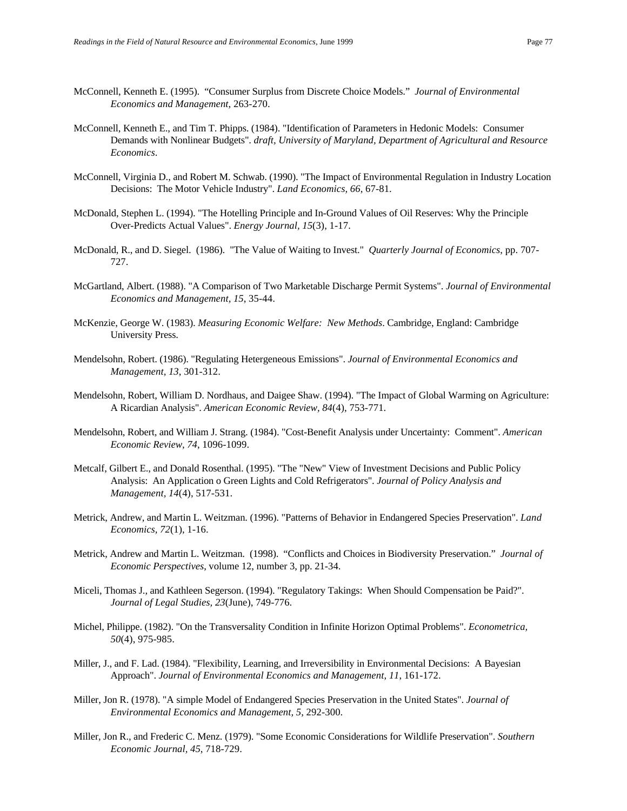- McConnell, Kenneth E. (1995). "Consumer Surplus from Discrete Choice Models." *Journal of Environmental Economics and Management*, 263-270.
- McConnell, Kenneth E., and Tim T. Phipps. (1984). "Identification of Parameters in Hedonic Models: Consumer Demands with Nonlinear Budgets". *draft, University of Maryland, Department of Agricultural and Resource Economics*.
- McConnell, Virginia D., and Robert M. Schwab. (1990). "The Impact of Environmental Regulation in Industry Location Decisions: The Motor Vehicle Industry". *Land Economics, 66*, 67-81.
- McDonald, Stephen L. (1994). "The Hotelling Principle and In-Ground Values of Oil Reserves: Why the Principle Over-Predicts Actual Values". *Energy Journal, 15*(3), 1-17.
- McDonald, R., and D. Siegel. (1986). "The Value of Waiting to Invest." *Quarterly Journal of Economics*, pp. 707- 727.
- McGartland, Albert. (1988). "A Comparison of Two Marketable Discharge Permit Systems". *Journal of Environmental Economics and Management, 15*, 35-44.
- McKenzie, George W. (1983). *Measuring Economic Welfare: New Methods*. Cambridge, England: Cambridge University Press.
- Mendelsohn, Robert. (1986). "Regulating Hetergeneous Emissions". *Journal of Environmental Economics and Management, 13*, 301-312.
- Mendelsohn, Robert, William D. Nordhaus, and Daigee Shaw. (1994). "The Impact of Global Warming on Agriculture: A Ricardian Analysis". *American Economic Review, 84*(4), 753-771.
- Mendelsohn, Robert, and William J. Strang. (1984). "Cost-Benefit Analysis under Uncertainty: Comment". *American Economic Review, 74*, 1096-1099.
- Metcalf, Gilbert E., and Donald Rosenthal. (1995). "The "New" View of Investment Decisions and Public Policy Analysis: An Application o Green Lights and Cold Refrigerators". *Journal of Policy Analysis and Management, 14*(4), 517-531.
- Metrick, Andrew, and Martin L. Weitzman. (1996). "Patterns of Behavior in Endangered Species Preservation". *Land Economics, 72*(1), 1-16.
- Metrick, Andrew and Martin L. Weitzman. (1998). "Conflicts and Choices in Biodiversity Preservation." *Journal of Economic Perspectives*, volume 12, number 3, pp. 21-34.
- Miceli, Thomas J., and Kathleen Segerson. (1994). "Regulatory Takings: When Should Compensation be Paid?". *Journal of Legal Studies, 23*(June), 749-776.
- Michel, Philippe. (1982). "On the Transversality Condition in Infinite Horizon Optimal Problems". *Econometrica, 50*(4), 975-985.
- Miller, J., and F. Lad. (1984). "Flexibility, Learning, and Irreversibility in Environmental Decisions: A Bayesian Approach". *Journal of Environmental Economics and Management, 11*, 161-172.
- Miller, Jon R. (1978). "A simple Model of Endangered Species Preservation in the United States". *Journal of Environmental Economics and Management, 5*, 292-300.
- Miller, Jon R., and Frederic C. Menz. (1979). "Some Economic Considerations for Wildlife Preservation". *Southern Economic Journal, 45*, 718-729.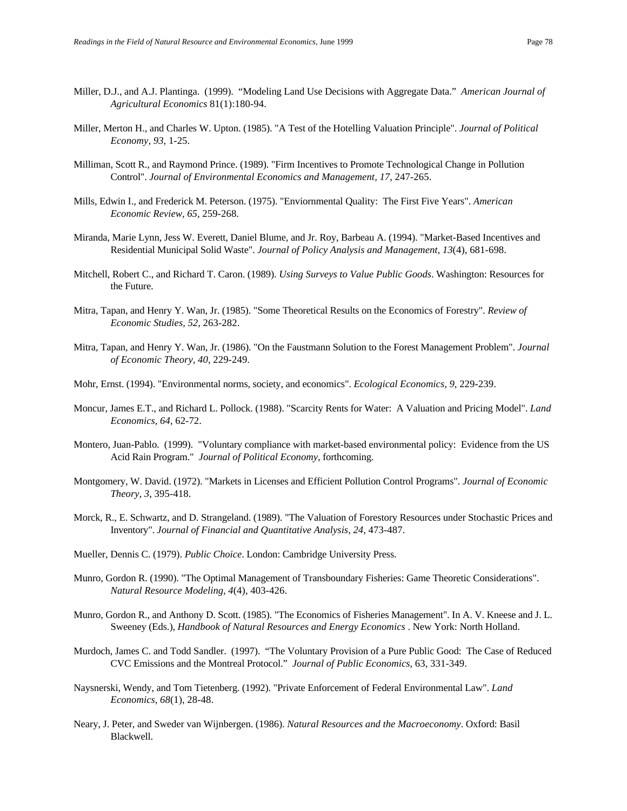- Miller, D.J., and A.J. Plantinga. (1999). "Modeling Land Use Decisions with Aggregate Data." *American Journal of Agricultural Economics* 81(1):180-94.
- Miller, Merton H., and Charles W. Upton. (1985). "A Test of the Hotelling Valuation Principle". *Journal of Political Economy, 93*, 1-25.
- Milliman, Scott R., and Raymond Prince. (1989). "Firm Incentives to Promote Technological Change in Pollution Control". *Journal of Environmental Economics and Management, 17*, 247-265.
- Mills, Edwin I., and Frederick M. Peterson. (1975). "Enviornmental Quality: The First Five Years". *American Economic Review, 65*, 259-268.
- Miranda, Marie Lynn, Jess W. Everett, Daniel Blume, and Jr. Roy, Barbeau A. (1994). "Market-Based Incentives and Residential Municipal Solid Waste". *Journal of Policy Analysis and Management, 13*(4), 681-698.
- Mitchell, Robert C., and Richard T. Caron. (1989). *Using Surveys to Value Public Goods*. Washington: Resources for the Future.
- Mitra, Tapan, and Henry Y. Wan, Jr. (1985). "Some Theoretical Results on the Economics of Forestry". *Review of Economic Studies, 52*, 263-282.
- Mitra, Tapan, and Henry Y. Wan, Jr. (1986). "On the Faustmann Solution to the Forest Management Problem". *Journal of Economic Theory, 40*, 229-249.
- Mohr, Ernst. (1994). "Environmental norms, society, and economics". *Ecological Economics, 9*, 229-239.
- Moncur, James E.T., and Richard L. Pollock. (1988). "Scarcity Rents for Water: A Valuation and Pricing Model". *Land Economics, 64*, 62-72.
- Montero, Juan-Pablo. (1999). "Voluntary compliance with market-based environmental policy: Evidence from the US Acid Rain Program." *Journal of Political Economy*, forthcoming.
- Montgomery, W. David. (1972). "Markets in Licenses and Efficient Pollution Control Programs". *Journal of Economic Theory, 3*, 395-418.
- Morck, R., E. Schwartz, and D. Strangeland. (1989). "The Valuation of Forestory Resources under Stochastic Prices and Inventory". *Journal of Financial and Quantitative Analysis, 24*, 473-487.
- Mueller, Dennis C. (1979). *Public Choice*. London: Cambridge University Press.
- Munro, Gordon R. (1990). "The Optimal Management of Transboundary Fisheries: Game Theoretic Considerations". *Natural Resource Modeling, 4*(4), 403-426.
- Munro, Gordon R., and Anthony D. Scott. (1985). "The Economics of Fisheries Management". In A. V. Kneese and J. L. Sweeney (Eds.), *Handbook of Natural Resources and Energy Economics* . New York: North Holland.
- Murdoch, James C. and Todd Sandler. (1997). "The Voluntary Provision of a Pure Public Good: The Case of Reduced CVC Emissions and the Montreal Protocol." *Journal of Public Economics*, 63, 331-349.
- Naysnerski, Wendy, and Tom Tietenberg. (1992). "Private Enforcement of Federal Environmental Law". *Land Economics, 68*(1), 28-48.
- Neary, J. Peter, and Sweder van Wijnbergen. (1986). *Natural Resources and the Macroeconomy*. Oxford: Basil Blackwell.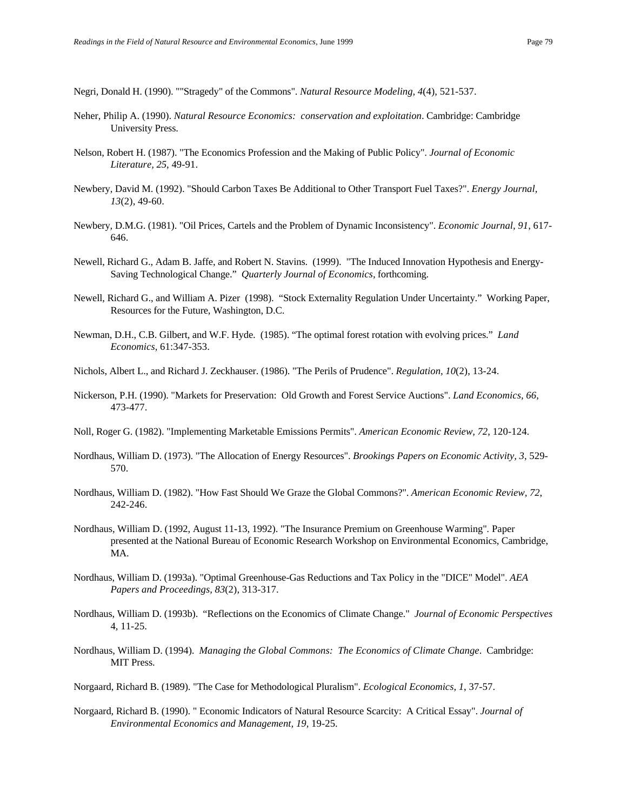Negri, Donald H. (1990). ""Stragedy" of the Commons". *Natural Resource Modeling, 4*(4), 521-537.

- Neher, Philip A. (1990). *Natural Resource Economics: conservation and exploitation*. Cambridge: Cambridge University Press.
- Nelson, Robert H. (1987). "The Economics Profession and the Making of Public Policy". *Journal of Economic Literature, 25*, 49-91.
- Newbery, David M. (1992). "Should Carbon Taxes Be Additional to Other Transport Fuel Taxes?". *Energy Journal, 13*(2), 49-60.
- Newbery, D.M.G. (1981). "Oil Prices, Cartels and the Problem of Dynamic Inconsistency". *Economic Journal, 91*, 617- 646.
- Newell, Richard G., Adam B. Jaffe, and Robert N. Stavins. (1999). "The Induced Innovation Hypothesis and Energy-Saving Technological Change." *Quarterly Journal of Economics*, forthcoming.
- Newell, Richard G., and William A. Pizer (1998). "Stock Externality Regulation Under Uncertainty." Working Paper, Resources for the Future, Washington, D.C.
- Newman, D.H., C.B. Gilbert, and W.F. Hyde. (1985). "The optimal forest rotation with evolving prices." *Land Economics*, 61:347-353.
- Nichols, Albert L., and Richard J. Zeckhauser. (1986). "The Perils of Prudence". *Regulation, 10*(2), 13-24.
- Nickerson, P.H. (1990). "Markets for Preservation: Old Growth and Forest Service Auctions". *Land Economics, 66*, 473-477.
- Noll, Roger G. (1982). "Implementing Marketable Emissions Permits". *American Economic Review, 72*, 120-124.
- Nordhaus, William D. (1973). "The Allocation of Energy Resources". *Brookings Papers on Economic Activity, 3*, 529- 570.
- Nordhaus, William D. (1982). "How Fast Should We Graze the Global Commons?". *American Economic Review, 72*, 242-246.
- Nordhaus, William D. (1992, August 11-13, 1992). "The Insurance Premium on Greenhouse Warming"*.* Paper presented at the National Bureau of Economic Research Workshop on Environmental Economics, Cambridge, MA.
- Nordhaus, William D. (1993a). "Optimal Greenhouse-Gas Reductions and Tax Policy in the "DICE" Model". *AEA Papers and Proceedings, 83*(2), 313-317.
- Nordhaus, William D. (1993b). "Reflections on the Economics of Climate Change." *Journal of Economic Perspectives* 4, 11-25.
- Nordhaus, William D. (1994). *Managing the Global Commons: The Economics of Climate Change*. Cambridge: MIT Press.

Norgaard, Richard B. (1990). " Economic Indicators of Natural Resource Scarcity: A Critical Essay". *Journal of Environmental Economics and Management, 19*, 19-25.

Norgaard, Richard B. (1989). "The Case for Methodological Pluralism". *Ecological Economics, 1*, 37-57.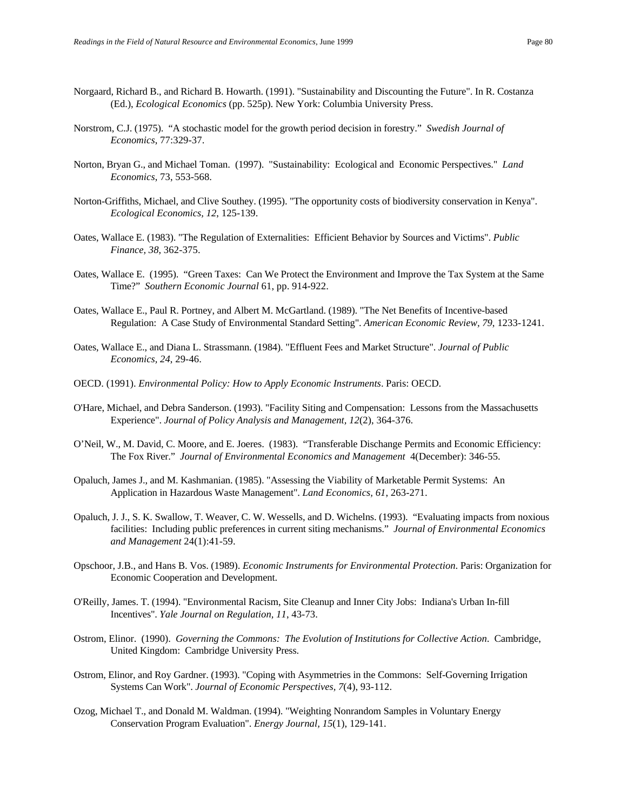- Norgaard, Richard B., and Richard B. Howarth. (1991). "Sustainability and Discounting the Future". In R. Costanza (Ed.), *Ecological Economics* (pp. 525p). New York: Columbia University Press.
- Norstrom, C.J. (1975). "A stochastic model for the growth period decision in forestry." *Swedish Journal of Economics*, 77:329-37.
- Norton, Bryan G., and Michael Toman. (1997). "Sustainability: Ecological and Economic Perspectives." *Land Economics*, 73, 553-568.
- Norton-Griffiths, Michael, and Clive Southey. (1995). "The opportunity costs of biodiversity conservation in Kenya". *Ecological Economics, 12*, 125-139.
- Oates, Wallace E. (1983). "The Regulation of Externalities: Efficient Behavior by Sources and Victims". *Public Finance, 38*, 362-375.
- Oates, Wallace E. (1995). "Green Taxes: Can We Protect the Environment and Improve the Tax System at the Same Time?" *Southern Economic Journal* 61, pp. 914-922.
- Oates, Wallace E., Paul R. Portney, and Albert M. McGartland. (1989). "The Net Benefits of Incentive-based Regulation: A Case Study of Environmental Standard Setting". *American Economic Review, 79*, 1233-1241.
- Oates, Wallace E., and Diana L. Strassmann. (1984). "Effluent Fees and Market Structure". *Journal of Public Economics, 24*, 29-46.
- OECD. (1991). *Environmental Policy: How to Apply Economic Instruments*. Paris: OECD.
- O'Hare, Michael, and Debra Sanderson. (1993). "Facility Siting and Compensation: Lessons from the Massachusetts Experience". *Journal of Policy Analysis and Management, 12*(2), 364-376.
- O'Neil, W., M. David, C. Moore, and E. Joeres. (1983). "Transferable Dischange Permits and Economic Efficiency: The Fox River." *Journal of Environmental Economics and Management* 4(December): 346-55.
- Opaluch, James J., and M. Kashmanian. (1985). "Assessing the Viability of Marketable Permit Systems: An Application in Hazardous Waste Management". *Land Economics, 61*, 263-271.
- Opaluch, J. J., S. K. Swallow, T. Weaver, C. W. Wessells, and D. Wichelns. (1993). "Evaluating impacts from noxious facilities: Including public preferences in current siting mechanisms." *Journal of Environmental Economics and Management* 24(1):41-59.
- Opschoor, J.B., and Hans B. Vos. (1989). *Economic Instruments for Environmental Protection*. Paris: Organization for Economic Cooperation and Development.
- O'Reilly, James. T. (1994). "Environmental Racism, Site Cleanup and Inner City Jobs: Indiana's Urban In-fill Incentives". *Yale Journal on Regulation, 11*, 43-73.
- Ostrom, Elinor. (1990). *Governing the Commons: The Evolution of Institutions for Collective Action*. Cambridge, United Kingdom: Cambridge University Press.
- Ostrom, Elinor, and Roy Gardner. (1993). "Coping with Asymmetries in the Commons: Self-Governing Irrigation Systems Can Work". *Journal of Economic Perspectives, 7*(4), 93-112.
- Ozog, Michael T., and Donald M. Waldman. (1994). "Weighting Nonrandom Samples in Voluntary Energy Conservation Program Evaluation". *Energy Journal, 15*(1), 129-141.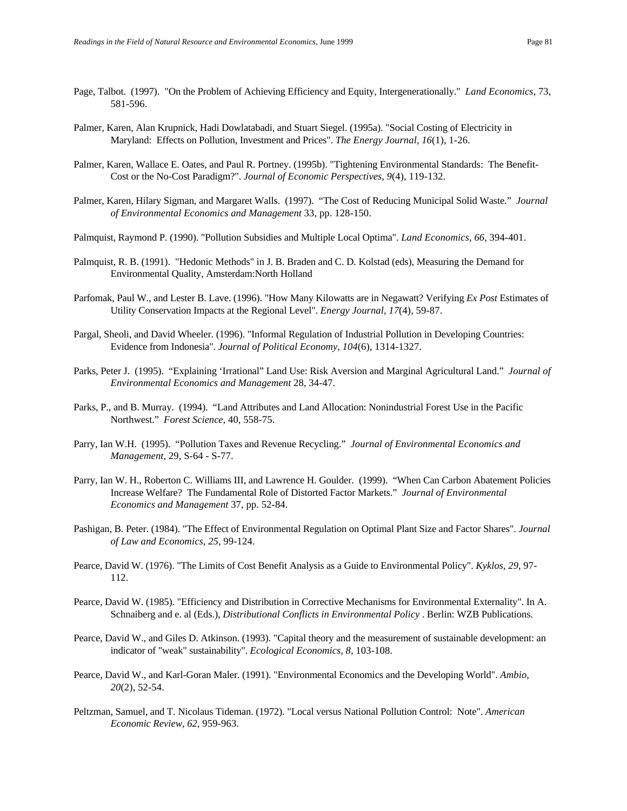- Page, Talbot. (1997). "On the Problem of Achieving Efficiency and Equity, Intergenerationally." *Land Economics*, 73, 581-596.
- Palmer, Karen, Alan Krupnick, Hadi Dowlatabadi, and Stuart Siegel. (1995a). "Social Costing of Electricity in Maryland: Effects on Pollution, Investment and Prices". *The Energy Journal, 16*(1), 1-26.
- Palmer, Karen, Wallace E. Oates, and Paul R. Portney. (1995b). "Tightening Environmental Standards: The Benefit-Cost or the No-Cost Paradigm?". *Journal of Economic Perspectives, 9*(4), 119-132.
- Palmer, Karen, Hilary Sigman, and Margaret Walls. (1997). "The Cost of Reducing Municipal Solid Waste." *Journal of Environmental Economics and Management* 33, pp. 128-150.
- Palmquist, Raymond P. (1990). "Pollution Subsidies and Multiple Local Optima". *Land Economics, 66*, 394-401.
- Palmquist, R. B. (1991). "Hedonic Methods" in J. B. Braden and C. D. Kolstad (eds), Measuring the Demand for Environmental Quality, Amsterdam:North Holland
- Parfomak, Paul W., and Lester B. Lave. (1996). "How Many Kilowatts are in Negawatt? Verifying *Ex Post* Estimates of Utility Conservation Impacts at the Regional Level". *Energy Journal, 17*(4), 59-87.
- Pargal, Sheoli, and David Wheeler. (1996). "Informal Regulation of Industrial Pollution in Developing Countries: Evidence from Indonesia". *Journal of Political Economy, 104*(6), 1314-1327.
- Parks, Peter J. (1995). "Explaining 'Irrational" Land Use: Risk Aversion and Marginal Agricultural Land." *Journal of Environmental Economics and Management* 28, 34-47.
- Parks, P., and B. Murray. (1994). "Land Attributes and Land Allocation: Nonindustrial Forest Use in the Pacific Northwest." *Forest Science*, 40, 558-75.
- Parry, Ian W.H. (1995). "Pollution Taxes and Revenue Recycling." *Journal of Environmental Economics and Management*, 29, S-64 - S-77.
- Parry, Ian W. H., Roberton C. Williams III, and Lawrence H. Goulder. (1999). "When Can Carbon Abatement Policies Increase Welfare? The Fundamental Role of Distorted Factor Markets." *Journal of Environmental Economics and Management* 37, pp. 52-84.
- Pashigan, B. Peter. (1984). "The Effect of Environmental Regulation on Optimal Plant Size and Factor Shares". *Journal of Law and Economics, 25*, 99-124.
- Pearce, David W. (1976). "The Limits of Cost Benefit Analysis as a Guide to Environmental Policy". *Kyklos, 29*, 97- 112.
- Pearce, David W. (1985). "Efficiency and Distribution in Corrective Mechanisms for Environmental Externality". In A. Schnaiberg and e. al (Eds.), *Distributional Conflicts in Environmental Policy* . Berlin: WZB Publications.
- Pearce, David W., and Giles D. Atkinson. (1993). "Capital theory and the measurement of sustainable development: an indicator of "weak" sustainability". *Ecological Economics, 8*, 103-108.
- Pearce, David W., and Karl-Goran Maler. (1991). "Environmental Economics and the Developing World". *Ambio, 20*(2), 52-54.
- Peltzman, Samuel, and T. Nicolaus Tideman. (1972). "Local versus National Pollution Control: Note". *American Economic Review, 62*, 959-963.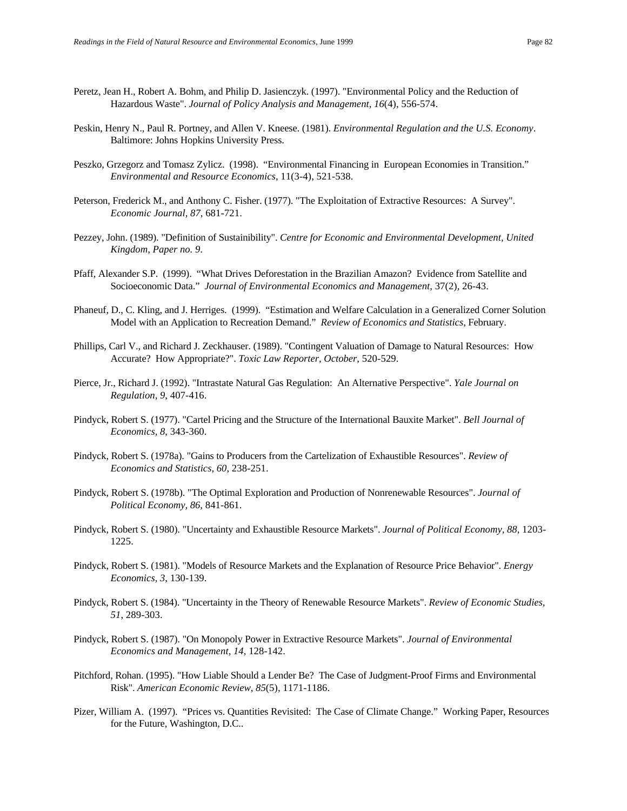- Peretz, Jean H., Robert A. Bohm, and Philip D. Jasienczyk. (1997). "Environmental Policy and the Reduction of Hazardous Waste". *Journal of Policy Analysis and Management, 16*(4), 556-574.
- Peskin, Henry N., Paul R. Portney, and Allen V. Kneese. (1981). *Environmental Regulation and the U.S. Economy*. Baltimore: Johns Hopkins University Press.
- Peszko, Grzegorz and Tomasz Zylicz. (1998). "Environmental Financing in European Economies in Transition." *Environmental and Resource Economics*, 11(3-4), 521-538.
- Peterson, Frederick M., and Anthony C. Fisher. (1977). "The Exploitation of Extractive Resources: A Survey". *Economic Journal, 87*, 681-721.
- Pezzey, John. (1989). "Definition of Sustainibility". *Centre for Economic and Environmental Development, United Kingdom, Paper no. 9*.
- Pfaff, Alexander S.P. (1999). "What Drives Deforestation in the Brazilian Amazon? Evidence from Satellite and Socioeconomic Data." *Journal of Environmental Economics and Management*, 37(2), 26-43.
- Phaneuf, D., C. Kling, and J. Herriges. (1999). "Estimation and Welfare Calculation in a Generalized Corner Solution Model with an Application to Recreation Demand." *Review of Economics and Statistics*, February.
- Phillips, Carl V., and Richard J. Zeckhauser. (1989). "Contingent Valuation of Damage to Natural Resources: How Accurate? How Appropriate?". *Toxic Law Reporter, October*, 520-529.
- Pierce, Jr., Richard J. (1992). "Intrastate Natural Gas Regulation: An Alternative Perspective". *Yale Journal on Regulation, 9*, 407-416.
- Pindyck, Robert S. (1977). "Cartel Pricing and the Structure of the International Bauxite Market". *Bell Journal of Economics, 8*, 343-360.
- Pindyck, Robert S. (1978a). "Gains to Producers from the Cartelization of Exhaustible Resources". *Review of Economics and Statistics, 60*, 238-251.
- Pindyck, Robert S. (1978b). "The Optimal Exploration and Production of Nonrenewable Resources". *Journal of Political Economy, 86*, 841-861.
- Pindyck, Robert S. (1980). "Uncertainty and Exhaustible Resource Markets". *Journal of Political Economy, 88*, 1203- 1225.
- Pindyck, Robert S. (1981). "Models of Resource Markets and the Explanation of Resource Price Behavior". *Energy Economics, 3*, 130-139.
- Pindyck, Robert S. (1984). "Uncertainty in the Theory of Renewable Resource Markets". *Review of Economic Studies, 51*, 289-303.
- Pindyck, Robert S. (1987). "On Monopoly Power in Extractive Resource Markets". *Journal of Environmental Economics and Management, 14*, 128-142.
- Pitchford, Rohan. (1995). "How Liable Should a Lender Be? The Case of Judgment-Proof Firms and Environmental Risk". *American Economic Review, 85*(5), 1171-1186.
- Pizer, William A. (1997). "Prices vs. Quantities Revisited: The Case of Climate Change." Working Paper, Resources for the Future, Washington, D.C..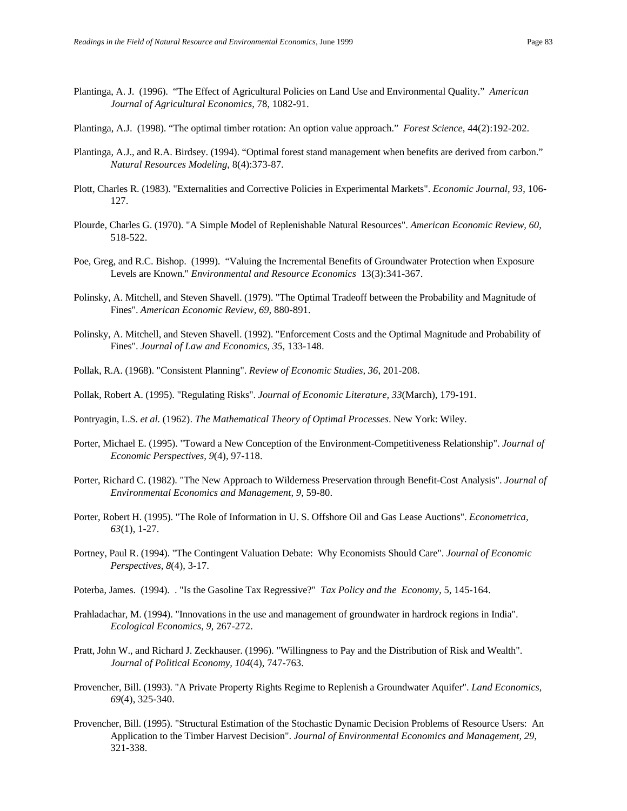- Plantinga, A. J. (1996). "The Effect of Agricultural Policies on Land Use and Environmental Quality." *American Journal of Agricultural Economics*, 78, 1082-91.
- Plantinga, A.J. (1998). "The optimal timber rotation: An option value approach." *Forest Science*, 44(2):192-202.
- Plantinga, A.J., and R.A. Birdsey. (1994). "Optimal forest stand management when benefits are derived from carbon." *Natural Resources Modeling*, 8(4):373-87.
- Plott, Charles R. (1983). "Externalities and Corrective Policies in Experimental Markets". *Economic Journal, 93*, 106- 127.
- Plourde, Charles G. (1970). "A Simple Model of Replenishable Natural Resources". *American Economic Review, 60*, 518-522.
- Poe, Greg, and R.C. Bishop. (1999). "Valuing the Incremental Benefits of Groundwater Protection when Exposure Levels are Known." *Environmental and Resource Economics* 13(3):341-367.
- Polinsky, A. Mitchell, and Steven Shavell. (1979). "The Optimal Tradeoff between the Probability and Magnitude of Fines". *American Economic Review, 69*, 880-891.
- Polinsky, A. Mitchell, and Steven Shavell. (1992). "Enforcement Costs and the Optimal Magnitude and Probability of Fines". *Journal of Law and Economics, 35*, 133-148.
- Pollak, R.A. (1968). "Consistent Planning". *Review of Economic Studies, 36*, 201-208.
- Pollak, Robert A. (1995). "Regulating Risks". *Journal of Economic Literature, 33*(March), 179-191.
- Pontryagin, L.S. *et al.* (1962). *The Mathematical Theory of Optimal Processes*. New York: Wiley.
- Porter, Michael E. (1995). "Toward a New Conception of the Environment-Competitiveness Relationship". *Journal of Economic Perspectives, 9*(4), 97-118.
- Porter, Richard C. (1982). "The New Approach to Wilderness Preservation through Benefit-Cost Analysis". *Journal of Environmental Economics and Management, 9*, 59-80.
- Porter, Robert H. (1995). "The Role of Information in U. S. Offshore Oil and Gas Lease Auctions". *Econometrica, 63*(1), 1-27.
- Portney, Paul R. (1994). "The Contingent Valuation Debate: Why Economists Should Care". *Journal of Economic Perspectives, 8*(4), 3-17.
- Poterba, James. (1994). . "Is the Gasoline Tax Regressive?" *Tax Policy and the Economy*, 5, 145-164.
- Prahladachar, M. (1994). "Innovations in the use and management of groundwater in hardrock regions in India". *Ecological Economics, 9*, 267-272.
- Pratt, John W., and Richard J. Zeckhauser. (1996). "Willingness to Pay and the Distribution of Risk and Wealth". *Journal of Political Economy, 104*(4), 747-763.
- Provencher, Bill. (1993). "A Private Property Rights Regime to Replenish a Groundwater Aquifer". *Land Economics, 69*(4), 325-340.
- Provencher, Bill. (1995). "Structural Estimation of the Stochastic Dynamic Decision Problems of Resource Users: An Application to the Timber Harvest Decision". *Journal of Environmental Economics and Management, 29*, 321-338.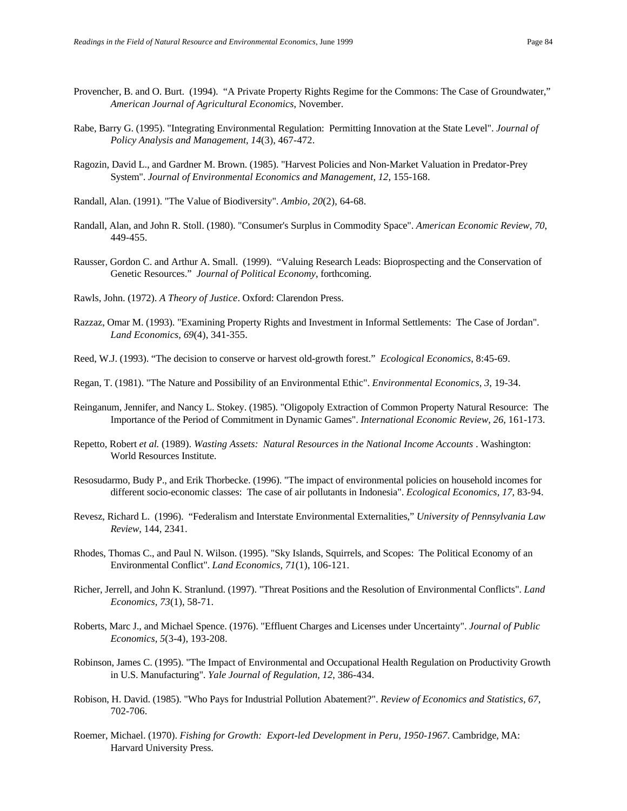- Provencher, B. and O. Burt. (1994). "A Private Property Rights Regime for the Commons: The Case of Groundwater," *American Journal of Agricultural Economics*, November.
- Rabe, Barry G. (1995). "Integrating Environmental Regulation: Permitting Innovation at the State Level". *Journal of Policy Analysis and Management, 14*(3), 467-472.
- Ragozin, David L., and Gardner M. Brown. (1985). "Harvest Policies and Non-Market Valuation in Predator-Prey System". *Journal of Environmental Economics and Management, 12*, 155-168.
- Randall, Alan. (1991). "The Value of Biodiversity". *Ambio, 20*(2), 64-68.
- Randall, Alan, and John R. Stoll. (1980). "Consumer's Surplus in Commodity Space". *American Economic Review, 70*, 449-455.
- Rausser, Gordon C. and Arthur A. Small. (1999). "Valuing Research Leads: Bioprospecting and the Conservation of Genetic Resources." *Journal of Political Economy*, forthcoming.

Rawls, John. (1972). *A Theory of Justice*. Oxford: Clarendon Press.

- Razzaz, Omar M. (1993). "Examining Property Rights and Investment in Informal Settlements: The Case of Jordan". *Land Economics, 69*(4), 341-355.
- Reed, W.J. (1993). "The decision to conserve or harvest old-growth forest." *Ecological Economics*, 8:45-69.
- Regan, T. (1981). "The Nature and Possibility of an Environmental Ethic". *Environmental Economics, 3*, 19-34.
- Reinganum, Jennifer, and Nancy L. Stokey. (1985). "Oligopoly Extraction of Common Property Natural Resource: The Importance of the Period of Commitment in Dynamic Games". *International Economic Review, 26*, 161-173.
- Repetto, Robert *et al.* (1989). *Wasting Assets: Natural Resources in the National Income Accounts* . Washington: World Resources Institute.
- Resosudarmo, Budy P., and Erik Thorbecke. (1996). "The impact of environmental policies on household incomes for different socio-economic classes: The case of air pollutants in Indonesia". *Ecological Economics, 17*, 83-94.
- Revesz, Richard L. (1996). "Federalism and Interstate Environmental Externalities," *University of Pennsylvania Law Review*, 144, 2341.
- Rhodes, Thomas C., and Paul N. Wilson. (1995). "Sky Islands, Squirrels, and Scopes: The Political Economy of an Environmental Conflict". *Land Economics, 71*(1), 106-121.
- Richer, Jerrell, and John K. Stranlund. (1997). "Threat Positions and the Resolution of Environmental Conflicts". *Land Economics, 73*(1), 58-71.
- Roberts, Marc J., and Michael Spence. (1976). "Effluent Charges and Licenses under Uncertainty". *Journal of Public Economics, 5*(3-4), 193-208.
- Robinson, James C. (1995). "The Impact of Environmental and Occupational Health Regulation on Productivity Growth in U.S. Manufacturing". *Yale Journal of Regulation, 12*, 386-434.
- Robison, H. David. (1985). "Who Pays for Industrial Pollution Abatement?". *Review of Economics and Statistics, 67*, 702-706.
- Roemer, Michael. (1970). *Fishing for Growth: Export-led Development in Peru, 1950-1967*. Cambridge, MA: Harvard University Press.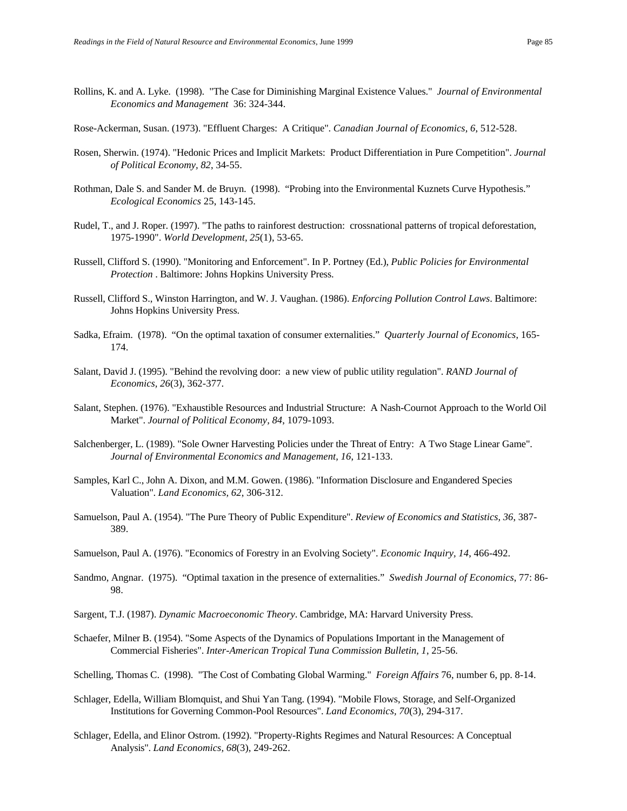- Rollins, K. and A. Lyke. (1998). "The Case for Diminishing Marginal Existence Values." *Journal of Environmental Economics and Management* 36: 324-344.
- Rose-Ackerman, Susan. (1973). "Effluent Charges: A Critique". *Canadian Journal of Economics, 6*, 512-528.
- Rosen, Sherwin. (1974). "Hedonic Prices and Implicit Markets: Product Differentiation in Pure Competition". *Journal of Political Economy, 82*, 34-55.
- Rothman, Dale S. and Sander M. de Bruyn. (1998). "Probing into the Environmental Kuznets Curve Hypothesis." *Ecological Economics* 25, 143-145.
- Rudel, T., and J. Roper. (1997). "The paths to rainforest destruction: crossnational patterns of tropical deforestation, 1975-1990". *World Development, 25*(1), 53-65.
- Russell, Clifford S. (1990). "Monitoring and Enforcement". In P. Portney (Ed.), *Public Policies for Environmental Protection* . Baltimore: Johns Hopkins University Press.
- Russell, Clifford S., Winston Harrington, and W. J. Vaughan. (1986). *Enforcing Pollution Control Laws*. Baltimore: Johns Hopkins University Press.
- Sadka, Efraim. (1978). "On the optimal taxation of consumer externalities." *Quarterly Journal of Economics*, 165- 174.
- Salant, David J. (1995). "Behind the revolving door: a new view of public utility regulation". *RAND Journal of Economics, 26*(3), 362-377.
- Salant, Stephen. (1976). "Exhaustible Resources and Industrial Structure: A Nash-Cournot Approach to the World Oil Market". *Journal of Political Economy, 84*, 1079-1093.
- Salchenberger, L. (1989). "Sole Owner Harvesting Policies under the Threat of Entry: A Two Stage Linear Game". *Journal of Environmental Economics and Management, 16*, 121-133.
- Samples, Karl C., John A. Dixon, and M.M. Gowen. (1986). "Information Disclosure and Engandered Species Valuation". *Land Economics, 62*, 306-312.
- Samuelson, Paul A. (1954). "The Pure Theory of Public Expenditure". *Review of Economics and Statistics, 36*, 387- 389.
- Samuelson, Paul A. (1976). "Economics of Forestry in an Evolving Society". *Economic Inquiry, 14*, 466-492.
- Sandmo, Angnar. (1975). "Optimal taxation in the presence of externalities." *Swedish Journal of Economics*, 77: 86- 98.
- Sargent, T.J. (1987). *Dynamic Macroeconomic Theory*. Cambridge, MA: Harvard University Press.
- Schaefer, Milner B. (1954). "Some Aspects of the Dynamics of Populations Important in the Management of Commercial Fisheries". *Inter-American Tropical Tuna Commission Bulletin, 1*, 25-56.
- Schelling, Thomas C. (1998). "The Cost of Combating Global Warming." *Foreign Affairs* 76, number 6, pp. 8-14.
- Schlager, Edella, William Blomquist, and Shui Yan Tang. (1994). "Mobile Flows, Storage, and Self-Organized Institutions for Governing Common-Pool Resources". *Land Economics, 70*(3), 294-317.
- Schlager, Edella, and Elinor Ostrom. (1992). "Property-Rights Regimes and Natural Resources: A Conceptual Analysis". *Land Economics, 68*(3), 249-262.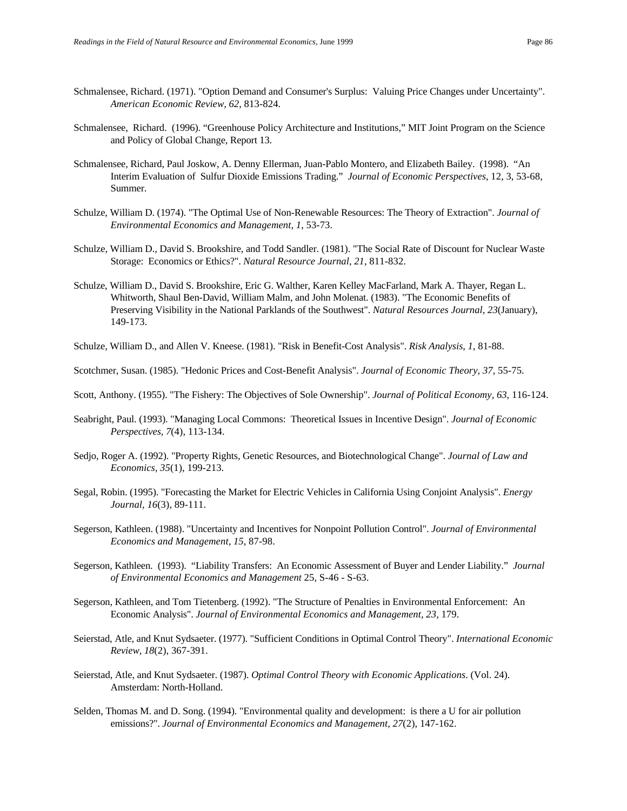- Schmalensee, Richard. (1971). "Option Demand and Consumer's Surplus: Valuing Price Changes under Uncertainty". *American Economic Review, 62*, 813-824.
- Schmalensee, Richard. (1996). "Greenhouse Policy Architecture and Institutions," MIT Joint Program on the Science and Policy of Global Change, Report 13.
- Schmalensee, Richard, Paul Joskow, A. Denny Ellerman, Juan-Pablo Montero, and Elizabeth Bailey. (1998). "An Interim Evaluation of Sulfur Dioxide Emissions Trading." *Journal of Economic Perspectives*, 12, 3, 53-68, Summer.
- Schulze, William D. (1974). "The Optimal Use of Non-Renewable Resources: The Theory of Extraction". *Journal of Environmental Economics and Management, 1*, 53-73.
- Schulze, William D., David S. Brookshire, and Todd Sandler. (1981). "The Social Rate of Discount for Nuclear Waste Storage: Economics or Ethics?". *Natural Resource Journal, 21*, 811-832.
- Schulze, William D., David S. Brookshire, Eric G. Walther, Karen Kelley MacFarland, Mark A. Thayer, Regan L. Whitworth, Shaul Ben-David, William Malm, and John Molenat. (1983). "The Economic Benefits of Preserving Visibility in the National Parklands of the Southwest". *Natural Resources Journal, 23*(January), 149-173.
- Schulze, William D., and Allen V. Kneese. (1981). "Risk in Benefit-Cost Analysis". *Risk Analysis, 1*, 81-88.
- Scotchmer, Susan. (1985). "Hedonic Prices and Cost-Benefit Analysis". *Journal of Economic Theory, 37*, 55-75.
- Scott, Anthony. (1955). "The Fishery: The Objectives of Sole Ownership". *Journal of Political Economy, 63*, 116-124.
- Seabright, Paul. (1993). "Managing Local Commons: Theoretical Issues in Incentive Design". *Journal of Economic Perspectives, 7*(4), 113-134.
- Sedjo, Roger A. (1992). "Property Rights, Genetic Resources, and Biotechnological Change". *Journal of Law and Economics, 35*(1), 199-213.
- Segal, Robin. (1995). "Forecasting the Market for Electric Vehicles in California Using Conjoint Analysis". *Energy Journal, 16*(3), 89-111.
- Segerson, Kathleen. (1988). "Uncertainty and Incentives for Nonpoint Pollution Control". *Journal of Environmental Economics and Management, 15*, 87-98.
- Segerson, Kathleen. (1993). "Liability Transfers: An Economic Assessment of Buyer and Lender Liability." *Journal of Environmental Economics and Management* 25, S-46 - S-63.
- Segerson, Kathleen, and Tom Tietenberg. (1992). "The Structure of Penalties in Environmental Enforcement: An Economic Analysis". *Journal of Environmental Economics and Management, 23*, 179.
- Seierstad, Atle, and Knut Sydsaeter. (1977). "Sufficient Conditions in Optimal Control Theory". *International Economic Review, 18*(2), 367-391.
- Seierstad, Atle, and Knut Sydsaeter. (1987). *Optimal Control Theory with Economic Applications*. (Vol. 24). Amsterdam: North-Holland.
- Selden, Thomas M. and D. Song. (1994). "Environmental quality and development: is there a U for air pollution emissions?". *Journal of Environmental Economics and Management, 27*(2), 147-162.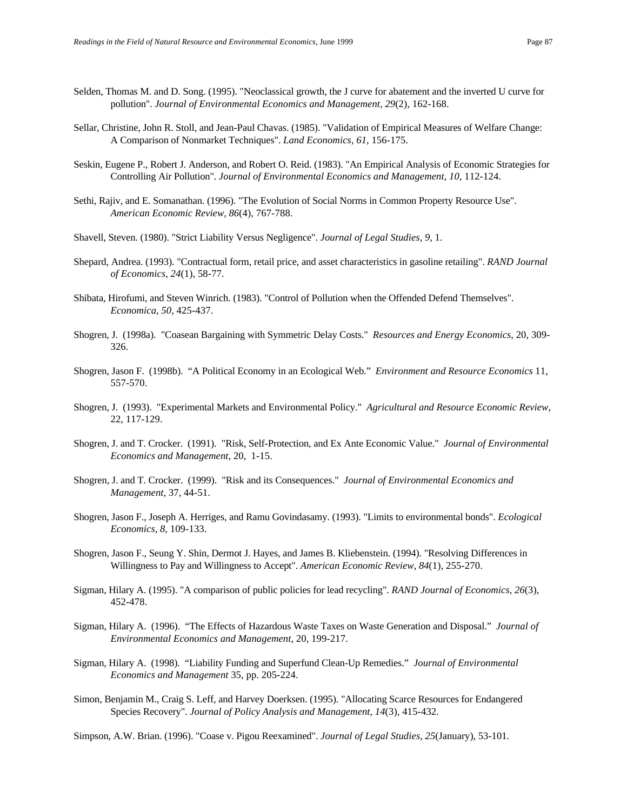- Selden, Thomas M. and D. Song. (1995). "Neoclassical growth, the J curve for abatement and the inverted U curve for pollution". *Journal of Environmental Economics and Management, 29*(2), 162-168.
- Sellar, Christine, John R. Stoll, and Jean-Paul Chavas. (1985). "Validation of Empirical Measures of Welfare Change: A Comparison of Nonmarket Techniques". *Land Economics, 61*, 156-175.
- Seskin, Eugene P., Robert J. Anderson, and Robert O. Reid. (1983). "An Empirical Analysis of Economic Strategies for Controlling Air Pollution". *Journal of Environmental Economics and Management, 10*, 112-124.
- Sethi, Rajiv, and E. Somanathan. (1996). "The Evolution of Social Norms in Common Property Resource Use". *American Economic Review, 86*(4), 767-788.
- Shavell, Steven. (1980). "Strict Liability Versus Negligence". *Journal of Legal Studies, 9*, 1.
- Shepard, Andrea. (1993). "Contractual form, retail price, and asset characteristics in gasoline retailing". *RAND Journal of Economics, 24*(1), 58-77.
- Shibata, Hirofumi, and Steven Winrich. (1983). "Control of Pollution when the Offended Defend Themselves". *Economica, 50*, 425-437.
- Shogren, J. (1998a). "Coasean Bargaining with Symmetric Delay Costs." *Resources and Energy Economics*, 20, 309- 326.
- Shogren, Jason F. (1998b). "A Political Economy in an Ecological Web." *Environment and Resource Economics* 11, 557-570.
- Shogren, J. (1993). "Experimental Markets and Environmental Policy." *Agricultural and Resource Economic Review*, 22, 117-129.
- Shogren, J. and T. Crocker. (1991). "Risk, Self-Protection, and Ex Ante Economic Value." *Journal of Environmental Economics and Management*, 20, 1-15.
- Shogren, J. and T. Crocker. (1999). "Risk and its Consequences." *Journal of Environmental Economics and Management*, 37, 44-51.
- Shogren, Jason F., Joseph A. Herriges, and Ramu Govindasamy. (1993). "Limits to environmental bonds". *Ecological Economics, 8*, 109-133.
- Shogren, Jason F., Seung Y. Shin, Dermot J. Hayes, and James B. Kliebenstein. (1994). "Resolving Differences in Willingness to Pay and Willingness to Accept". *American Economic Review, 84*(1), 255-270.
- Sigman, Hilary A. (1995). "A comparison of public policies for lead recycling". *RAND Journal of Economics, 26*(3), 452-478.
- Sigman, Hilary A. (1996). "The Effects of Hazardous Waste Taxes on Waste Generation and Disposal." *Journal of Environmental Economics and Management*, 20, 199-217.
- Sigman, Hilary A. (1998). "Liability Funding and Superfund Clean-Up Remedies." *Journal of Environmental Economics and Management* 35, pp. 205-224.
- Simon, Benjamin M., Craig S. Leff, and Harvey Doerksen. (1995). "Allocating Scarce Resources for Endangered Species Recovery". *Journal of Policy Analysis and Management, 14*(3), 415-432.

Simpson, A.W. Brian. (1996). "Coase v. Pigou Reexamined". *Journal of Legal Studies, 25*(January), 53-101.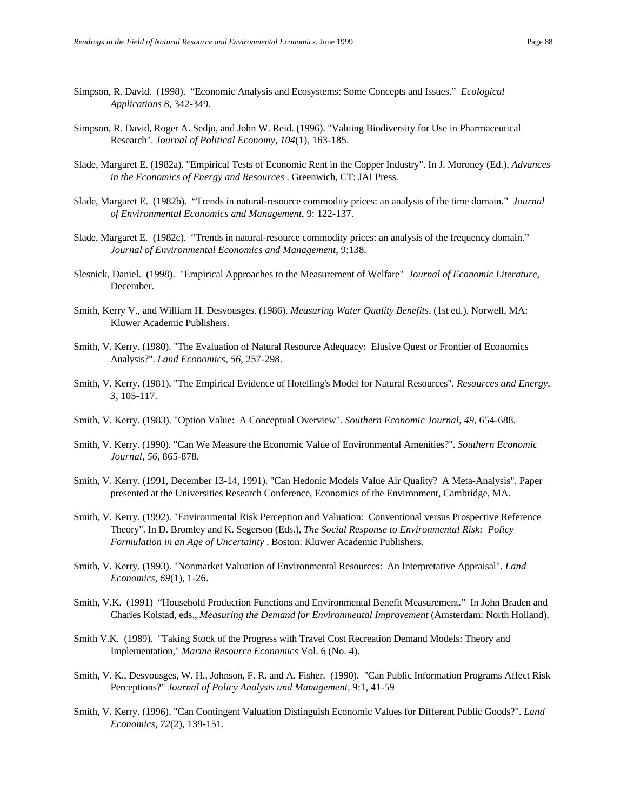- Simpson, R. David. (1998). "Economic Analysis and Ecosystems: Some Concepts and Issues." *Ecological Applications* 8, 342-349.
- Simpson, R. David, Roger A. Sedjo, and John W. Reid. (1996). "Valuing Biodiversity for Use in Pharmaceutical Research". *Journal of Political Economy, 104*(1), 163-185.
- Slade, Margaret E. (1982a). "Empirical Tests of Economic Rent in the Copper Industry". In J. Moroney (Ed.), *Advances in the Economics of Energy and Resources* . Greenwich, CT: JAI Press.
- Slade, Margaret E. (1982b). "Trends in natural-resource commodity prices: an analysis of the time domain." *Journal of Environmental Economics and Management*, 9: 122-137.
- Slade, Margaret E. (1982c). "Trends in natural-resource commodity prices: an analysis of the frequency domain." *Journal of Environmental Economics and Management*, 9:138.
- Slesnick, Daniel. (1998). "Empirical Approaches to the Measurement of Welfare" *Journal of Economic Literature*, December.
- Smith, Kerry V., and William H. Desvousges. (1986). *Measuring Water Quality Benefits*. (1st ed.). Norwell, MA: Kluwer Academic Publishers.
- Smith, V. Kerry. (1980). "The Evaluation of Natural Resource Adequacy: Elusive Quest or Frontier of Economics Analysis?". *Land Economics, 56*, 257-298.
- Smith, V. Kerry. (1981). "The Empirical Evidence of Hotelling's Model for Natural Resources". *Resources and Energy, 3*, 105-117.
- Smith, V. Kerry. (1983). "Option Value: A Conceptual Overview". *Southern Economic Journal, 49*, 654-688.
- Smith, V. Kerry. (1990). "Can We Measure the Economic Value of Environmental Amenities?". *Southern Economic Journal, 56*, 865-878.
- Smith, V. Kerry. (1991, December 13-14, 1991). "Can Hedonic Models Value Air Quality? A Meta-Analysis"*.* Paper presented at the Universities Research Conference, Economics of the Environment, Cambridge, MA.
- Smith, V. Kerry. (1992). "Environmental Risk Perception and Valuation: Conventional versus Prospective Reference Theory". In D. Bromley and K. Segerson (Eds.), *The Social Response to Environmental Risk: Policy Formulation in an Age of Uncertainty* . Boston: Kluwer Academic Publishers.
- Smith, V. Kerry. (1993). "Nonmarket Valuation of Environmental Resources: An Interpretative Appraisal". *Land Economics, 69*(1), 1-26.
- Smith, V.K. (1991) "Household Production Functions and Environmental Benefit Measurement." In John Braden and Charles Kolstad, eds., *Measuring the Demand for Environmental Improvement* (Amsterdam: North Holland).
- Smith V.K. (1989). "Taking Stock of the Progress with Travel Cost Recreation Demand Models: Theory and Implementation," *Marine Resource Economics* Vol. 6 (No. 4).
- Smith, V. K., Desvousges, W. H., Johnson, F. R. and A. Fisher. (1990). "Can Public Information Programs Affect Risk Perceptions?" *Journal of Policy Analysis and Management*, 9:1, 41-59
- Smith, V. Kerry. (1996). "Can Contingent Valuation Distinguish Economic Values for Different Public Goods?". *Land Economics, 72*(2), 139-151.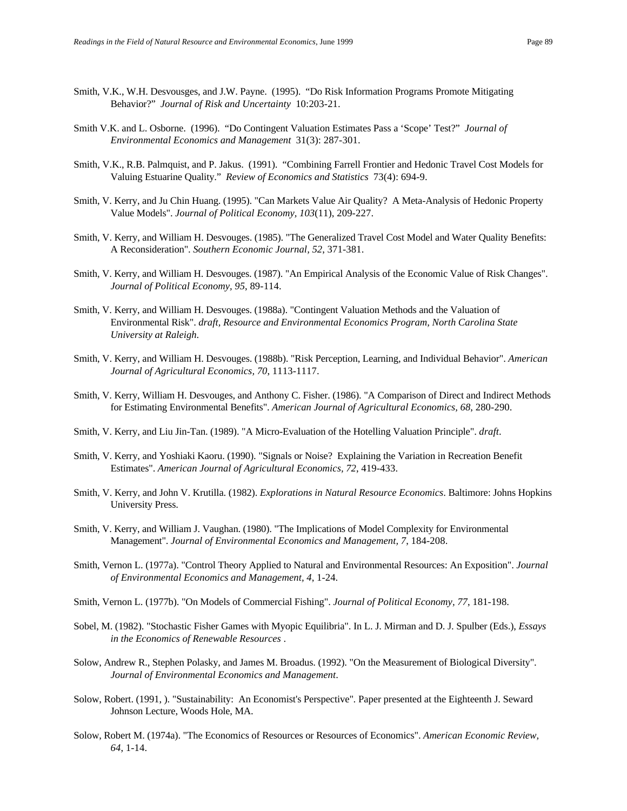- Smith, V.K., W.H. Desvousges, and J.W. Payne. (1995). "Do Risk Information Programs Promote Mitigating Behavior?" *Journal of Risk and Uncertainty* 10:203-21.
- Smith V.K. and L. Osborne. (1996). "Do Contingent Valuation Estimates Pass a 'Scope' Test?" *Journal of Environmental Economics and Management* 31(3): 287-301.
- Smith, V.K., R.B. Palmquist, and P. Jakus. (1991). "Combining Farrell Frontier and Hedonic Travel Cost Models for Valuing Estuarine Quality." *Review of Economics and Statistics* 73(4): 694-9.
- Smith, V. Kerry, and Ju Chin Huang. (1995). "Can Markets Value Air Quality? A Meta-Analysis of Hedonic Property Value Models". *Journal of Political Economy, 103*(11), 209-227.
- Smith, V. Kerry, and William H. Desvouges. (1985). "The Generalized Travel Cost Model and Water Quality Benefits: A Reconsideration". *Southern Economic Journal, 52*, 371-381.
- Smith, V. Kerry, and William H. Desvouges. (1987). "An Empirical Analysis of the Economic Value of Risk Changes". *Journal of Political Economy, 95*, 89-114.
- Smith, V. Kerry, and William H. Desvouges. (1988a). "Contingent Valuation Methods and the Valuation of Environmental Risk". *draft, Resource and Environmental Economics Program, North Carolina State University at Raleigh*.
- Smith, V. Kerry, and William H. Desvouges. (1988b). "Risk Perception, Learning, and Individual Behavior". *American Journal of Agricultural Economics, 70*, 1113-1117.
- Smith, V. Kerry, William H. Desvouges, and Anthony C. Fisher. (1986). "A Comparison of Direct and Indirect Methods for Estimating Environmental Benefits". *American Journal of Agricultural Economics, 68*, 280-290.
- Smith, V. Kerry, and Liu Jin-Tan. (1989). "A Micro-Evaluation of the Hotelling Valuation Principle". *draft*.
- Smith, V. Kerry, and Yoshiaki Kaoru. (1990). "Signals or Noise? Explaining the Variation in Recreation Benefit Estimates". *American Journal of Agricultural Economics, 72*, 419-433.
- Smith, V. Kerry, and John V. Krutilla. (1982). *Explorations in Natural Resource Economics*. Baltimore: Johns Hopkins University Press.
- Smith, V. Kerry, and William J. Vaughan. (1980). "The Implications of Model Complexity for Environmental Management". *Journal of Environmental Economics and Management, 7*, 184-208.
- Smith, Vernon L. (1977a). "Control Theory Applied to Natural and Environmental Resources: An Exposition". *Journal of Environmental Economics and Management, 4*, 1-24.
- Smith, Vernon L. (1977b). "On Models of Commercial Fishing". *Journal of Political Economy, 77*, 181-198.
- Sobel, M. (1982). "Stochastic Fisher Games with Myopic Equilibria". In L. J. Mirman and D. J. Spulber (Eds.), *Essays in the Economics of Renewable Resources* .
- Solow, Andrew R., Stephen Polasky, and James M. Broadus. (1992). "On the Measurement of Biological Diversity". *Journal of Environmental Economics and Management*.
- Solow, Robert. (1991, ). "Sustainability: An Economist's Perspective"*.* Paper presented at the Eighteenth J. Seward Johnson Lecture, Woods Hole, MA.
- Solow, Robert M. (1974a). "The Economics of Resources or Resources of Economics". *American Economic Review, 64*, 1-14.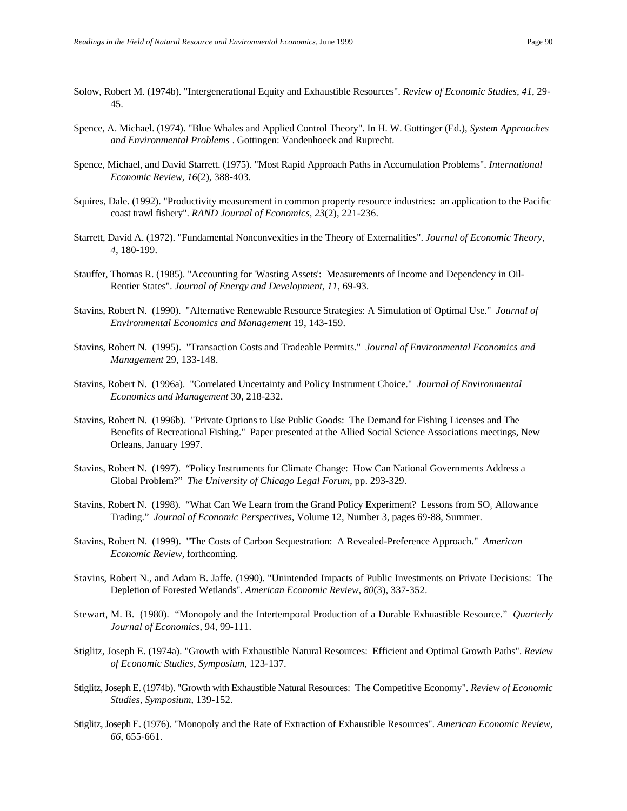- Solow, Robert M. (1974b). "Intergenerational Equity and Exhaustible Resources". *Review of Economic Studies, 41*, 29- 45.
- Spence, A. Michael. (1974). "Blue Whales and Applied Control Theory". In H. W. Gottinger (Ed.), *System Approaches and Environmental Problems* . Gottingen: Vandenhoeck and Ruprecht.
- Spence, Michael, and David Starrett. (1975). "Most Rapid Approach Paths in Accumulation Problems". *International Economic Review, 16*(2), 388-403.
- Squires, Dale. (1992). "Productivity measurement in common property resource industries: an application to the Pacific coast trawl fishery". *RAND Journal of Economics, 23*(2), 221-236.
- Starrett, David A. (1972). "Fundamental Nonconvexities in the Theory of Externalities". *Journal of Economic Theory, 4*, 180-199.
- Stauffer, Thomas R. (1985). "Accounting for 'Wasting Assets': Measurements of Income and Dependency in Oil-Rentier States". *Journal of Energy and Development, 11*, 69-93.
- Stavins, Robert N. (1990). "Alternative Renewable Resource Strategies: A Simulation of Optimal Use." *Journal of Environmental Economics and Management* 19, 143-159.
- Stavins, Robert N. (1995). "Transaction Costs and Tradeable Permits." *Journal of Environmental Economics and Management* 29, 133-148.
- Stavins, Robert N. (1996a). "Correlated Uncertainty and Policy Instrument Choice." *Journal of Environmental Economics and Management* 30, 218-232.
- Stavins, Robert N. (1996b). "Private Options to Use Public Goods: The Demand for Fishing Licenses and The Benefits of Recreational Fishing." Paper presented at the Allied Social Science Associations meetings, New Orleans, January 1997.
- Stavins, Robert N. (1997). "Policy Instruments for Climate Change: How Can National Governments Address a Global Problem?" *The University of Chicago Legal Forum*, pp. 293-329.
- Stavins, Robert N. (1998). "What Can We Learn from the Grand Policy Experiment? Lessons from SO<sub>2</sub> Allowance Trading." *Journal of Economic Perspectives*, Volume 12, Number 3, pages 69-88, Summer.
- Stavins, Robert N. (1999). "The Costs of Carbon Sequestration: A Revealed-Preference Approach." *American Economic Review*, forthcoming.
- Stavins, Robert N., and Adam B. Jaffe. (1990). "Unintended Impacts of Public Investments on Private Decisions: The Depletion of Forested Wetlands". *American Economic Review, 80*(3), 337-352.
- Stewart, M. B. (1980). "Monopoly and the Intertemporal Production of a Durable Exhuastible Resource." *Quarterly Journal of Economics*, 94, 99-111.
- Stiglitz, Joseph E. (1974a). "Growth with Exhaustible Natural Resources: Efficient and Optimal Growth Paths". *Review of Economic Studies, Symposium*, 123-137.
- Stiglitz, Joseph E. (1974b). "Growth with Exhaustible Natural Resources: The Competitive Economy". *Review of Economic Studies, Symposium*, 139-152.
- Stiglitz, Joseph E. (1976). "Monopoly and the Rate of Extraction of Exhaustible Resources". *American Economic Review, 66*, 655-661.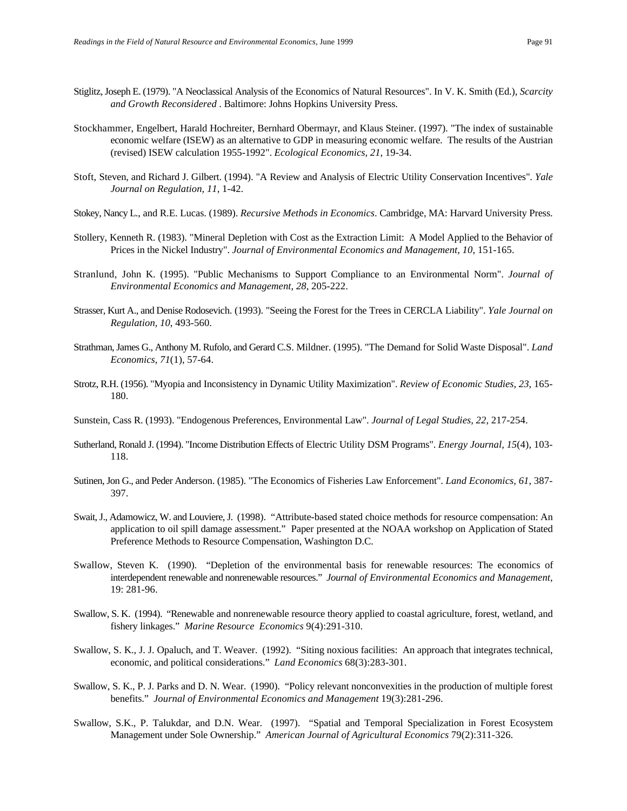- Stiglitz, Joseph E. (1979). "A Neoclassical Analysis of the Economics of Natural Resources". In V. K. Smith (Ed.), *Scarcity and Growth Reconsidered* . Baltimore: Johns Hopkins University Press.
- Stockhammer, Engelbert, Harald Hochreiter, Bernhard Obermayr, and Klaus Steiner. (1997). "The index of sustainable economic welfare (ISEW) as an alternative to GDP in measuring economic welfare. The results of the Austrian (revised) ISEW calculation 1955-1992". *Ecological Economics, 21*, 19-34.
- Stoft, Steven, and Richard J. Gilbert. (1994). "A Review and Analysis of Electric Utility Conservation Incentives". *Yale Journal on Regulation, 11*, 1-42.
- Stokey, Nancy L., and R.E. Lucas. (1989). *Recursive Methods in Economics*. Cambridge, MA: Harvard University Press.
- Stollery, Kenneth R. (1983). "Mineral Depletion with Cost as the Extraction Limit: A Model Applied to the Behavior of Prices in the Nickel Industry". *Journal of Environmental Economics and Management, 10*, 151-165.
- Stranlund, John K. (1995). "Public Mechanisms to Support Compliance to an Environmental Norm". *Journal of Environmental Economics and Management, 28*, 205-222.
- Strasser, Kurt A., and Denise Rodosevich. (1993). "Seeing the Forest for the Trees in CERCLA Liability". *Yale Journal on Regulation, 10*, 493-560.
- Strathman, James G., Anthony M. Rufolo, and Gerard C.S. Mildner. (1995). "The Demand for Solid Waste Disposal". *Land Economics, 71*(1), 57-64.
- Strotz, R.H. (1956). "Myopia and Inconsistency in Dynamic Utility Maximization". *Review of Economic Studies, 23*, 165- 180.
- Sunstein, Cass R. (1993). "Endogenous Preferences, Environmental Law". *Journal of Legal Studies, 22*, 217-254.
- Sutherland, Ronald J. (1994). "Income Distribution Effects of Electric Utility DSM Programs". *Energy Journal, 15*(4), 103- 118.
- Sutinen, Jon G., and Peder Anderson. (1985). "The Economics of Fisheries Law Enforcement". *Land Economics, 61*, 387- 397.
- Swait, J., Adamowicz, W. and Louviere, J. (1998). "Attribute-based stated choice methods for resource compensation: An application to oil spill damage assessment." Paper presented at the NOAA workshop on Application of Stated Preference Methods to Resource Compensation, Washington D.C.
- Swallow, Steven K. (1990). "Depletion of the environmental basis for renewable resources: The economics of interdependent renewable and nonrenewable resources." *Journal of Environmental Economics and Management*, 19: 281-96.
- Swallow, S. K. (1994). "Renewable and nonrenewable resource theory applied to coastal agriculture, forest, wetland, and fishery linkages." *Marine Resource Economics* 9(4):291-310.
- Swallow, S. K., J. J. Opaluch, and T. Weaver. (1992). "Siting noxious facilities: An approach that integrates technical, economic, and political considerations." *Land Economics* 68(3):283-301.
- Swallow, S. K., P. J. Parks and D. N. Wear. (1990). "Policy relevant nonconvexities in the production of multiple forest benefits." *Journal of Environmental Economics and Management* 19(3):281-296.
- Swallow, S.K., P. Talukdar, and D.N. Wear. (1997). "Spatial and Temporal Specialization in Forest Ecosystem Management under Sole Ownership." *American Journal of Agricultural Economics* 79(2):311-326.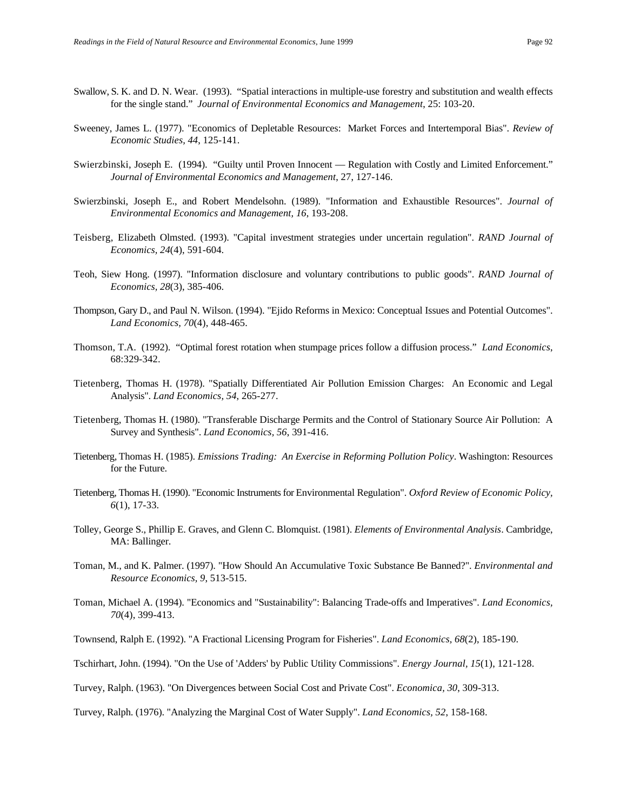- Swallow, S. K. and D. N. Wear. (1993). "Spatial interactions in multiple-use forestry and substitution and wealth effects for the single stand." *Journal of Environmental Economics and Management*, 25: 103-20.
- Sweeney, James L. (1977). "Economics of Depletable Resources: Market Forces and Intertemporal Bias". *Review of Economic Studies, 44*, 125-141.
- Swierzbinski, Joseph E. (1994). "Guilty until Proven Innocent Regulation with Costly and Limited Enforcement." *Journal of Environmental Economics and Management*, 27, 127-146.
- Swierzbinski, Joseph E., and Robert Mendelsohn. (1989). "Information and Exhaustible Resources". *Journal of Environmental Economics and Management, 16*, 193-208.
- Teisberg, Elizabeth Olmsted. (1993). "Capital investment strategies under uncertain regulation". *RAND Journal of Economics, 24*(4), 591-604.
- Teoh, Siew Hong. (1997). "Information disclosure and voluntary contributions to public goods". *RAND Journal of Economics, 28*(3), 385-406.
- Thompson, Gary D., and Paul N. Wilson. (1994). "Ejido Reforms in Mexico: Conceptual Issues and Potential Outcomes". *Land Economics, 70*(4), 448-465.
- Thomson, T.A. (1992). "Optimal forest rotation when stumpage prices follow a diffusion process." *Land Economics*, 68:329-342.
- Tietenberg, Thomas H. (1978). "Spatially Differentiated Air Pollution Emission Charges: An Economic and Legal Analysis". *Land Economics, 54*, 265-277.
- Tietenberg, Thomas H. (1980). "Transferable Discharge Permits and the Control of Stationary Source Air Pollution: A Survey and Synthesis". *Land Economics, 56*, 391-416.
- Tietenberg, Thomas H. (1985). *Emissions Trading: An Exercise in Reforming Pollution Policy*. Washington: Resources for the Future.
- Tietenberg, Thomas H. (1990). "Economic Instruments for Environmental Regulation". *Oxford Review of Economic Policy, 6*(1), 17-33.
- Tolley, George S., Phillip E. Graves, and Glenn C. Blomquist. (1981). *Elements of Environmental Analysis*. Cambridge, MA: Ballinger.
- Toman, M., and K. Palmer. (1997). "How Should An Accumulative Toxic Substance Be Banned?". *Environmental and Resource Economics, 9*, 513-515.
- Toman, Michael A. (1994). "Economics and "Sustainability": Balancing Trade-offs and Imperatives". *Land Economics, 70*(4), 399-413.
- Townsend, Ralph E. (1992). "A Fractional Licensing Program for Fisheries". *Land Economics, 68*(2), 185-190.
- Tschirhart, John. (1994). "On the Use of 'Adders' by Public Utility Commissions". *Energy Journal, 15*(1), 121-128.
- Turvey, Ralph. (1963). "On Divergences between Social Cost and Private Cost". *Economica, 30*, 309-313.

Turvey, Ralph. (1976). "Analyzing the Marginal Cost of Water Supply". *Land Economics, 52*, 158-168.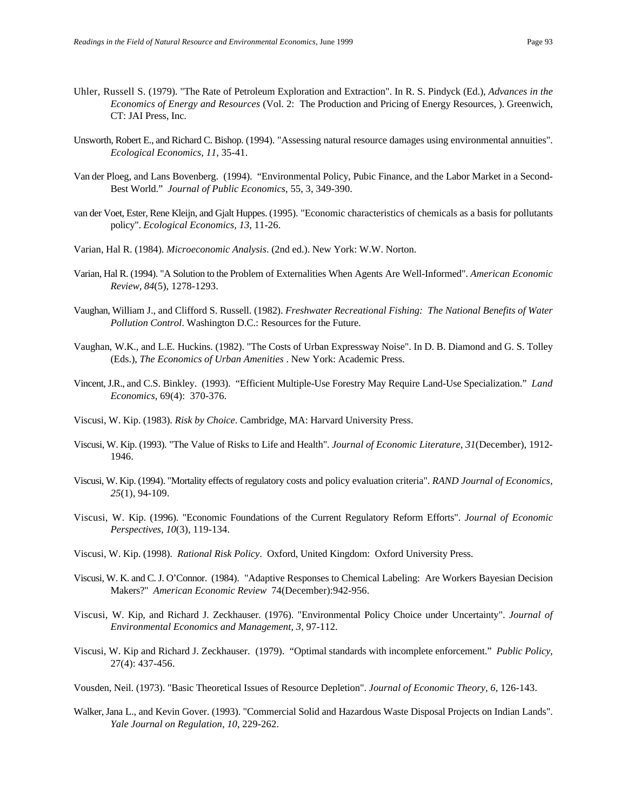- Uhler, Russell S. (1979). "The Rate of Petroleum Exploration and Extraction". In R. S. Pindyck (Ed.), *Advances in the Economics of Energy and Resources* (Vol. 2: The Production and Pricing of Energy Resources, ). Greenwich, CT: JAI Press, Inc.
- Unsworth, Robert E., and Richard C. Bishop. (1994). "Assessing natural resource damages using environmental annuities". *Ecological Economics, 11*, 35-41.
- Van der Ploeg, and Lans Bovenberg. (1994). "Environmental Policy, Pubic Finance, and the Labor Market in a Second-Best World." *Journal of Public Economics*, 55, 3, 349-390.
- van der Voet, Ester, Rene Kleijn, and Gjalt Huppes. (1995). "Economic characteristics of chemicals as a basis for pollutants policy". *Ecological Economics, 13*, 11-26.
- Varian, Hal R. (1984). *Microeconomic Analysis*. (2nd ed.). New York: W.W. Norton.
- Varian, Hal R. (1994). "A Solution to the Problem of Externalities When Agents Are Well-Informed". *American Economic Review, 84*(5), 1278-1293.
- Vaughan, William J., and Clifford S. Russell. (1982). *Freshwater Recreational Fishing: The National Benefits of Water Pollution Control*. Washington D.C.: Resources for the Future.
- Vaughan, W.K., and L.E. Huckins. (1982). "The Costs of Urban Expressway Noise". In D. B. Diamond and G. S. Tolley (Eds.), *The Economics of Urban Amenities* . New York: Academic Press.
- Vincent, J.R., and C.S. Binkley. (1993). "Efficient Multiple-Use Forestry May Require Land-Use Specialization." *Land Economics*, 69(4): 370-376.
- Viscusi, W. Kip. (1983). *Risk by Choice*. Cambridge, MA: Harvard University Press.
- Viscusi, W. Kip. (1993). "The Value of Risks to Life and Health". *Journal of Economic Literature, 31*(December), 1912- 1946.
- Viscusi, W. Kip. (1994). "Mortality effects of regulatory costs and policy evaluation criteria". *RAND Journal of Economics, 25*(1), 94-109.
- Viscusi, W. Kip. (1996). "Economic Foundations of the Current Regulatory Reform Efforts". *Journal of Economic Perspectives, 10*(3), 119-134.
- Viscusi, W. Kip. (1998). *Rational Risk Policy*. Oxford, United Kingdom: Oxford University Press.
- Viscusi, W. K. and C. J. O'Connor. (1984). "Adaptive Responses to Chemical Labeling: Are Workers Bayesian Decision Makers?" *American Economic Review* 74(December):942-956.
- Viscusi, W. Kip, and Richard J. Zeckhauser. (1976). "Environmental Policy Choice under Uncertainty". *Journal of Environmental Economics and Management, 3*, 97-112.
- Viscusi, W. Kip and Richard J. Zeckhauser. (1979). "Optimal standards with incomplete enforcement." *Public Policy*, 27(4): 437-456.
- Vousden, Neil. (1973). "Basic Theoretical Issues of Resource Depletion". *Journal of Economic Theory, 6*, 126-143.
- Walker, Jana L., and Kevin Gover. (1993). "Commercial Solid and Hazardous Waste Disposal Projects on Indian Lands". *Yale Journal on Regulation, 10*, 229-262.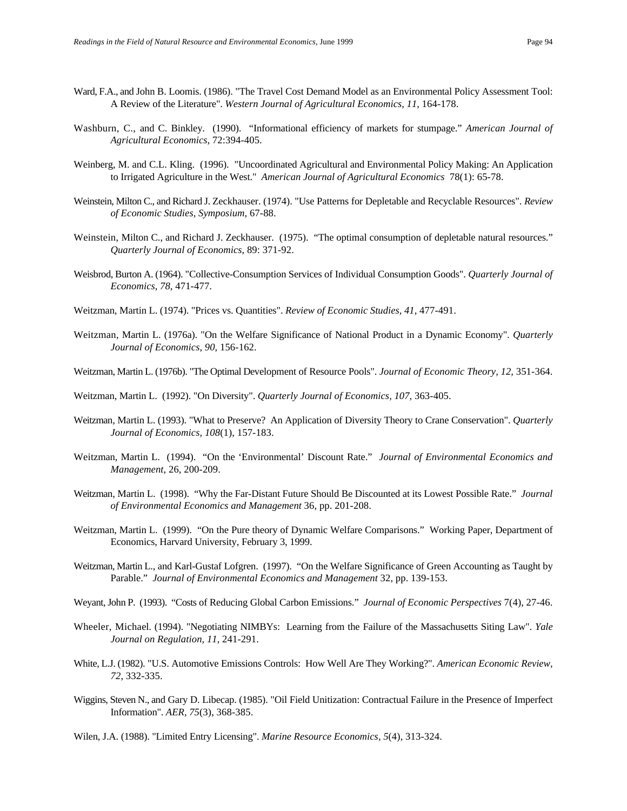- Ward, F.A., and John B. Loomis. (1986). "The Travel Cost Demand Model as an Environmental Policy Assessment Tool: A Review of the Literature". *Western Journal of Agricultural Economics, 11*, 164-178.
- Washburn, C., and C. Binkley. (1990). "Informational efficiency of markets for stumpage." *American Journal of Agricultural Economics*, 72:394-405.
- Weinberg, M. and C.L. Kling. (1996). "Uncoordinated Agricultural and Environmental Policy Making: An Application to Irrigated Agriculture in the West." *American Journal of Agricultural Economics* 78(1): 65-78.
- Weinstein, Milton C., and Richard J. Zeckhauser. (1974). "Use Patterns for Depletable and Recyclable Resources". *Review of Economic Studies, Symposium*, 67-88.
- Weinstein, Milton C., and Richard J. Zeckhauser. (1975). "The optimal consumption of depletable natural resources." *Quarterly Journal of Economics*, 89: 371-92.
- Weisbrod, Burton A. (1964). "Collective-Consumption Services of Individual Consumption Goods". *Quarterly Journal of Economics, 78*, 471-477.
- Weitzman, Martin L. (1974). "Prices vs. Quantities". *Review of Economic Studies, 41*, 477-491.
- Weitzman, Martin L. (1976a). "On the Welfare Significance of National Product in a Dynamic Economy". *Quarterly Journal of Economics, 90*, 156-162.
- Weitzman, Martin L. (1976b). "The Optimal Development of Resource Pools". *Journal of Economic Theory, 12*, 351-364.

Weitzman, Martin L. (1992). "On Diversity". *Quarterly Journal of Economics, 107*, 363-405.

- Weitzman, Martin L. (1993). "What to Preserve? An Application of Diversity Theory to Crane Conservation". *Quarterly Journal of Economics, 108*(1), 157-183.
- Weitzman, Martin L. (1994). "On the 'Environmental' Discount Rate." *Journal of Environmental Economics and Management*, 26, 200-209.
- Weitzman, Martin L. (1998). "Why the Far-Distant Future Should Be Discounted at its Lowest Possible Rate." *Journal of Environmental Economics and Management* 36, pp. 201-208.
- Weitzman, Martin L. (1999). "On the Pure theory of Dynamic Welfare Comparisons." Working Paper, Department of Economics, Harvard University, February 3, 1999.
- Weitzman, Martin L., and Karl-Gustaf Lofgren. (1997). "On the Welfare Significance of Green Accounting as Taught by Parable." *Journal of Environmental Economics and Management* 32, pp. 139-153.
- Weyant, John P. (1993). "Costs of Reducing Global Carbon Emissions." *Journal of Economic Perspectives* 7(4), 27-46.
- Wheeler, Michael. (1994). "Negotiating NIMBYs: Learning from the Failure of the Massachusetts Siting Law". *Yale Journal on Regulation, 11*, 241-291.
- White, L.J. (1982). "U.S. Automotive Emissions Controls: How Well Are They Working?". *American Economic Review, 72*, 332-335.
- Wiggins, Steven N., and Gary D. Libecap. (1985). "Oil Field Unitization: Contractual Failure in the Presence of Imperfect Information". *AER, 75*(3), 368-385.

Wilen, J.A. (1988). "Limited Entry Licensing". *Marine Resource Economics, 5*(4), 313-324.